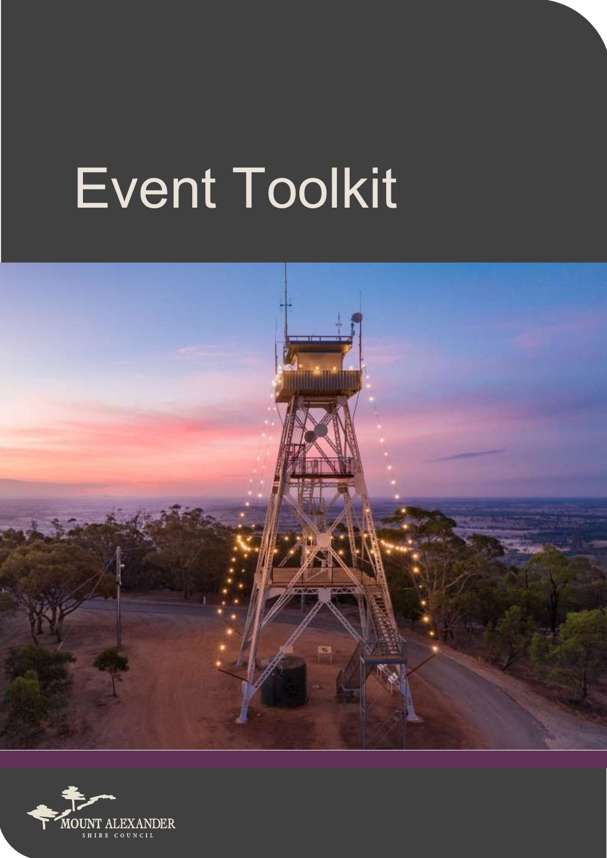# Event Toolkit



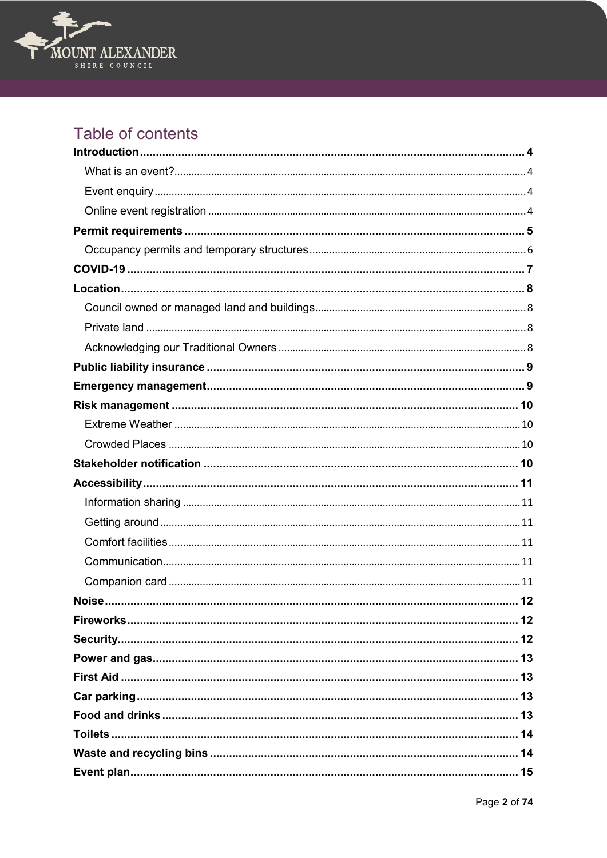

# Table of contents

| <b>Noise</b><br>12 |
|--------------------|
|                    |
|                    |
|                    |
|                    |
|                    |
|                    |
|                    |
|                    |
|                    |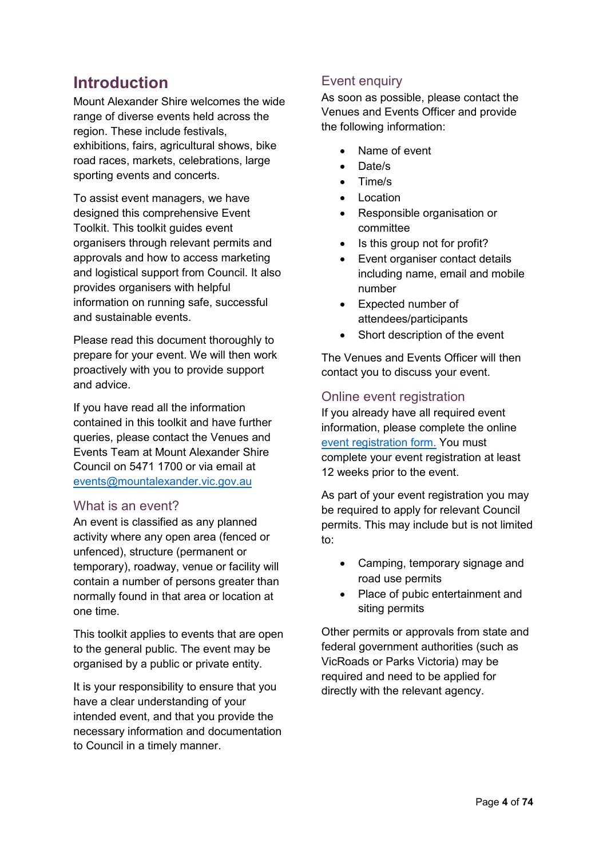# <span id="page-3-0"></span>**Introduction**

Mount Alexander Shire welcomes the wide range of diverse events held across the region. These include festivals, exhibitions, fairs, agricultural shows, bike road races, markets, celebrations, large sporting events and concerts.

To assist event managers, we have designed this comprehensive Event Toolkit. This toolkit guides event organisers through relevant permits and approvals and how to access marketing and logistical support from Council. It also provides organisers with helpful information on running safe, successful and sustainable events.

Please read this document thoroughly to prepare for your event. We will then work proactively with you to provide support and advice.

If you have read all the information contained in this toolkit and have further queries, please contact the Venues and Events Team at Mount Alexander Shire Council on 5471 1700 or via email at [events@mountalexander.vic.gov.au](mailto:events@mountalexander.vic.gov.au)

#### <span id="page-3-1"></span>What is an event?

An event is classified as any planned activity where any open area (fenced or unfenced), structure (permanent or temporary), roadway, venue or facility will contain a number of persons greater than normally found in that area or location at one time.

This toolkit applies to events that are open to the general public. The event may be organised by a public or private entity.

It is your responsibility to ensure that you have a clear understanding of your intended event, and that you provide the necessary information and documentation to Council in a timely manner.

## <span id="page-3-2"></span>Event enquiry

As soon as possible, please contact the Venues and Events Officer and provide the following information:

- Name of event
- Date/s
- Time/s
- Location
- Responsible organisation or committee
- Is this group not for profit?
- Event organiser contact details including name, email and mobile number
- Expected number of attendees/participants
- Short description of the event

The Venues and Events Officer will then contact you to discuss your event.

## <span id="page-3-3"></span>Online event registration

If you already have all required event information, please complete the online [event registration form.](https://techone.masc.vic.gov.au/T1Prod/CiAnywhere/Web/PROD/Public/Function/%24P1.REQ.REQENTRY.WIZ/GUEST?suite=PR&MasterSystem=CNCL&Requesttype=EVENTS&RequestCategory=EVTENQ) You must complete your event registration at least 12 weeks prior to the event.

As part of your event registration you may be required to apply for relevant Council permits. This may include but is not limited to:

- Camping, temporary signage and road use permits
- Place of pubic entertainment and siting permits

Other permits or approvals from state and federal government authorities (such as VicRoads or Parks Victoria) may be required and need to be applied for directly with the relevant agency.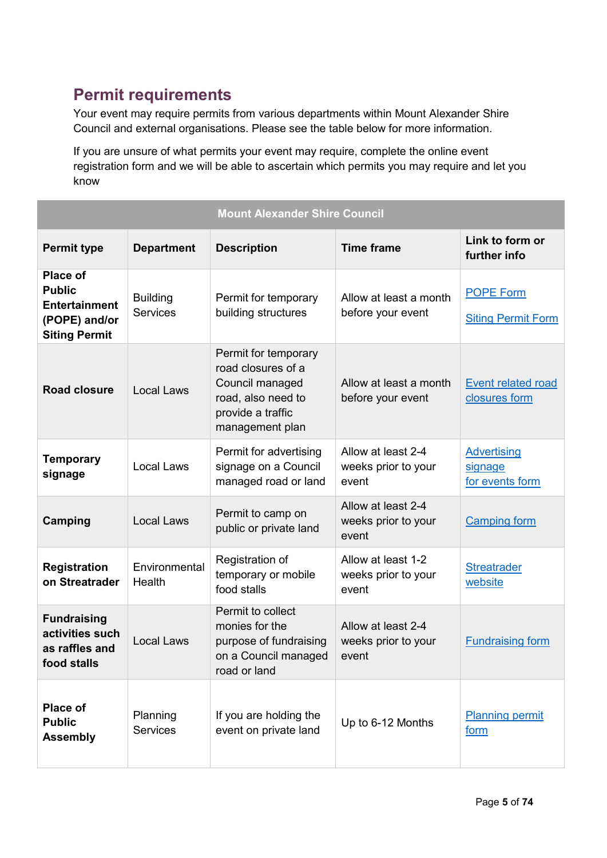# <span id="page-4-0"></span>**Permit requirements**

Your event may require permits from various departments within Mount Alexander Shire Council and external organisations. Please see the table below for more information.

If you are unsure of what permits your event may require, complete the online event registration form and we will be able to ascertain which permits you may require and let you know

| <b>Mount Alexander Shire Council</b>                                                              |                                    |                                                                                                                             |                                                    |                                                  |
|---------------------------------------------------------------------------------------------------|------------------------------------|-----------------------------------------------------------------------------------------------------------------------------|----------------------------------------------------|--------------------------------------------------|
| <b>Permit type</b>                                                                                | <b>Department</b>                  | <b>Description</b>                                                                                                          | <b>Time frame</b>                                  | Link to form or<br>further info                  |
| <b>Place of</b><br><b>Public</b><br><b>Entertainment</b><br>(POPE) and/or<br><b>Siting Permit</b> | <b>Building</b><br><b>Services</b> | Permit for temporary<br>building structures                                                                                 | Allow at least a month<br>before your event        | <b>POPE Form</b><br><b>Siting Permit Form</b>    |
| <b>Road closure</b>                                                                               | <b>Local Laws</b>                  | Permit for temporary<br>road closures of a<br>Council managed<br>road, also need to<br>provide a traffic<br>management plan | Allow at least a month<br>before your event        | <b>Event related road</b><br>closures form       |
| <b>Temporary</b><br>signage                                                                       | <b>Local Laws</b>                  | Permit for advertising<br>signage on a Council<br>managed road or land                                                      | Allow at least 2-4<br>weeks prior to your<br>event | <b>Advertising</b><br>signage<br>for events form |
| <b>Camping</b>                                                                                    | <b>Local Laws</b>                  | Permit to camp on<br>public or private land                                                                                 | Allow at least 2-4<br>weeks prior to your<br>event | <b>Camping form</b>                              |
| <b>Registration</b><br>on Streatrader                                                             | Environmental<br>Health            | Registration of<br>temporary or mobile<br>food stalls                                                                       | Allow at least 1-2<br>weeks prior to your<br>event | <b>Streatrader</b><br>website                    |
| <b>Fundraising</b><br>activities such<br>as raffles and<br>food stalls                            | <b>Local Laws</b>                  | Permit to collect<br>monies for the<br>purpose of fundraising<br>on a Council managed<br>road or land                       | Allow at least 2-4<br>weeks prior to your<br>event | <b>Fundraising form</b>                          |
| <b>Place of</b><br><b>Public</b><br><b>Assembly</b>                                               | Planning<br><b>Services</b>        | If you are holding the<br>event on private land                                                                             | Up to 6-12 Months                                  | <b>Planning permit</b><br>form                   |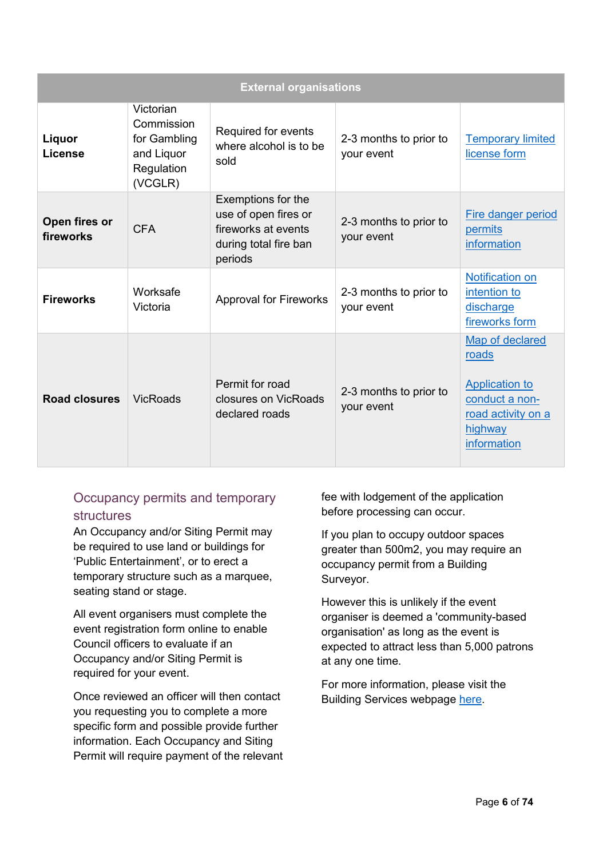| <b>External organisations</b> |                                                                                |                                                                                                       |                                      |                                                                                                                     |
|-------------------------------|--------------------------------------------------------------------------------|-------------------------------------------------------------------------------------------------------|--------------------------------------|---------------------------------------------------------------------------------------------------------------------|
| Liquor<br>License             | Victorian<br>Commission<br>for Gambling<br>and Liquor<br>Regulation<br>(VCGLR) | Required for events<br>where alcohol is to be<br>sold                                                 | 2-3 months to prior to<br>your event | <b>Temporary limited</b><br>license form                                                                            |
| Open fires or<br>fireworks    | <b>CFA</b>                                                                     | Exemptions for the<br>use of open fires or<br>fireworks at events<br>during total fire ban<br>periods | 2-3 months to prior to<br>your event | Fire danger period<br>permits<br>information                                                                        |
| <b>Fireworks</b>              | Worksafe<br>Victoria                                                           | <b>Approval for Fireworks</b>                                                                         | 2-3 months to prior to<br>your event | <b>Notification on</b><br>intention to<br>discharge<br>fireworks form                                               |
| <b>Road closures</b>          | <b>VicRoads</b>                                                                | Permit for road<br>closures on VicRoads<br>declared roads                                             | 2-3 months to prior to<br>your event | Map of declared<br>roads<br><b>Application to</b><br>conduct a non-<br>road activity on a<br>highway<br>information |

## <span id="page-5-0"></span>Occupancy permits and temporary **structures**

An Occupancy and/or Siting Permit may be required to use land or buildings for 'Public Entertainment', or to erect a temporary structure such as a marquee, seating stand or stage.

All event organisers must complete the event registration form online to enable Council officers to evaluate if an Occupancy and/or Siting Permit is required for your event.

Once reviewed an officer will then contact you requesting you to complete a more specific form and possible provide further information. Each Occupancy and Siting Permit will require payment of the relevant fee with lodgement of the application before processing can occur.

If you plan to occupy outdoor spaces greater than 500m2, you may require an occupancy permit from a Building Surveyor.

However this is unlikely if the event organiser is deemed a 'community-based organisation' as long as the event is expected to attract less than 5,000 patrons at any one time.

For more information, please visit the Building Services webpage [here.](https://www.mountalexander.vic.gov.au/Building_Services)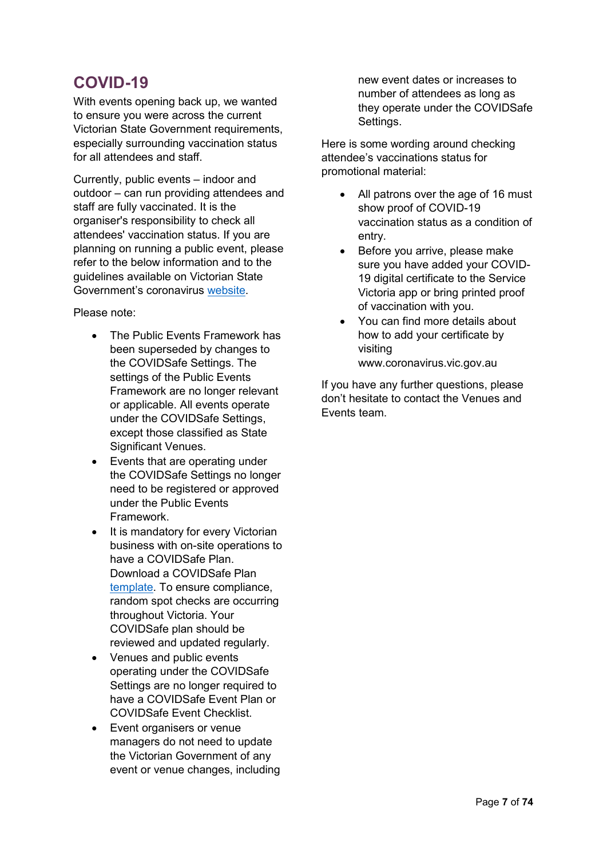# <span id="page-6-0"></span>**COVID-19**

With events opening back up, we wanted to ensure you were across the current Victorian State Government requirements, especially surrounding vaccination status for all attendees and staff.

Currently, public events – indoor and outdoor – can run providing attendees and staff are fully vaccinated. It is the organiser's responsibility to check all attendees' vaccination status. If you are planning on running a public event, please refer to the below information and to the guidelines available on Victorian State Government's coronavirus [website.](https://www.coronavirus.vic.gov.au/public-events)

Please note:

- The Public Events Framework has been superseded by changes to the COVIDSafe Settings. The settings of the Public Events Framework are no longer relevant or applicable. All events operate under the COVIDSafe Settings, except those classified as State Significant Venues.
- Events that are operating under the COVIDSafe Settings no longer need to be registered or approved under the Public Events Framework.
- It is mandatory for every Victorian business with on-site operations to have a COVIDSafe Plan. Download a COVIDSafe Plan [template.](https://www.coronavirus.vic.gov.au/covidsafe-plan) To ensure compliance, random spot checks are occurring throughout Victoria. Your COVIDSafe plan should be reviewed and updated regularly.
- Venues and public events operating under the COVIDSafe Settings are no longer required to have a COVIDSafe Event Plan or COVIDSafe Event Checklist.
- Event organisers or venue managers do not need to update the Victorian Government of any event or venue changes, including

new event dates or increases to number of attendees as long as they operate under the COVIDSafe Settings.

Here is some wording around checking attendee's vaccinations status for promotional material:

- All patrons over the age of 16 must show proof of COVID-19 vaccination status as a condition of entry.
- Before you arrive, please make sure you have added your COVID-19 digital certificate to the Service Victoria app or bring printed proof of vaccination with you.
- You can find more details about how to add your certificate by visiting www.coronavirus.vic.gov.au

If you have any further questions, please don't hesitate to contact the Venues and Events team.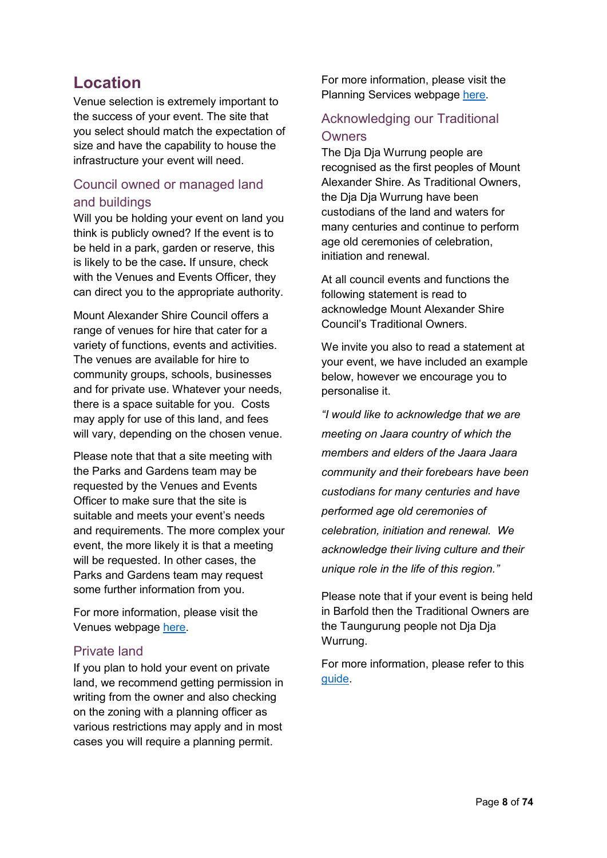# <span id="page-7-0"></span>**Location**

Venue selection is extremely important to the success of your event. The site that you select should match the expectation of size and have the capability to house the infrastructure your event will need.

## <span id="page-7-1"></span>Council owned or managed land and buildings

Will you be holding your event on land you think is publicly owned? If the event is to be held in a park, garden or reserve, this is likely to be the case**.** If unsure, check with the Venues and Events Officer, they can direct you to the appropriate authority.

Mount Alexander Shire Council offers a range of venues for hire that cater for a variety of functions, events and activities. The venues are available for hire to community groups, schools, businesses and for private use. Whatever your needs, there is a space suitable for you. Costs may apply for use of this land, and fees will vary, depending on the chosen venue.

Please note that that a site meeting with the Parks and Gardens team may be requested by the Venues and Events Officer to make sure that the site is suitable and meets your event's needs and requirements. The more complex your event, the more likely it is that a meeting will be requested. In other cases, the Parks and Gardens team may request some further information from you.

For more information, please visit the Venues webpage [here.](https://www.mountalexander.vic.gov.au/Venue_bookings)

#### <span id="page-7-2"></span>Private land

If you plan to hold your event on private land, we recommend getting permission in writing from the owner and also checking on the zoning with a planning officer as various restrictions may apply and in most cases you will require a planning permit.

For more information, please visit the Planning Services webpage [here.](https://www.mountalexander.vic.gov.au/Page/Page.aspx?Page_Id=247)

## <span id="page-7-3"></span>Acknowledging our Traditional **Owners**

The Dja Dja Wurrung people are recognised as the first peoples of Mount Alexander Shire. As Traditional Owners, the Dia Dia Wurrung have been custodians of the land and waters for many centuries and continue to perform age old ceremonies of celebration, initiation and renewal.

At all council events and functions the following statement is read to acknowledge Mount Alexander Shire Council's Traditional Owners.

We invite you also to read a statement at your event, we have included an example below, however we encourage you to personalise it.

*"I would like to acknowledge that we are meeting on Jaara country of which the members and elders of the Jaara Jaara community and their forebears have been custodians for many centuries and have performed age old ceremonies of celebration, initiation and renewal. We acknowledge their living culture and their unique role in the life of this region."*

Please note that if your event is being held in Barfold then the Traditional Owners are the Taungurung people not Dja Dja Wurrung.

For more information, please refer to this [guide.](https://www.reconciliation.org.au/wp-content/uploads/2017/11/Welcome-to-and-Acknowledgement-of-Country.pdf)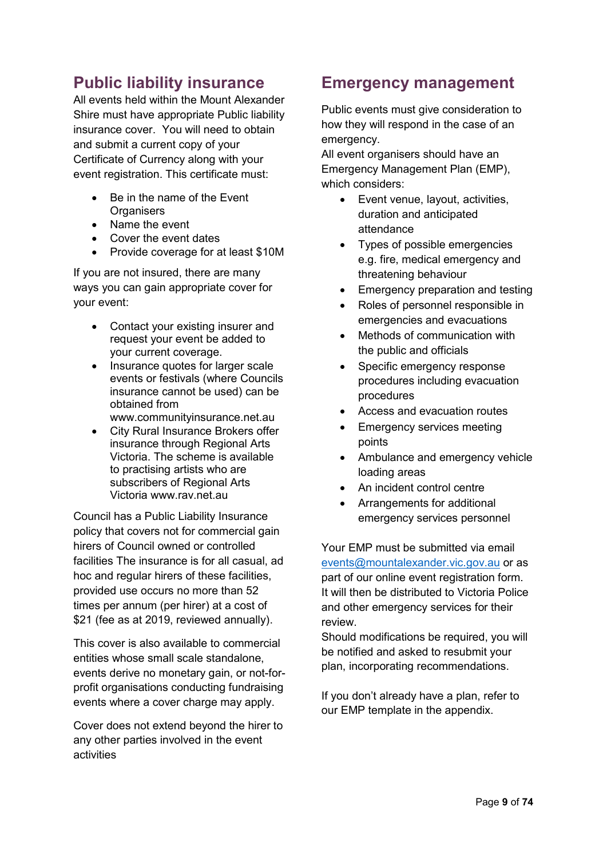# <span id="page-8-0"></span>**Public liability insurance**

All events held within the Mount Alexander Shire must have appropriate Public liability insurance cover. You will need to obtain and submit a current copy of your Certificate of Currency along with your event registration. This certificate must:

- Be in the name of the Event **Organisers**
- Name the event
- Cover the event dates
- Provide coverage for at least \$10M

If you are not insured, there are many ways you can gain appropriate cover for your event:

- Contact your existing insurer and request your event be added to your current coverage.
- Insurance quotes for larger scale events or festivals (where Councils insurance cannot be used) can be obtained from
	- [www.communityinsurance.net.au](http://www.communityinsurance.net.au/)
- City Rural Insurance Brokers offer insurance through Regional Arts Victoria. The scheme is available to practising artists who are subscribers of Regional Arts Victoria www.rav.net.au

Council has a Public Liability Insurance policy that covers not for commercial gain hirers of Council owned or controlled facilities The insurance is for all casual, ad hoc and regular hirers of these facilities, provided use occurs no more than 52 times per annum (per hirer) at a cost of \$21 (fee as at 2019, reviewed annually).

This cover is also available to commercial entities whose small scale standalone, events derive no monetary gain, or not-forprofit organisations conducting fundraising events where a cover charge may apply.

Cover does not extend beyond the hirer to any other parties involved in the event activities

# <span id="page-8-1"></span>**Emergency management**

Public events must give consideration to how they will respond in the case of an emergency.

All event organisers should have an Emergency Management Plan (EMP), which considers:

- Event venue, layout, activities, duration and anticipated attendance
- Types of possible emergencies e.g. fire, medical emergency and threatening behaviour
- Emergency preparation and testing
- Roles of personnel responsible in emergencies and evacuations
- Methods of communication with the public and officials
- Specific emergency response procedures including evacuation procedures
- Access and evacuation routes
- Emergency services meeting points
- Ambulance and emergency vehicle loading areas
- An incident control centre
- Arrangements for additional emergency services personnel

Your EMP must be submitted via email [events@mountalexander.vic.gov.au](mailto:events@mountalexander.vic.gov.au) or as part of our online event registration form. It will then be distributed to Victoria Police and other emergency services for their review.

Should modifications be required, you will be notified and asked to resubmit your plan, incorporating recommendations.

If you don't already have a plan, refer to our EMP template in the appendix.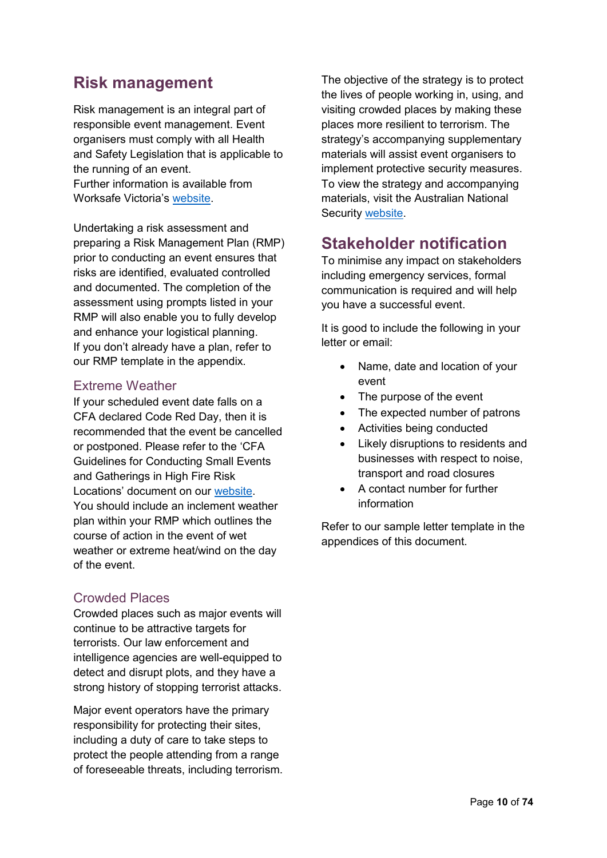## <span id="page-9-0"></span>**Risk management**

Risk management is an integral part of responsible event management. Event organisers must comply with all Health and Safety Legislation that is applicable to the running of an event. Further information is available from Worksafe Victoria's [website.](https://www.worksafe.vic.gov.au/resources/guide-risk-control-plans)

Undertaking a risk assessment and preparing a Risk Management Plan (RMP) prior to conducting an event ensures that risks are identified, evaluated controlled and documented. The completion of the assessment using prompts listed in your RMP will also enable you to fully develop and enhance your logistical planning. If you don't already have a plan, refer to our RMP template in the appendix.

#### <span id="page-9-1"></span>Extreme Weather

If your scheduled event date falls on a CFA declared Code Red Day, then it is recommended that the event be cancelled or postponed. Please refer to the 'CFA Guidelines for Conducting Small Events and Gatherings in High Fire Risk Locations' document on our [website.](https://www.mountalexander.vic.gov.au/Event_planning_and_applications) You should include an inclement weather plan within your RMP which outlines the course of action in the event of wet weather or extreme heat/wind on the day of the event.

#### <span id="page-9-2"></span>Crowded Places

Crowded places such as major events will continue to be attractive targets for terrorists. Our law enforcement and intelligence agencies are well-equipped to detect and disrupt plots, and they have a strong history of stopping terrorist attacks.

Major event operators have the primary responsibility for protecting their sites, including a duty of care to take steps to protect the people attending from a range of foreseeable threats, including terrorism. The objective of the strategy is to protect the lives of people working in, using, and visiting crowded places by making these places more resilient to terrorism. The strategy's accompanying supplementary materials will assist event organisers to implement protective security measures. To view the strategy and accompanying materials, visit the Australian National Security [website.](https://www.nationalsecurity.gov.au/Securityandyourcommunity/Pages/australias-strategy-for-protecting-crowded-places-from-terrorism.aspx)

## <span id="page-9-3"></span>**Stakeholder notification**

To minimise any impact on stakeholders including emergency services, formal communication is required and will help you have a successful event.

It is good to include the following in your letter or email:

- Name, date and location of your event
- The purpose of the event
- The expected number of patrons
- Activities being conducted
- Likely disruptions to residents and businesses with respect to noise, transport and road closures
- A contact number for further information

Refer to our sample letter template in the appendices of this document.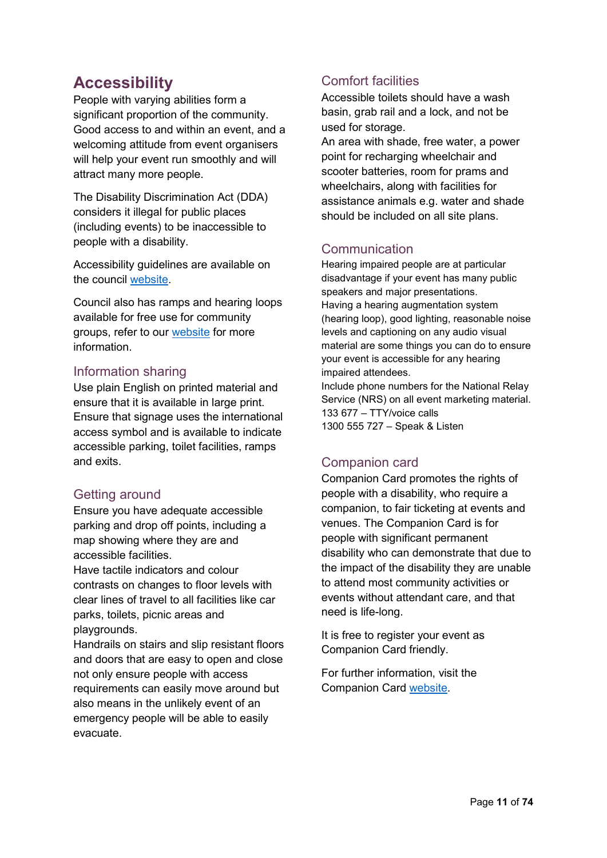# <span id="page-10-0"></span>**Accessibility**

People with varying abilities form a significant proportion of the community. Good access to and within an event, and a welcoming attitude from event organisers will help your event run smoothly and will attract many more people.

The Disability Discrimination Act (DDA) considers it illegal for public places (including events) to be inaccessible to people with a disability.

Accessibility guidelines are available on the council [website.](https://www.mountalexander.vic.gov.au/files/Events/Accessible_events_guide_-_8_December_2017.pdf)

Council also has ramps and hearing loops available for free use for community groups, refer to our [website](https://www.mountalexander.vic.gov.au/files/Events/Portable_Access_Equipment.pdf) for more information.

#### <span id="page-10-1"></span>Information sharing

Use plain English on printed material and ensure that it is available in large print. Ensure that signage uses the international access symbol and is available to indicate accessible parking, toilet facilities, ramps and exits.

## <span id="page-10-2"></span>Getting around

Ensure you have adequate accessible parking and drop off points, including a map showing where they are and accessible facilities.

Have tactile indicators and colour contrasts on changes to floor levels with clear lines of travel to all facilities like car parks, toilets, picnic areas and playgrounds.

Handrails on stairs and slip resistant floors and doors that are easy to open and close not only ensure people with access requirements can easily move around but also means in the unlikely event of an emergency people will be able to easily evacuate.

## <span id="page-10-3"></span>Comfort facilities

Accessible toilets should have a wash basin, grab rail and a lock, and not be used for storage.

An area with shade, free water, a power point for recharging wheelchair and scooter batteries, room for prams and wheelchairs, along with facilities for assistance animals e.g. water and shade should be included on all site plans.

## <span id="page-10-4"></span>**Communication**

Hearing impaired people are at particular disadvantage if your event has many public speakers and major presentations. Having a hearing augmentation system (hearing loop), good lighting, reasonable noise levels and captioning on any audio visual material are some things you can do to ensure your event is accessible for any hearing impaired attendees. Include phone numbers for the National Relay

Service (NRS) on all event marketing material. 133 677 – TTY/voice calls 1300 555 727 – Speak & Listen

## <span id="page-10-5"></span>Companion card

Companion Card promotes the rights of people with a disability, who require a companion, to fair ticketing at events and venues. The Companion Card is for people with significant permanent disability who can demonstrate that due to the impact of the disability they are unable to attend most community activities or events without attendant care, and that need is life-long.

It is free to register your event as Companion Card friendly.

For further information, visit the Companion Card [website.](http://www.companioncard.org.au/)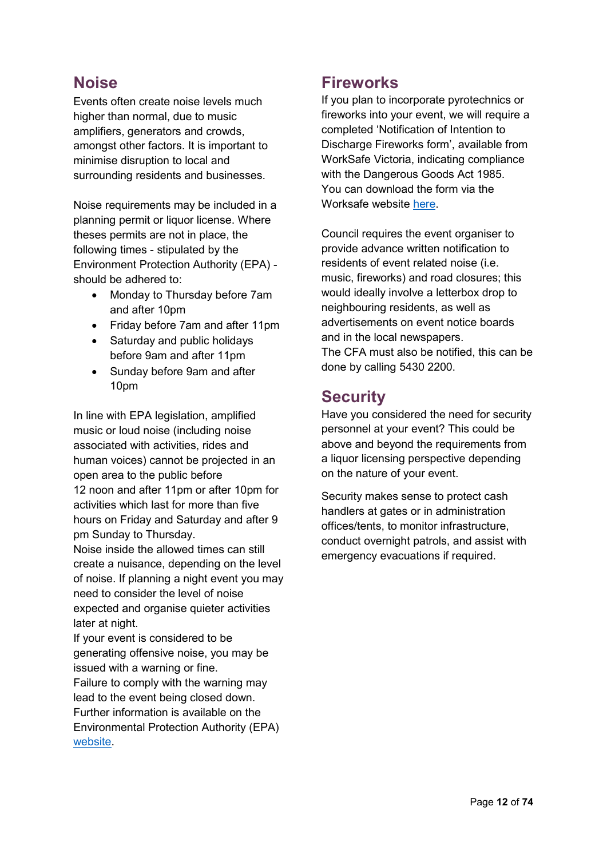# <span id="page-11-0"></span>**Noise**

Events often create noise levels much higher than normal, due to music amplifiers, generators and crowds, amongst other factors. It is important to minimise disruption to local and surrounding residents and businesses.

Noise requirements may be included in a planning permit or liquor license. Where theses permits are not in place, the following times - stipulated by the Environment Protection Authority (EPA) should be adhered to:

- Monday to Thursday before 7am and after 10pm
- Friday before 7am and after 11pm
- Saturday and public holidays before 9am and after 11pm
- Sunday before 9am and after 10pm

In line with EPA legislation, amplified music or loud noise (including noise associated with activities, rides and human voices) cannot be projected in an open area to the public before 12 noon and after 11pm or after 10pm for activities which last for more than five hours on Friday and Saturday and after 9 pm Sunday to Thursday.

Noise inside the allowed times can still create a nuisance, depending on the level of noise. If planning a night event you may need to consider the level of noise expected and organise quieter activities later at night.

If your event is considered to be generating offensive noise, you may be issued with a warning or fine.

Failure to comply with the warning may lead to the event being closed down. Further information is available on the Environmental Protection Authority (EPA) [website.](https://www.epa.vic.gov.au/for-community/environmental-information/noise/residential-noise-law)

## <span id="page-11-1"></span>**Fireworks**

If you plan to incorporate pyrotechnics or fireworks into your event, we will require a completed 'Notification of Intention to Discharge Fireworks form', available from WorkSafe Victoria, indicating compliance with the Dangerous Goods Act 1985. You can download the form via the Worksafe website [here.](https://www.worksafe.vic.gov.au/resources/notification-intention-discharge-fireworks)

Council requires the event organiser to provide advance written notification to residents of event related noise (i.e. music, fireworks) and road closures; this would ideally involve a letterbox drop to neighbouring residents, as well as advertisements on event notice boards and in the local newspapers. The CFA must also be notified, this can be done by calling 5430 2200.

# <span id="page-11-2"></span>**Security**

Have you considered the need for security personnel at your event? This could be above and beyond the requirements from a liquor licensing perspective depending on the nature of your event.

Security makes sense to protect cash handlers at gates or in administration offices/tents, to monitor infrastructure, conduct overnight patrols, and assist with emergency evacuations if required.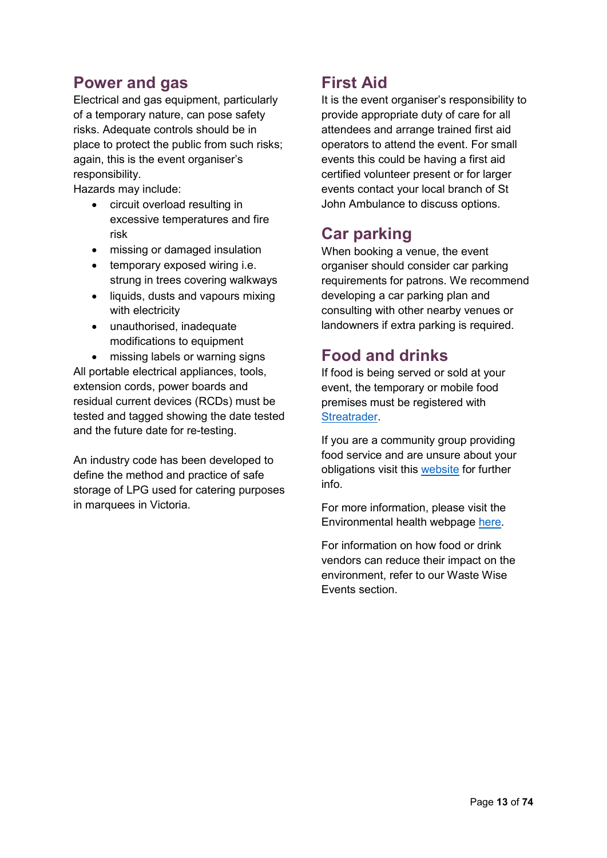# <span id="page-12-0"></span>**Power and gas**

Electrical and gas equipment, particularly of a temporary nature, can pose safety risks. Adequate controls should be in place to protect the public from such risks; again, this is the event organiser's responsibility.

Hazards may include:

- circuit overload resulting in excessive temperatures and fire risk
- missing or damaged insulation
- temporary exposed wiring i.e. strung in trees covering walkways
- liquids, dusts and vapours mixing with electricity
- unauthorised, inadequate modifications to equipment

• missing labels or warning signs All portable electrical appliances, tools, extension cords, power boards and residual current devices (RCDs) must be tested and tagged showing the date tested and the future date for re-testing.

An industry code has been developed to define the method and practice of safe storage of LPG used for catering purposes in marquees in Victoria.

# <span id="page-12-1"></span>**First Aid**

It is the event organiser's responsibility to provide appropriate duty of care for all attendees and arrange trained first aid operators to attend the event. For small events this could be having a first aid certified volunteer present or for larger events contact your local branch of St John Ambulance to discuss options.

# <span id="page-12-2"></span>**Car parking**

When booking a venue, the event organiser should consider car parking requirements for patrons. We recommend developing a car parking plan and consulting with other nearby venues or landowners if extra parking is required.

# <span id="page-12-3"></span>**Food and drinks**

If food is being served or sold at your event, the temporary or mobile food premises must be registered with [Streatrader.](https://streatrader.health.vic.gov.au/)

If you are a community group providing food service and are unsure about your obligations visit this [website](http://communityfood.health.vic.gov.au/wordpress/) for further info.

For more information, please visit the Environmental health webpage [here.](https://www.mountalexander.vic.gov.au/Business_and_food_registrations)

For information on how food or drink vendors can reduce their impact on the environment, refer to our Waste Wise Events section.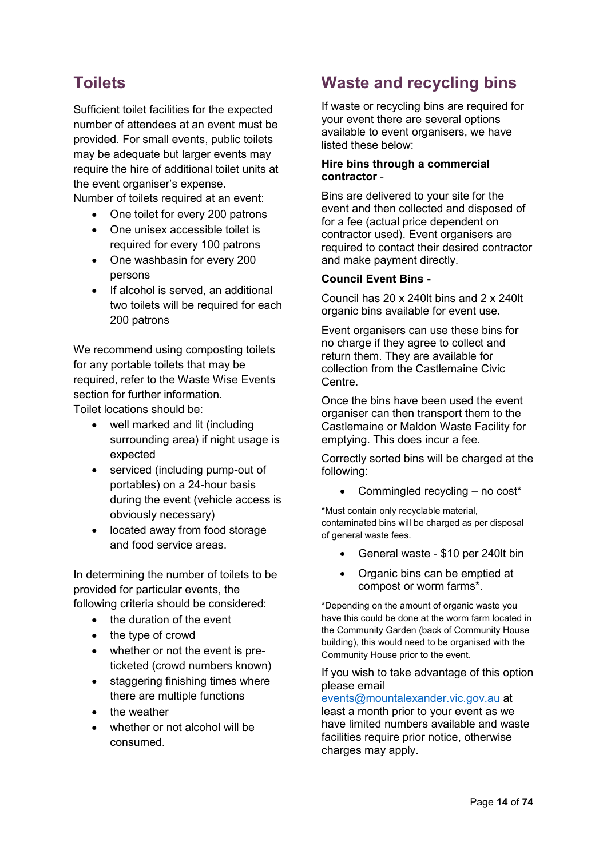# <span id="page-13-0"></span>**Toilets**

Sufficient toilet facilities for the expected number of attendees at an event must be provided. For small events, public toilets may be adequate but larger events may require the hire of additional toilet units at the event organiser's expense.

Number of toilets required at an event:

- One toilet for every 200 patrons
- One unisex accessible toilet is required for every 100 patrons
- One washbasin for every 200 persons
- If alcohol is served, an additional two toilets will be required for each 200 patrons

We recommend using composting toilets for any portable toilets that may be required, refer to the Waste Wise Events section for further information. Toilet locations should be:

- well marked and lit (including surrounding area) if night usage is expected
- serviced (including pump-out of portables) on a 24-hour basis during the event (vehicle access is obviously necessary)
- located away from food storage and food service areas.

In determining the number of toilets to be provided for particular events, the following criteria should be considered:

- the duration of the event
- the type of crowd
- whether or not the event is preticketed (crowd numbers known)
- staggering finishing times where there are multiple functions
- the weather
- whether or not alcohol will be consumed.

# <span id="page-13-1"></span>**Waste and recycling bins**

If waste or recycling bins are required for your event there are several options available to event organisers, we have listed these below:

#### **Hire bins through a commercial contractor** -

Bins are delivered to your site for the event and then collected and disposed of for a fee (actual price dependent on contractor used). Event organisers are required to contact their desired contractor and make payment directly.

#### **Council Event Bins -**

Council has 20 x 240lt bins and 2 x 240lt organic bins available for event use.

Event organisers can use these bins for no charge if they agree to collect and return them. They are available for collection from the Castlemaine Civic Centre.

Once the bins have been used the event organiser can then transport them to the Castlemaine or Maldon Waste Facility for emptying. This does incur a fee.

Correctly sorted bins will be charged at the following:

• Commingled recycling  $-$  no cost\*

\*Must contain only recyclable material, contaminated bins will be charged as per disposal of general waste fees.

- General waste \$10 per 240lt bin
- Organic bins can be emptied at compost or worm farms\*.

\*Depending on the amount of organic waste you have this could be done at the worm farm located in the Community Garden (back of Community House building), this would need to be organised with the Community House prior to the event.

If you wish to take advantage of this option please email

[events@mountalexander.vic.gov.au](mailto:events@mountalexander.vic.gov.au) at least a month prior to your event as we have limited numbers available and waste facilities require prior notice, otherwise charges may apply.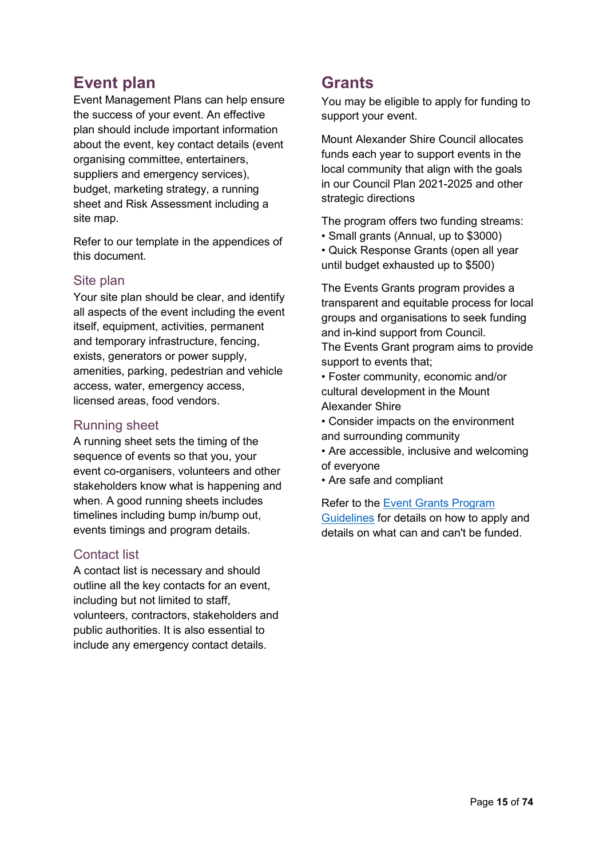# <span id="page-14-0"></span>**Event plan**

Event Management Plans can help ensure the success of your event. An effective plan should include important information about the event, key contact details (event organising committee, entertainers, suppliers and emergency services), budget, marketing strategy, a running sheet and Risk Assessment including a site map.

Refer to our template in the appendices of this document.

#### <span id="page-14-1"></span>Site plan

Your site plan should be clear, and identify all aspects of the event including the event itself, equipment, activities, permanent and temporary infrastructure, fencing, exists, generators or power supply, amenities, parking, pedestrian and vehicle access, water, emergency access, licensed areas, food vendors.

#### <span id="page-14-2"></span>Running sheet

A running sheet sets the timing of the sequence of events so that you, your event co-organisers, volunteers and other stakeholders know what is happening and when. A good running sheets includes timelines including bump in/bump out, events timings and program details.

#### <span id="page-14-3"></span>Contact list

A contact list is necessary and should outline all the key contacts for an event, including but not limited to staff, volunteers, contractors, stakeholders and public authorities. It is also essential to include any emergency contact details.

## <span id="page-14-4"></span>**Grants**

You may be eligible to apply for funding to support your event.

Mount Alexander Shire Council allocates funds each year to support events in the local community that align with the goals in our Council Plan 2021-2025 and other strategic directions

The program offers two funding streams:

• Small grants (Annual, up to \$3000) • Quick Response Grants (open all year until budget exhausted up to \$500)

The Events Grants program provides a transparent and equitable process for local groups and organisations to seek funding and in-kind support from Council.

The Events Grant program aims to provide support to events that;

- Foster community, economic and/or cultural development in the Mount Alexander Shire
- Consider impacts on the environment and surrounding community
- Are accessible, inclusive and welcoming of everyone
- Are safe and compliant

Refer to the [Event Grants Program](https://www.mountalexander.vic.gov.au/CommunityGrants#BM11744)  [Guidelines](https://www.mountalexander.vic.gov.au/CommunityGrants#BM11744) for details on how to apply and details on what can and can't be funded.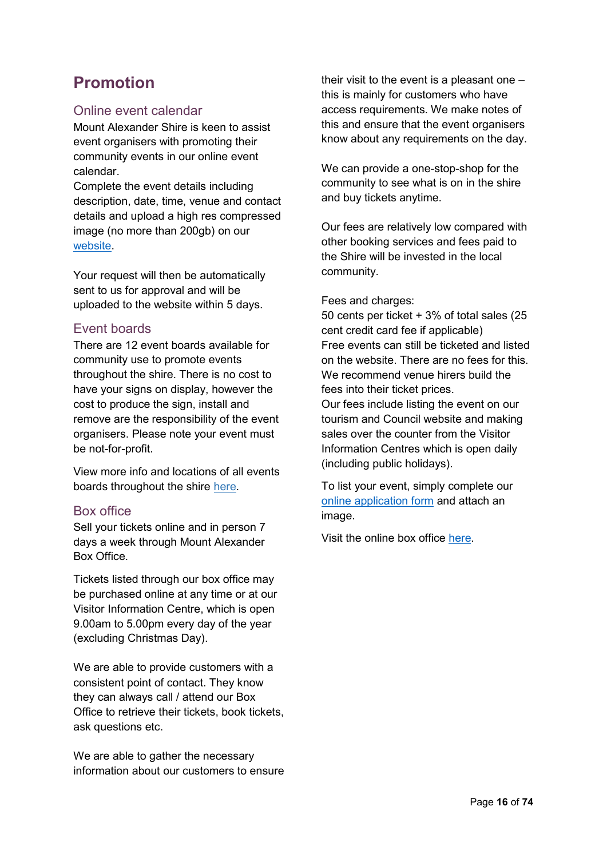# <span id="page-15-0"></span>**Promotion**

## <span id="page-15-1"></span>Online event calendar

Mount Alexander Shire is keen to assist event organisers with promoting their community events in our online event calendar.

Complete the event details including description, date, time, venue and contact details and upload a high res compressed image (no more than 200gb) on our [website.](https://www.bendigoregion.com.au/visit-castlemaine-maldon/register-your-event-castlemaine-maldon)

Your request will then be automatically sent to us for approval and will be uploaded to the website within 5 days.

## <span id="page-15-2"></span>Event boards

There are 12 event boards available for community use to promote events throughout the shire. There is no cost to have your signs on display, however the cost to produce the sign, install and remove are the responsibility of the event organisers. Please note your event must be not-for-profit.

View more info and locations of all events boards throughout the shire [here.](https://www.mountalexander.vic.gov.au/files/Events/Event_Board_locations_within_Mount_Alexander_Shire.pdf)

## <span id="page-15-3"></span>Box office

Sell your tickets online and in person 7 days a week through Mount Alexander Box Office.

Tickets listed through our box office may be purchased online at any time or at our Visitor Information Centre, which is open 9.00am to 5.00pm every day of the year (excluding Christmas Day).

We are able to provide customers with a consistent point of contact. They know they can always call / attend our Box Office to retrieve their tickets, book tickets, ask questions etc.

We are able to gather the necessary information about our customers to ensure their visit to the event is a pleasant one – this is mainly for customers who have access requirements. We make notes of this and ensure that the event organisers know about any requirements on the day.

We can provide a one-stop-shop for the community to see what is on in the shire and buy tickets anytime.

Our fees are relatively low compared with other booking services and fees paid to the Shire will be invested in the local community.

#### Fees and charges:

50 cents per ticket + 3% of total sales (25 cent credit card fee if applicable) Free events can still be ticketed and listed on the website. There are no fees for this. We recommend venue hirers build the fees into their ticket prices. Our fees include listing the event on our tourism and Council website and making sales over the counter from the Visitor Information Centres which is open daily (including public holidays).

To list your event, simply complete our [online application form](https://www.mountalexander.vic.gov.au/files/Events/Application_form_-_Box_Office_-_April_2019.pdf) and attach an image.

Visit the online box office [here.](http://bit.ly/MtAlexBoxOffice)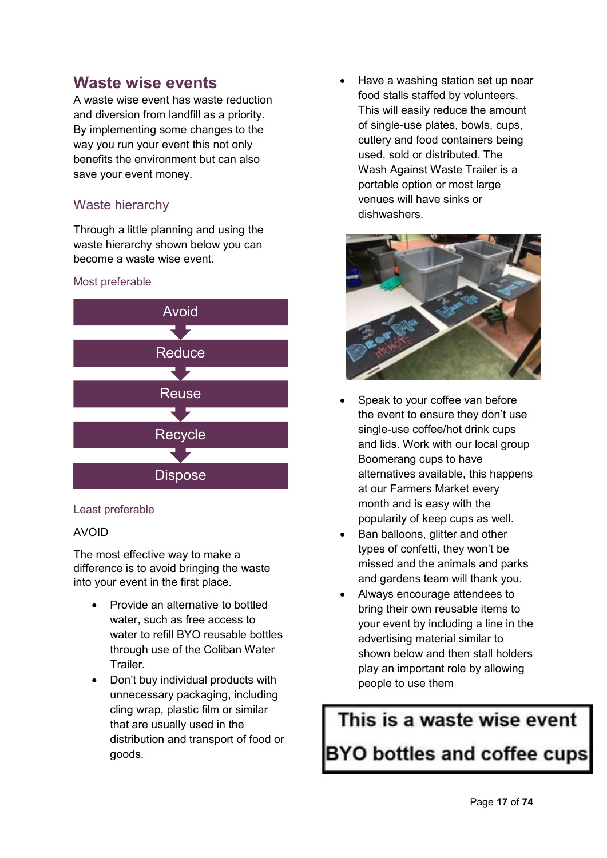## <span id="page-16-0"></span>**Waste wise events**

A waste wise event has waste reduction and diversion from landfill as a priority. By implementing some changes to the way you run your event this not only benefits the environment but can also save your event money.

## Waste hierarchy

Through a little planning and using the waste hierarchy shown below you can become a waste wise event.



#### Least preferable

#### AVOID

The most effective way to make a difference is to avoid bringing the waste into your event in the first place.

- Provide an alternative to bottled water, such as free access to water to refill BYO reusable bottles through use of the Coliban Water Trailer.
- Don't buy individual products with unnecessary packaging, including cling wrap, plastic film or similar that are usually used in the distribution and transport of food or goods.

 Have a washing station set up near food stalls staffed by volunteers. This will easily reduce the amount of single-use plates, bowls, cups, cutlery and food containers being used, sold or distributed. The Wash Against Waste Trailer is a portable option or most large venues will have sinks or dishwashers.



- Speak to your coffee van before the event to ensure they don't use single-use coffee/hot drink cups and lids. Work with our local group Boomerang cups to have alternatives available, this happens at our Farmers Market every month and is easy with the popularity of keep cups as well.
- Ban balloons, glitter and other types of confetti, they won't be missed and the animals and parks and gardens team will thank you.
- Always encourage attendees to bring their own reusable items to your event by including a line in the advertising material similar to shown below and then stall holders play an important role by allowing people to use them

This is a waste wise event **BYO bottles and coffee cups**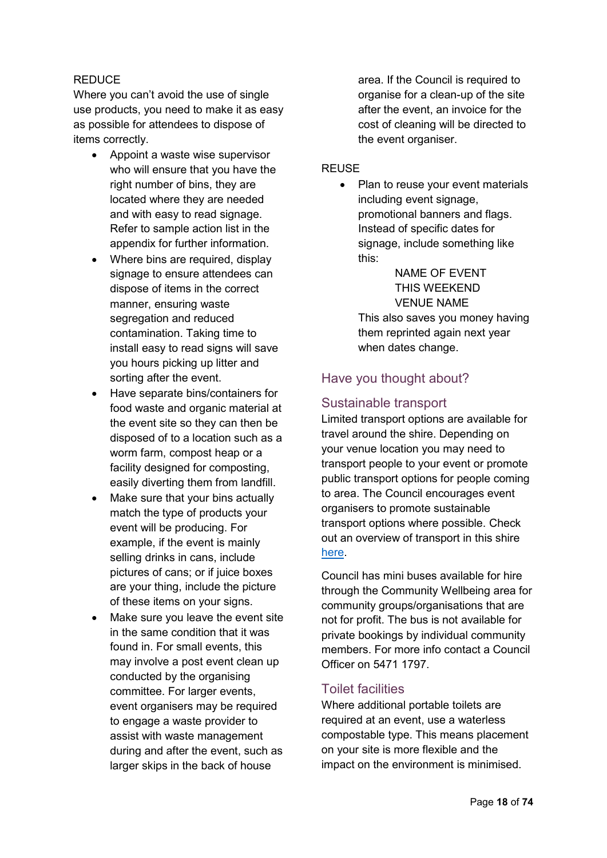#### REDUCE

Where you can't avoid the use of single use products, you need to make it as easy as possible for attendees to dispose of items correctly.

- Appoint a waste wise supervisor who will ensure that you have the right number of bins, they are located where they are needed and with easy to read signage. Refer to sample action list in the appendix for further information.
- Where bins are required, display signage to ensure attendees can dispose of items in the correct manner, ensuring waste segregation and reduced contamination. Taking time to install easy to read signs will save you hours picking up litter and sorting after the event.
- Have separate bins/containers for food waste and organic material at the event site so they can then be disposed of to a location such as a worm farm, compost heap or a facility designed for composting, easily diverting them from landfill.
- Make sure that your bins actually match the type of products your event will be producing. For example, if the event is mainly selling drinks in cans, include pictures of cans; or if juice boxes are your thing, include the picture of these items on your signs.
- Make sure you leave the event site in the same condition that it was found in. For small events, this may involve a post event clean up conducted by the organising committee. For larger events, event organisers may be required to engage a waste provider to assist with waste management during and after the event, such as larger skips in the back of house

area. If the Council is required to organise for a clean-up of the site after the event, an invoice for the cost of cleaning will be directed to the event organiser.

#### REUSE

• Plan to reuse your event materials including event signage, promotional banners and flags. Instead of specific dates for signage, include something like this:

NAME OF EVENT THIS WEEKEND VENUE NAME This also saves you money having them reprinted again next year when dates change.

## Have you thought about?

## <span id="page-17-0"></span>Sustainable transport

Limited transport options are available for travel around the shire. Depending on your venue location you may need to transport people to your event or promote public transport options for people coming to area. The Council encourages event organisers to promote sustainable transport options where possible. Check out an overview of transport in this shire [here.](https://www.mountalexander.vic.gov.au/Files/Transport_in_Mount_Alexander_Shire_brochure.pdf)

Council has mini buses available for hire through the Community Wellbeing area for community groups/organisations that are not for profit. The bus is not available for private bookings by individual community members. For more info contact a Council Officer on 5471 1797.

#### <span id="page-17-1"></span>Toilet facilities

Where additional portable toilets are required at an event, use a waterless compostable type. This means placement on your site is more flexible and the impact on the environment is minimised.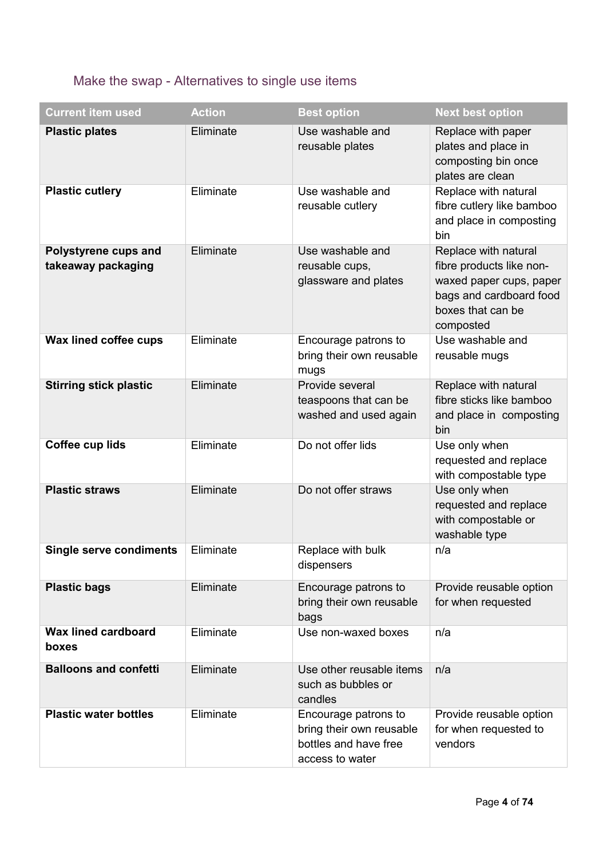# <span id="page-18-0"></span>Make the swap - Alternatives to single use items

| <b>Current item used</b>                   | <b>Action</b> | <b>Best option</b>                                                                           | <b>Next best option</b>                                                                                                                  |
|--------------------------------------------|---------------|----------------------------------------------------------------------------------------------|------------------------------------------------------------------------------------------------------------------------------------------|
| <b>Plastic plates</b>                      | Eliminate     | Use washable and<br>reusable plates                                                          | Replace with paper<br>plates and place in<br>composting bin once<br>plates are clean                                                     |
| <b>Plastic cutlery</b>                     | Eliminate     | Use washable and<br>reusable cutlery                                                         | Replace with natural<br>fibre cutlery like bamboo<br>and place in composting<br>bin                                                      |
| Polystyrene cups and<br>takeaway packaging | Eliminate     | Use washable and<br>reusable cups,<br>glassware and plates                                   | Replace with natural<br>fibre products like non-<br>waxed paper cups, paper<br>bags and cardboard food<br>boxes that can be<br>composted |
| Wax lined coffee cups                      | Eliminate     | Encourage patrons to<br>bring their own reusable<br>mugs                                     | Use washable and<br>reusable mugs                                                                                                        |
| <b>Stirring stick plastic</b>              | Eliminate     | Provide several<br>teaspoons that can be<br>washed and used again                            | Replace with natural<br>fibre sticks like bamboo<br>and place in composting<br>bin                                                       |
| Coffee cup lids                            | Eliminate     | Do not offer lids                                                                            | Use only when<br>requested and replace<br>with compostable type                                                                          |
| <b>Plastic straws</b>                      | Eliminate     | Do not offer straws                                                                          | Use only when<br>requested and replace<br>with compostable or<br>washable type                                                           |
| <b>Single serve condiments</b>             | Eliminate     | Replace with bulk<br>dispensers                                                              | n/a                                                                                                                                      |
| <b>Plastic bags</b>                        | Eliminate     | Encourage patrons to<br>bring their own reusable<br>bags                                     | Provide reusable option<br>for when requested                                                                                            |
| <b>Wax lined cardboard</b><br>boxes        | Eliminate     | Use non-waxed boxes                                                                          | n/a                                                                                                                                      |
| <b>Balloons and confetti</b>               | Eliminate     | Use other reusable items<br>such as bubbles or<br>candles                                    | n/a                                                                                                                                      |
| <b>Plastic water bottles</b>               | Eliminate     | Encourage patrons to<br>bring their own reusable<br>bottles and have free<br>access to water | Provide reusable option<br>for when requested to<br>vendors                                                                              |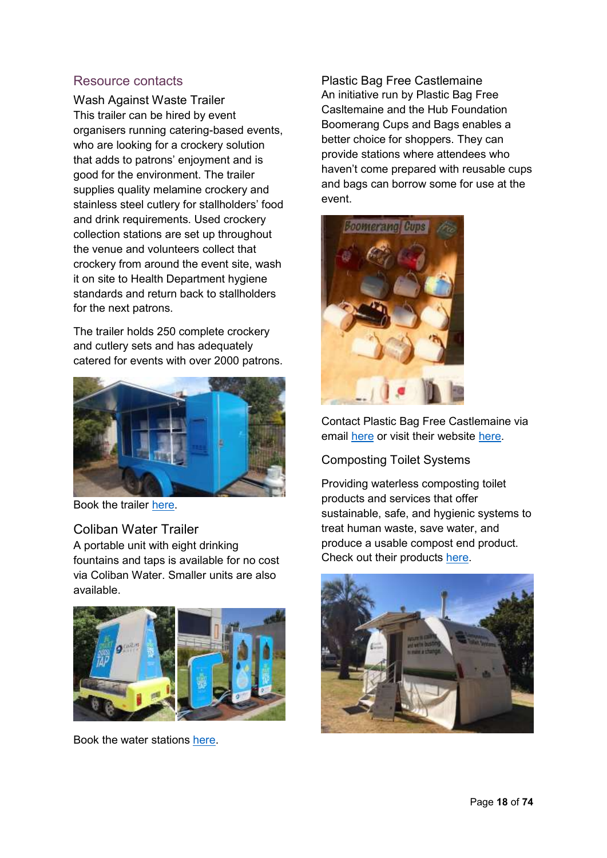## <span id="page-19-0"></span>Resource contacts

<span id="page-19-1"></span>Wash Against Waste Trailer This trailer can be hired by event organisers running catering-based events, who are looking for a crockery solution that adds to patrons' enjoyment and is good for the environment. The trailer supplies quality melamine crockery and stainless steel cutlery for stallholders' food and drink requirements. Used crockery collection stations are set up throughout the venue and volunteers collect that crockery from around the event site, wash it on site to Health Department hygiene standards and return back to stallholders for the next patrons.

The trailer holds 250 complete crockery and cutlery sets and has adequately catered for events with over 2000 patrons.



Book the trailer [here.](https://waw.org.au/trailer-hire/)

<span id="page-19-2"></span>Coliban Water Trailer A portable unit with eight drinking fountains and taps is available for no cost via Coliban Water. Smaller units are also available.



Book the water stations [here.](http://www.coliban.com.au/community/supporting-community-events)

<span id="page-19-3"></span>Plastic Bag Free Castlemaine An initiative run by Plastic Bag Free Casltemaine and the Hub Foundation Boomerang Cups and Bags enables a better choice for shoppers. They can provide stations where attendees who haven't come prepared with reusable cups and bags can borrow some for use at the event.



Contact Plastic Bag Free Castlemaine via email [here](mailto:plasticbagfreecastlemaine@gmail.com) or visit their website [here.](http://www.hubfoundation.org.au/plastic-bag-free-castlemaine/)

<span id="page-19-4"></span>Composting Toilet Systems

Providing waterless composting toilet products and services that offer sustainable, safe, and hygienic systems to treat human waste, save water, and produce a usable compost end product. Check out their products [here.](http://www.compostingtoiletsystems.com.au/hire-toilets)

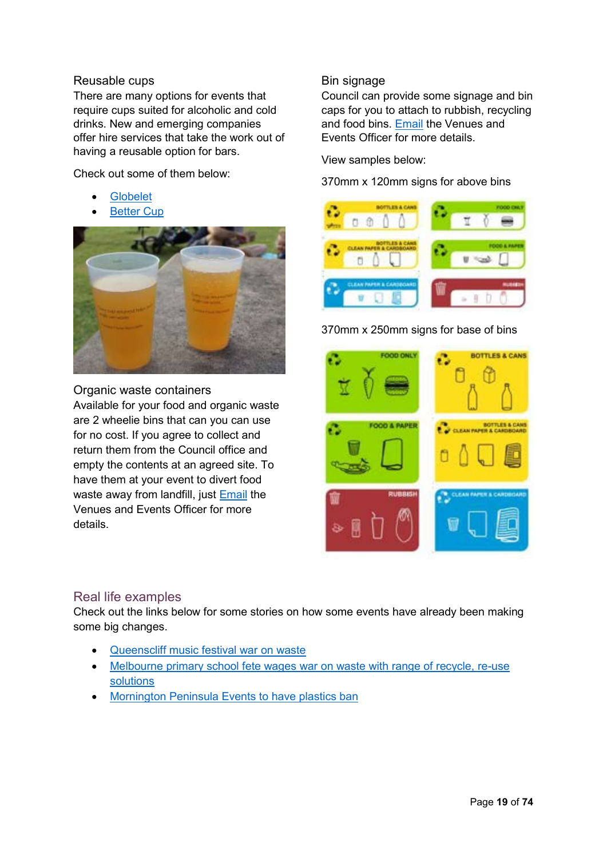#### <span id="page-20-0"></span>Reusable cups

There are many options for events that require cups suited for alcoholic and cold drinks. New and emerging companies offer hire services that take the work out of having a reusable option for bars.

Check out some of them below:

- [Globelet](http://www.globelet.com/rent-or-buy)
- [Better Cup](http://www.bettercup.com.au/)



#### <span id="page-20-1"></span>Organic waste containers

Available for your food and organic waste are 2 wheelie bins that can you can use for no cost. If you agree to collect and return them from the Council office and empty the contents at an agreed site. To have them at your event to divert food waste away from landfill, just [Email](mailto:events@mountalexander.vic.gov.au?subject=Work%20farm%20bin) the Venues and Events Officer for more details.

## <span id="page-20-3"></span>Real life examples

Check out the links below for some stories on how some events have already been making some big changes.

- [Queenscliff music festival war on waste](https://www.qmf.net.au/info/war-on-waste)
- Melbourne primary school fete wages war on waste with range of recycle, re-use [solutions](https://www.abc.net.au/news/2019-10-26/war-on-waste-waged-by-melbourne-primary-school-fete-recycling/11625936)
- [Mornington Peninsula Events to have plastics ban](http://www.mpnews.com.au/2019/10/14/shire-plans-to-ban-plastics/?fbclid=IwAR2vRR2dASHkS_WsCFhsdqxELr3hUiSGdk_YBARinX0QQtqBH2dsAuQ5QTk)

#### <span id="page-20-2"></span>Bin signage

Council can provide some signage and bin caps for you to attach to rubbish, recycling and food bins. [Email](mailto:events@mountalexander.vic.gov.au?subject=Work%20farm%20bin) the Venues and Events Officer for more details.

View samples below:

370mm x 120mm signs for above bins



370mm x 250mm signs for base of bins

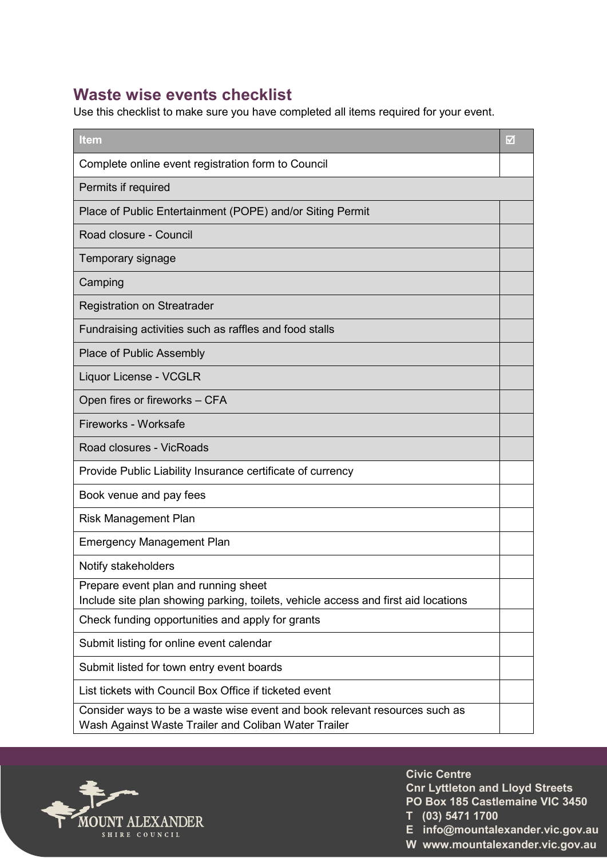# <span id="page-21-0"></span>**Waste wise events checklist**

Use this checklist to make sure you have completed all items required for your event.

| <b>Item</b>                                                                                                                        | M |
|------------------------------------------------------------------------------------------------------------------------------------|---|
| Complete online event registration form to Council                                                                                 |   |
| Permits if required                                                                                                                |   |
| Place of Public Entertainment (POPE) and/or Siting Permit                                                                          |   |
| Road closure - Council                                                                                                             |   |
| Temporary signage                                                                                                                  |   |
| Camping                                                                                                                            |   |
| <b>Registration on Streatrader</b>                                                                                                 |   |
| Fundraising activities such as raffles and food stalls                                                                             |   |
| <b>Place of Public Assembly</b>                                                                                                    |   |
| Liquor License - VCGLR                                                                                                             |   |
| Open fires or fireworks - CFA                                                                                                      |   |
| Fireworks - Worksafe                                                                                                               |   |
| Road closures - VicRoads                                                                                                           |   |
| Provide Public Liability Insurance certificate of currency                                                                         |   |
| Book venue and pay fees                                                                                                            |   |
| <b>Risk Management Plan</b>                                                                                                        |   |
| <b>Emergency Management Plan</b>                                                                                                   |   |
| Notify stakeholders                                                                                                                |   |
| Prepare event plan and running sheet<br>Include site plan showing parking, toilets, vehicle access and first aid locations         |   |
| Check funding opportunities and apply for grants                                                                                   |   |
| Submit listing for online event calendar                                                                                           |   |
| Submit listed for town entry event boards                                                                                          |   |
| List tickets with Council Box Office if ticketed event                                                                             |   |
| Consider ways to be a waste wise event and book relevant resources such as<br>Wash Against Waste Trailer and Coliban Water Trailer |   |



**Castlemain Civic Centre Cnr Lyttleton and Lloyd Streets PO Box 185 Castlemaine VIC 3450 T (03) 5471 1700**

**E info@mountalexander.vic.gov.au W www.mountalexander.vic.gov.au**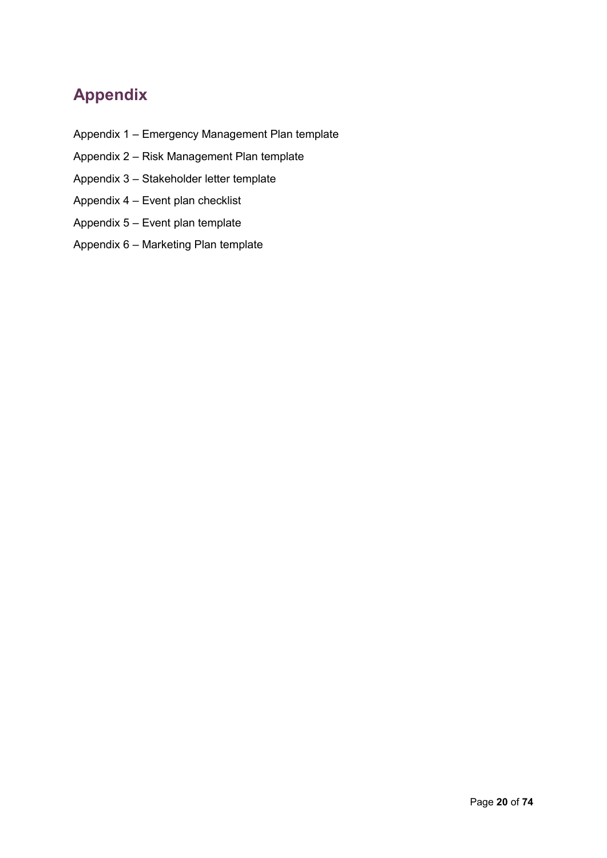# <span id="page-22-0"></span>**Appendix**

- Appendix 1 Emergency Management Plan template
- Appendix 2 Risk Management Plan template
- Appendix 3 Stakeholder letter template
- Appendix 4 Event plan checklist
- Appendix 5 Event plan template
- Appendix 6 Marketing Plan template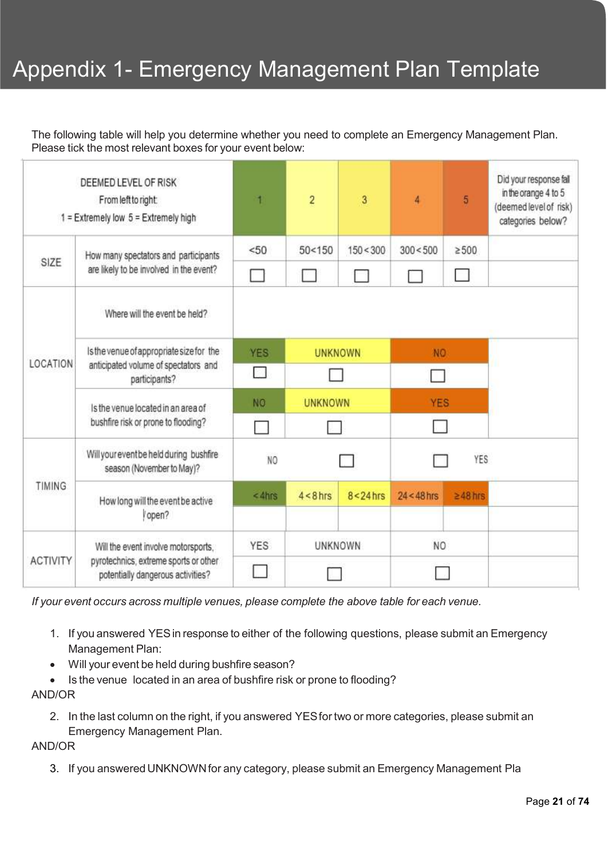# Appendix 1- Emergency Management Plan Template

The following table will help you determine whether you need to complete an Emergency Management Plan. Please tick the most relevant boxes for your event below:

|                 | DEEMED LEVEL OF RISK<br>From left to right:<br>$1 =$ Extremely low $5 =$ Extremely high     | 1                            | $\overline{2}$ | 3              | 4             | 5             | Did your response fall<br>in the orange 4 to 5<br>(deemed level of risk)<br>categories below? |
|-----------------|---------------------------------------------------------------------------------------------|------------------------------|----------------|----------------|---------------|---------------|-----------------------------------------------------------------------------------------------|
|                 | How many spectators and participants                                                        | < 50                         | 50 < 150       | 150 < 300      | 300 < 500     | $\geq 500$    |                                                                                               |
| SIZE            | are likely to be involved in the event?                                                     |                              |                |                |               | m.            |                                                                                               |
|                 | Where will the event be held?                                                               |                              |                |                |               |               |                                                                                               |
|                 | Is the venue of appropriate size for the                                                    | <b>YES</b>                   | <b>UNKNOWN</b> |                | NO.           |               |                                                                                               |
| LOCATION        | anticipated volume of spectators and<br>participants?<br>Is the venue located in an area of | П                            |                |                | H             |               |                                                                                               |
|                 |                                                                                             | <b>NO</b>                    | <b>UNKNOWN</b> |                | <b>YES</b>    |               |                                                                                               |
|                 | bushfire risk or prone to flooding?                                                         |                              |                |                |               |               |                                                                                               |
|                 | Will your event be held during bushfire<br>season (November to May)?                        | NO                           |                |                |               | YES           |                                                                                               |
| <b>TIMING</b>   | How long will the event be active                                                           | $<$ 4hrs                     | $4 < 8$ hrs    | $8 < 24$ hrs   | $24 < 48$ hrs | $\geq$ 48 hrs |                                                                                               |
|                 | Vopen?                                                                                      |                              |                |                |               |               |                                                                                               |
|                 | Will the event involve motorsports,                                                         | <b>YES</b><br><b>UNKNOWN</b> |                | N <sub>O</sub> |               |               |                                                                                               |
| <b>ACTIVITY</b> | pyrotechnics, extreme sports or other<br>potentially dangerous activities?                  |                              |                |                |               |               |                                                                                               |

*If your event occurs across multiple venues, please complete the above table for each venue.* 

- 1. If you answered YES in response to either of the following questions, please submit an Emergency Management Plan:
- Will your event be held during bushfire season?
- Is the venue located in an area of bushfire risk or prone to flooding?

#### AND/OR

2. In the last column on the right, if you answered YES for two or more categories, please submit an

Emergency Management Plan.

#### AND/OR

3. If you answered UNKNOWN for any category, please submit an Emergency Management Pla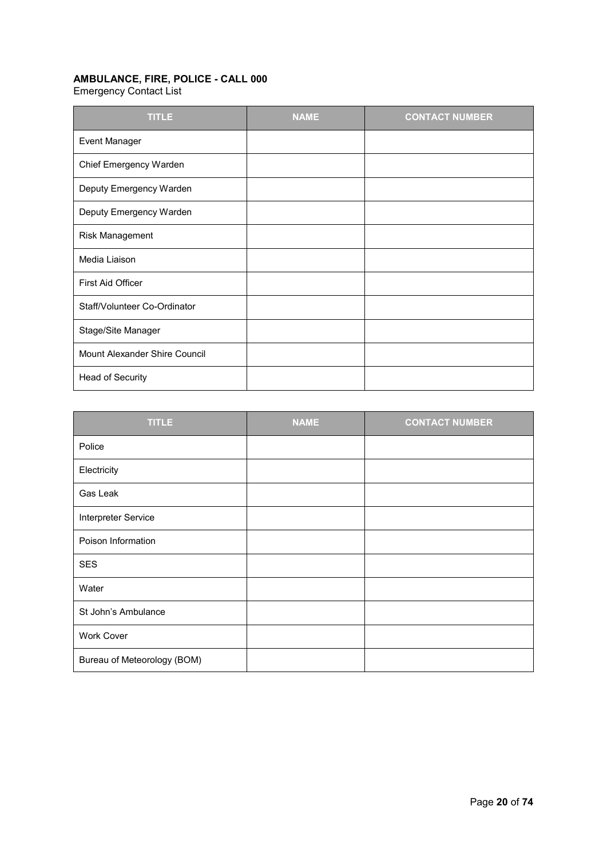## **AMBULANCE, FIRE, POLICE - CALL 000**

Emergency Contact List

| <b>TITLE</b>                  | <b>NAME</b> | <b>CONTACT NUMBER</b> |
|-------------------------------|-------------|-----------------------|
| Event Manager                 |             |                       |
| Chief Emergency Warden        |             |                       |
| Deputy Emergency Warden       |             |                       |
| Deputy Emergency Warden       |             |                       |
| Risk Management               |             |                       |
| Media Liaison                 |             |                       |
| First Aid Officer             |             |                       |
| Staff/Volunteer Co-Ordinator  |             |                       |
| Stage/Site Manager            |             |                       |
| Mount Alexander Shire Council |             |                       |
| Head of Security              |             |                       |

| <b>TITLE</b>                | <b>NAME</b> | <b>CONTACT NUMBER</b> |
|-----------------------------|-------------|-----------------------|
| Police                      |             |                       |
| Electricity                 |             |                       |
| Gas Leak                    |             |                       |
| Interpreter Service         |             |                       |
| Poison Information          |             |                       |
| <b>SES</b>                  |             |                       |
| Water                       |             |                       |
| St John's Ambulance         |             |                       |
| <b>Work Cover</b>           |             |                       |
| Bureau of Meteorology (BOM) |             |                       |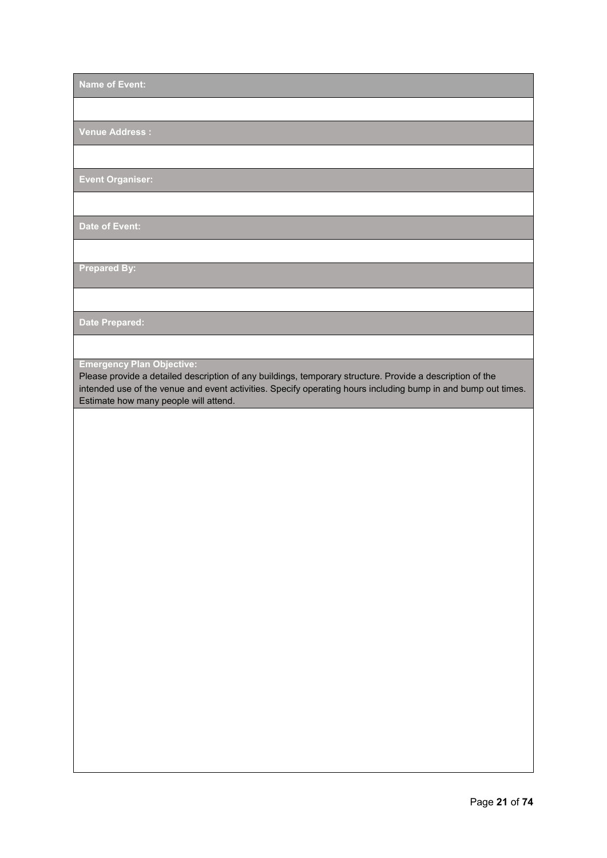**Name of Event:** 

**Venue Address :** 

**Event Organiser:** 

**Date of Event:** 

**Prepared By:** 

**Date Prepared:** 

**Emergency Plan Objective:**

Please provide a detailed description of any buildings, temporary structure. Provide a description of the intended use of the venue and event activities. Specify operating hours including bump in and bump out times. Estimate how many people will attend.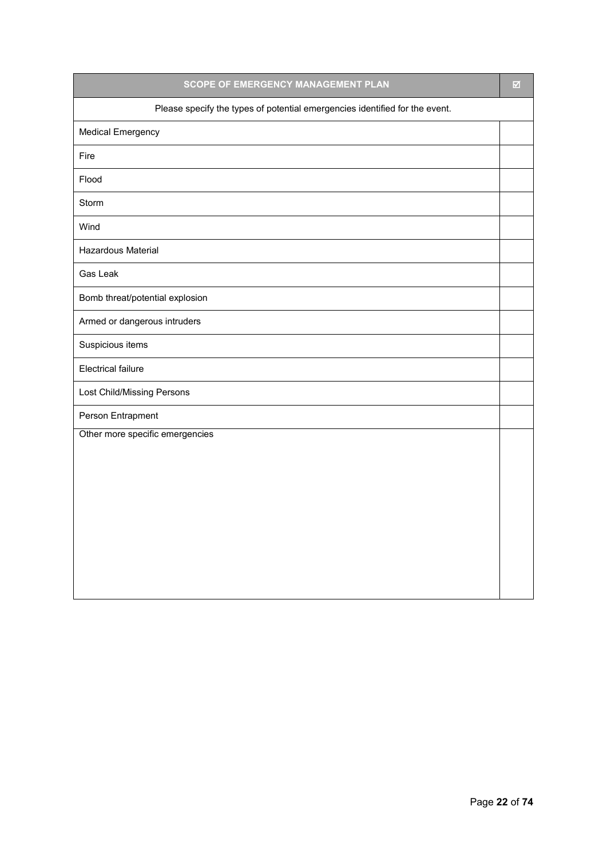| SCOPE OF EMERGENCY MANAGEMENT PLAN                                          | $\boxtimes$ |
|-----------------------------------------------------------------------------|-------------|
| Please specify the types of potential emergencies identified for the event. |             |
| <b>Medical Emergency</b>                                                    |             |
| Fire                                                                        |             |
| Flood                                                                       |             |
| Storm                                                                       |             |
| Wind                                                                        |             |
| Hazardous Material                                                          |             |
| <b>Gas Leak</b>                                                             |             |
| Bomb threat/potential explosion                                             |             |
| Armed or dangerous intruders                                                |             |
| Suspicious items                                                            |             |
| <b>Electrical failure</b>                                                   |             |
| Lost Child/Missing Persons                                                  |             |
| Person Entrapment                                                           |             |
| Other more specific emergencies                                             |             |
|                                                                             |             |
|                                                                             |             |
|                                                                             |             |
|                                                                             |             |
|                                                                             |             |
|                                                                             |             |
|                                                                             |             |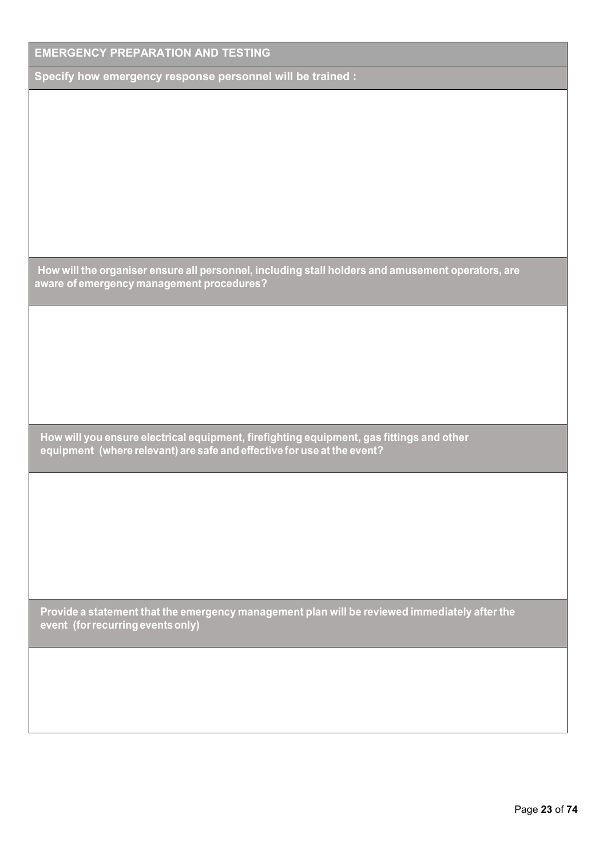| <b>EMERGENCY PREPARATION AND TESTING</b>                                                                                                                            |
|---------------------------------------------------------------------------------------------------------------------------------------------------------------------|
| Specify how emergency response personnel will be trained :                                                                                                          |
|                                                                                                                                                                     |
|                                                                                                                                                                     |
|                                                                                                                                                                     |
|                                                                                                                                                                     |
|                                                                                                                                                                     |
|                                                                                                                                                                     |
|                                                                                                                                                                     |
| How will the organiser ensure all personnel, including stall holders and amusement operators, are<br>aware of emergency management procedures?                      |
|                                                                                                                                                                     |
|                                                                                                                                                                     |
|                                                                                                                                                                     |
|                                                                                                                                                                     |
|                                                                                                                                                                     |
| How will you ensure electrical equipment, firefighting equipment, gas fittings and other<br>equipment (where relevant) are safe and effective for use at the event? |
|                                                                                                                                                                     |
|                                                                                                                                                                     |
|                                                                                                                                                                     |
|                                                                                                                                                                     |
|                                                                                                                                                                     |
| Provide a statement that the emergency management plan will be reviewed immediately after the<br>event (for recurring events only)                                  |
|                                                                                                                                                                     |
|                                                                                                                                                                     |
|                                                                                                                                                                     |
|                                                                                                                                                                     |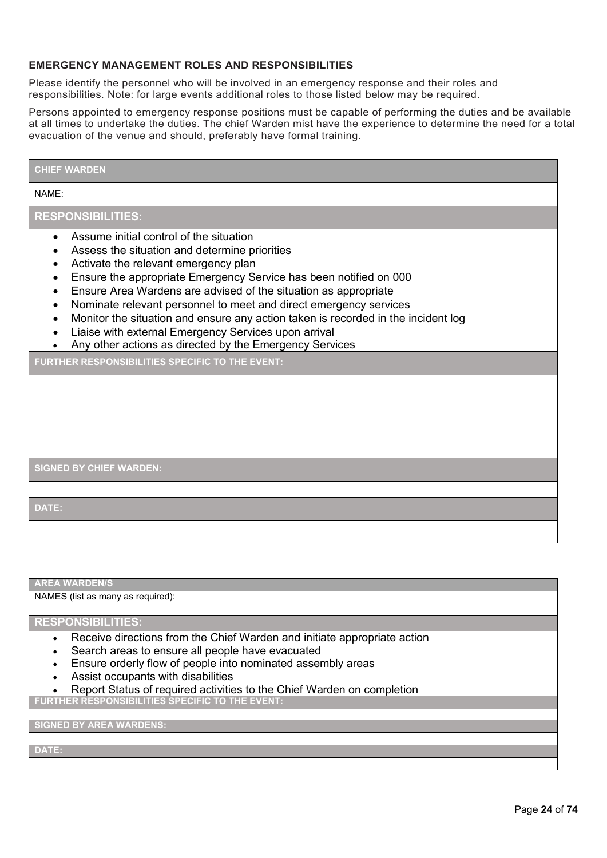#### **EMERGENCY MANAGEMENT ROLES AND RESPONSIBILITIES**

Please identify the personnel who will be involved in an emergency response and their roles and responsibilities. Note: for large events additional roles to those listed below may be required.

Persons appointed to emergency response positions must be capable of performing the duties and be available at all times to undertake the duties. The chief Warden mist have the experience to determine the need for a total evacuation of the venue and should, preferably have formal training.

#### **CHIEF WARDEN**

#### NAME:

#### **RESPONSIBILITIES:**

- Assume initial control of the situation
- Assess the situation and determine priorities
- Activate the relevant emergency plan
- Ensure the appropriate Emergency Service has been notified on 000
- Ensure Area Wardens are advised of the situation as appropriate
- Nominate relevant personnel to meet and direct emergency services
- Monitor the situation and ensure any action taken is recorded in the incident log
- Liaise with external Emergency Services upon arrival
- Any other actions as directed by the Emergency Services

**FURTHER RESPONSIBILITIES SPECIFIC TO THE EVENT:** 

**SIGNED BY CHIEF WARDEN:**

**DATE:** 

**AREA WARDEN/S** 

NAMES (list as many as required):

#### **RESPONSIBILITIES:**

- Receive directions from the Chief Warden and initiate appropriate action
- Search areas to ensure all people have evacuated
- Ensure orderly flow of people into nominated assembly areas
- Assist occupants with disabilities
- Report Status of required activities to the Chief Warden on completion

**FURTHER RESPONSIBILITIES SPECIFIC TO THE EVENT:** 

**SIGNED BY AREA WARDENS:** 

**DATE:**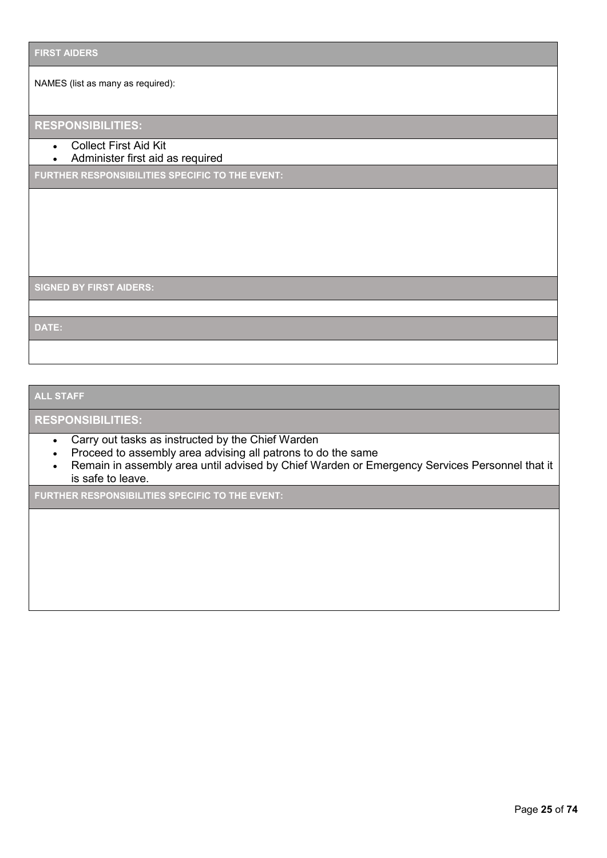NAMES (list as many as required):

## **RESPONSIBILITIES:**

- Collect First Aid Kit
- Administer first aid as required

**FURTHER RESPONSIBILITIES SPECIFIC TO THE EVENT:** 

**SIGNED BY FIRST AIDERS:** 

**DATE:** 

#### **ALL STAFF**

#### **RESPONSIBILITIES:**

- Carry out tasks as instructed by the Chief Warden
- Proceed to assembly area advising all patrons to do the same
- Remain in assembly area until advised by Chief Warden or Emergency Services Personnel that it is safe to leave.

**FURTHER RESPONSIBILITIES SPECIFIC TO THE EVENT:**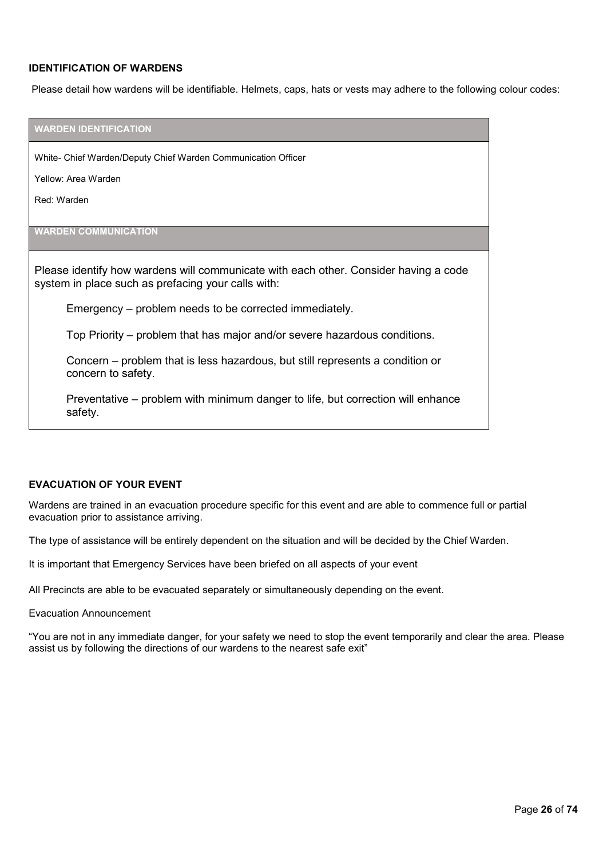#### **IDENTIFICATION OF WARDENS**

Please detail how wardens will be identifiable. Helmets, caps, hats or vests may adhere to the following colour codes:

| <b>WARDEN IDENTIFICATION</b>                                                                                                               |
|--------------------------------------------------------------------------------------------------------------------------------------------|
| White- Chief Warden/Deputy Chief Warden Communication Officer                                                                              |
| Yellow: Area Warden                                                                                                                        |
| Red: Warden                                                                                                                                |
|                                                                                                                                            |
| <b>WARDEN COMMUNICATION</b>                                                                                                                |
| Please identify how wardens will communicate with each other. Consider having a code<br>system in place such as prefacing your calls with: |
| Emergency – problem needs to be corrected immediately.                                                                                     |
| Top Priority – problem that has major and/or severe hazardous conditions.                                                                  |
| Concern – problem that is less hazardous, but still represents a condition or<br>concern to safety.                                        |
| Preventative – problem with minimum danger to life, but correction will enhance<br>safety.                                                 |

#### **EVACUATION OF YOUR EVENT**

Wardens are trained in an evacuation procedure specific for this event and are able to commence full or partial evacuation prior to assistance arriving.

The type of assistance will be entirely dependent on the situation and will be decided by the Chief Warden.

It is important that Emergency Services have been briefed on all aspects of your event

All Precincts are able to be evacuated separately or simultaneously depending on the event.

#### Evacuation Announcement

"You are not in any immediate danger, for your safety we need to stop the event temporarily and clear the area. Please assist us by following the directions of our wardens to the nearest safe exit"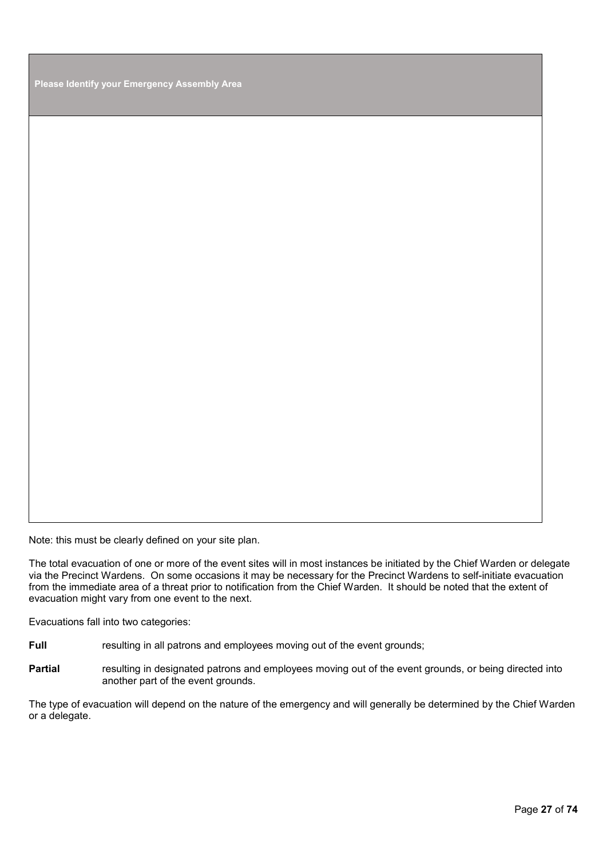**Please Identify your Emergency Assembly Area**

Note: this must be clearly defined on your site plan.

The total evacuation of one or more of the event sites will in most instances be initiated by the Chief Warden or delegate via the Precinct Wardens. On some occasions it may be necessary for the Precinct Wardens to self-initiate evacuation from the immediate area of a threat prior to notification from the Chief Warden. It should be noted that the extent of evacuation might vary from one event to the next.

Evacuations fall into two categories:

**Full** resulting in all patrons and employees moving out of the event grounds;

Partial **resulting in designated patrons and employees moving out of the event grounds, or being directed into** another part of the event grounds.

The type of evacuation will depend on the nature of the emergency and will generally be determined by the Chief Warden or a delegate.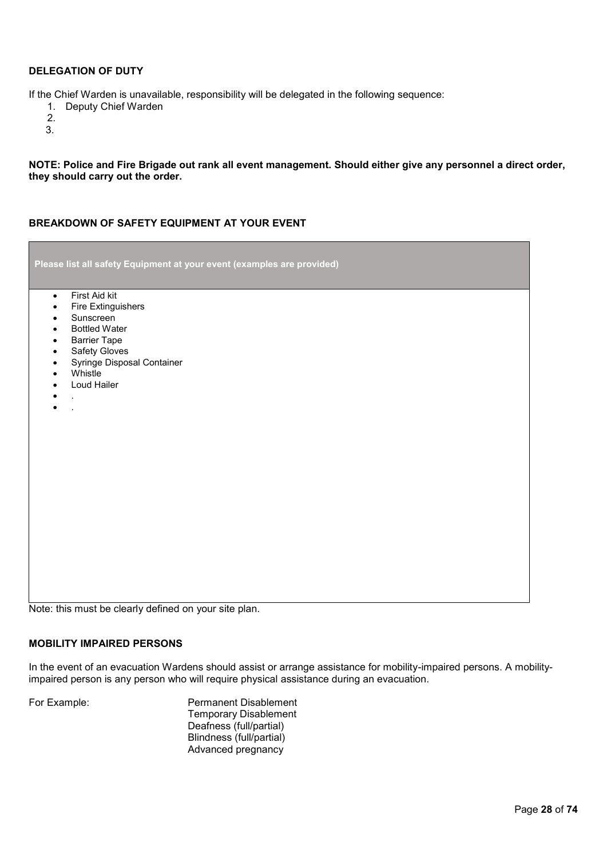#### **DELEGATION OF DUTY**

If the Chief Warden is unavailable, responsibility will be delegated in the following sequence:

- 1. Deputy Chief Warden
- 2.
- 3.

**NOTE: Police and Fire Brigade out rank all event management. Should either give any personnel a direct order, they should carry out the order.** 

#### **BREAKDOWN OF SAFETY EQUIPMENT AT YOUR EVENT**

| Please list all safety Equipment at your event (examples are provided) |  |
|------------------------------------------------------------------------|--|
| First Aid kit<br>$\bullet$                                             |  |
| Fire Extinguishers<br>$\bullet$                                        |  |
| Sunscreen<br>$\bullet$                                                 |  |
| <b>Bottled Water</b><br>$\bullet$<br><b>Barrier Tape</b><br>$\bullet$  |  |
| Safety Gloves<br>$\bullet$                                             |  |
| Syringe Disposal Container<br>$\bullet$                                |  |
| Whistle<br>٠                                                           |  |
| Loud Hailer<br>٠                                                       |  |
| $\blacksquare$                                                         |  |
| $\bullet$                                                              |  |
|                                                                        |  |
|                                                                        |  |
|                                                                        |  |
|                                                                        |  |
|                                                                        |  |
|                                                                        |  |
|                                                                        |  |
|                                                                        |  |
|                                                                        |  |
|                                                                        |  |
|                                                                        |  |
|                                                                        |  |
|                                                                        |  |
|                                                                        |  |
|                                                                        |  |

Note: this must be clearly defined on your site plan.

#### **MOBILITY IMPAIRED PERSONS**

In the event of an evacuation Wardens should assist or arrange assistance for mobility-impaired persons. A mobilityimpaired person is any person who will require physical assistance during an evacuation.

For Example: Permanent Disablement Temporary Disablement Deafness (full/partial) Blindness (full/partial) Advanced pregnancy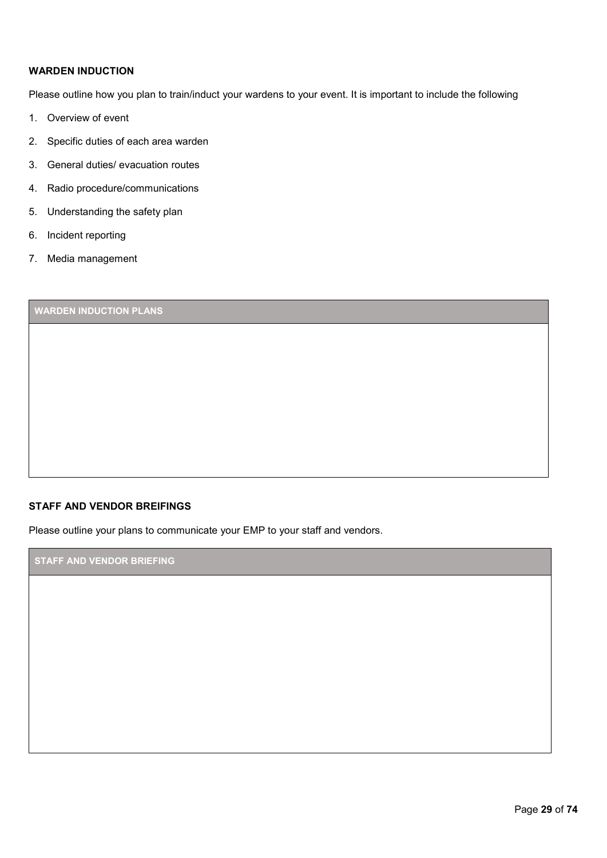#### **WARDEN INDUCTION**

Please outline how you plan to train/induct your wardens to your event. It is important to include the following

- 1. Overview of event
- 2. Specific duties of each area warden
- 3. General duties/ evacuation routes
- 4. Radio procedure/communications
- 5. Understanding the safety plan
- 6. Incident reporting
- 7. Media management

### **WARDEN INDUCTION PLANS**

#### **STAFF AND VENDOR BREIFINGS**

Please outline your plans to communicate your EMP to your staff and vendors.

**STAFF AND VENDOR BRIEFING**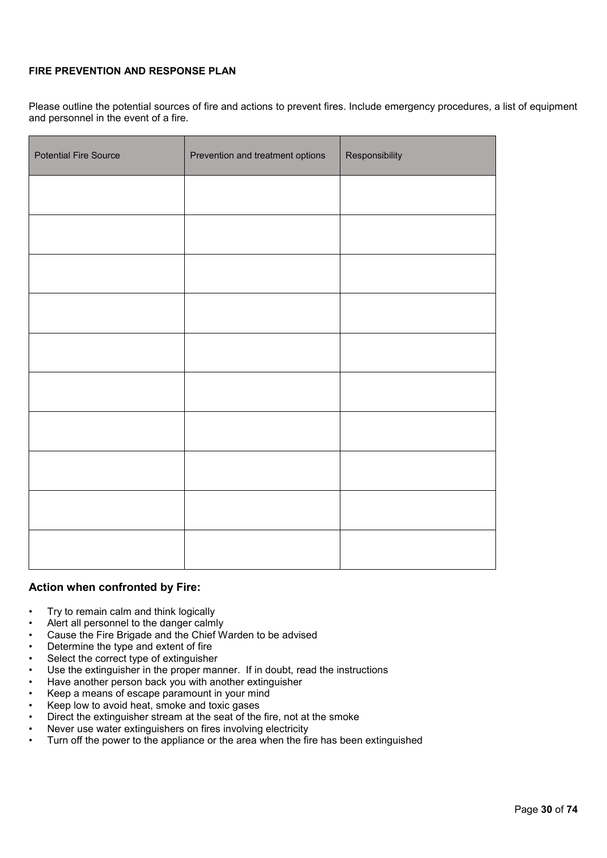#### **FIRE PREVENTION AND RESPONSE PLAN**

Please outline the potential sources of fire and actions to prevent fires. Include emergency procedures, a list of equipment and personnel in the event of a fire.

| <b>Potential Fire Source</b> | Prevention and treatment options | Responsibility |
|------------------------------|----------------------------------|----------------|
|                              |                                  |                |
|                              |                                  |                |
|                              |                                  |                |
|                              |                                  |                |
|                              |                                  |                |
|                              |                                  |                |
|                              |                                  |                |
|                              |                                  |                |
|                              |                                  |                |
|                              |                                  |                |

#### **Action when confronted by Fire:**

- Try to remain calm and think logically
- Alert all personnel to the danger calmly
- Cause the Fire Brigade and the Chief Warden to be advised
- Determine the type and extent of fire
- Select the correct type of extinguisher
- Use the extinguisher in the proper manner. If in doubt, read the instructions
- Have another person back you with another extinguisher
- Keep a means of escape paramount in your mind
- Keep low to avoid heat, smoke and toxic gases
- Direct the extinguisher stream at the seat of the fire, not at the smoke
- Never use water extinguishers on fires involving electricity<br>• Turn off the nower to the appliance or the area when the file
- Turn off the power to the appliance or the area when the fire has been extinguished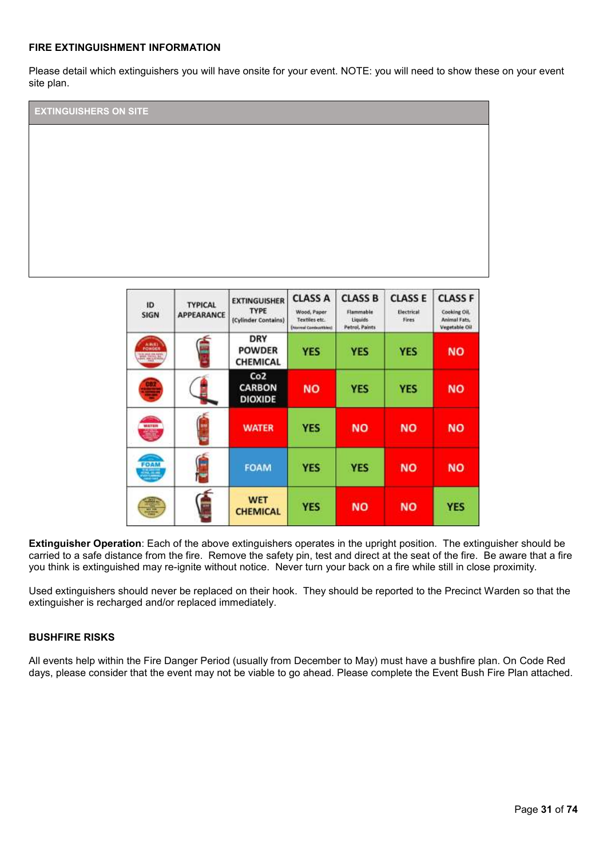#### **FIRE EXTINGUISHMENT INFORMATION**

Please detail which extinguishers you will have onsite for your event. NOTE: you will need to show these on your event site plan.



CARBON

**DIOXIDE** 

**WATER** 

**FOAM** 

**WET** 

**CHEMICAL** 

**Extinguisher Operation**: Each of the above extinguishers operates in the upright position. The extinguisher should be carried to a safe distance from the fire. Remove the safety pin, test and direct at the seat of the fire. Be aware that a fire you think is extinguished may re-ignite without notice. Never turn your back on a fire while still in close proximity.

**NO** 

**YES** 

**YES** 

**YES** 

**YES** 

**NO** 

**YES** 

**NO** 

**YES** 

**NO** 

**NO** 

**NO** 

**NO** 

**NO** 

**NO** 

**YES** 

Used extinguishers should never be replaced on their hook. They should be reported to the Precinct Warden so that the extinguisher is recharged and/or replaced immediately.

#### **BUSHFIRE RISKS**

All events help within the Fire Danger Period (usually from December to May) must have a bushfire plan. On Code Red days, please consider that the event may not be viable to go ahead. Please complete the Event Bush Fire Plan attached.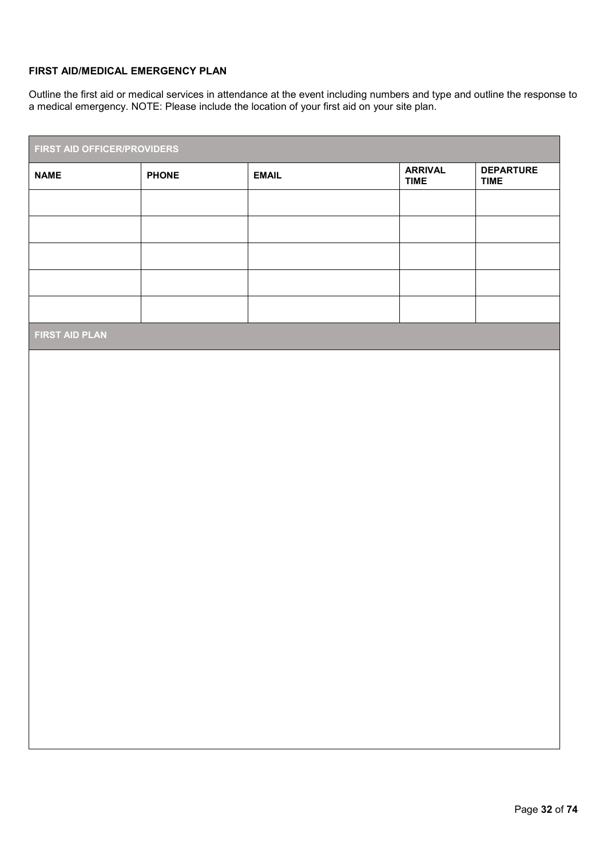#### **FIRST AID/MEDICAL EMERGENCY PLAN**

Outline the first aid or medical services in attendance at the event including numbers and type and outline the response to a medical emergency. NOTE: Please include the location of your first aid on your site plan.

| FIRST AID OFFICER/PROVIDERS |              |                               |                                 |
|-----------------------------|--------------|-------------------------------|---------------------------------|
| <b>PHONE</b>                | <b>EMAIL</b> | <b>ARRIVAL</b><br><b>TIME</b> | <b>DEPARTURE</b><br><b>TIME</b> |
|                             |              |                               |                                 |
|                             |              |                               |                                 |
|                             |              |                               |                                 |
|                             |              |                               |                                 |
|                             |              |                               |                                 |
|                             |              |                               |                                 |
|                             |              |                               |                                 |
|                             |              |                               |                                 |
|                             |              |                               |                                 |
|                             |              |                               |                                 |
|                             |              |                               |                                 |
|                             |              |                               |                                 |
|                             |              |                               |                                 |
|                             |              |                               |                                 |
|                             |              |                               |                                 |
|                             |              |                               |                                 |
|                             |              |                               |                                 |
|                             |              |                               |                                 |
|                             |              |                               |                                 |
|                             |              |                               |                                 |
|                             |              |                               |                                 |
|                             |              |                               |                                 |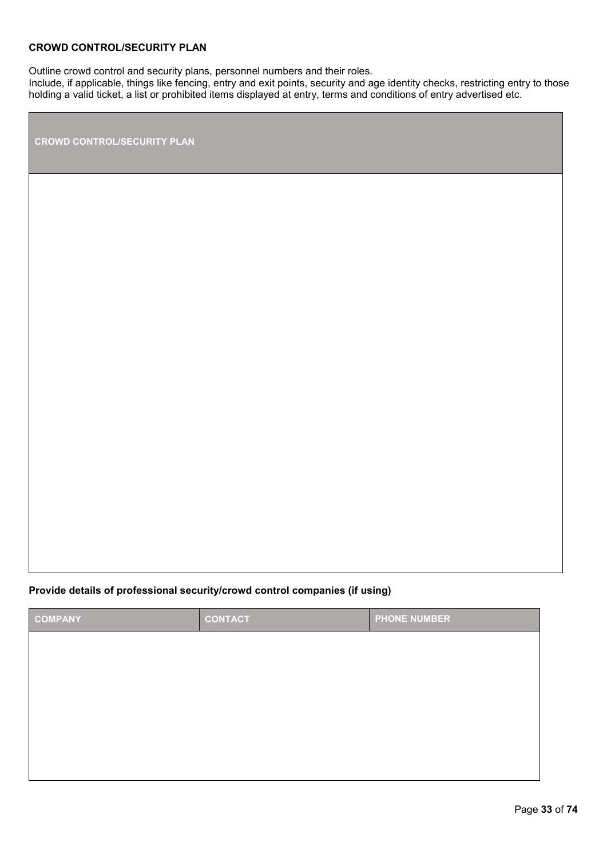#### **CROWD CONTROL/SECURITY PLAN**

Outline crowd control and security plans, personnel numbers and their roles.

Include, if applicable, things like fencing, entry and exit points, security and age identity checks, restricting entry to those holding a valid ticket, a list or prohibited items displayed at entry, terms and conditions of entry advertised etc.

**CROWD CONTROL/SECURITY PLAN** 

#### **Provide details of professional security/crowd control companies (if using)**

| <b>COMPANY</b> | <b>CONTACT</b> | <b>PHONE NUMBER</b> |
|----------------|----------------|---------------------|
|                |                |                     |
|                |                |                     |
|                |                |                     |
|                |                |                     |
|                |                |                     |
|                |                |                     |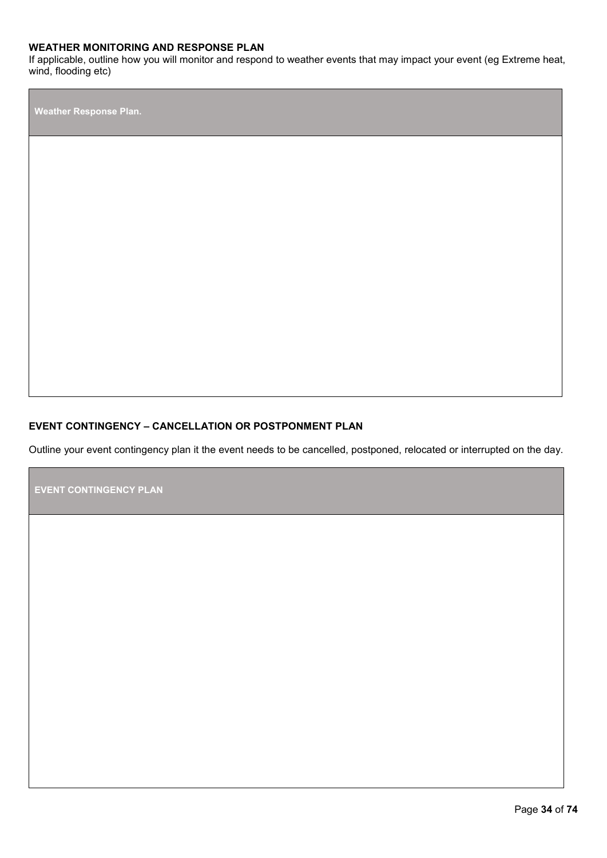#### **WEATHER MONITORING AND RESPONSE PLAN**

If applicable, outline how you will monitor and respond to weather events that may impact your event (eg Extreme heat, wind, flooding etc)

**Weather Response Plan.** 

#### **EVENT CONTINGENCY – CANCELLATION OR POSTPONMENT PLAN**

Outline your event contingency plan it the event needs to be cancelled, postponed, relocated or interrupted on the day.

**EVENT CONTINGENCY PLAN**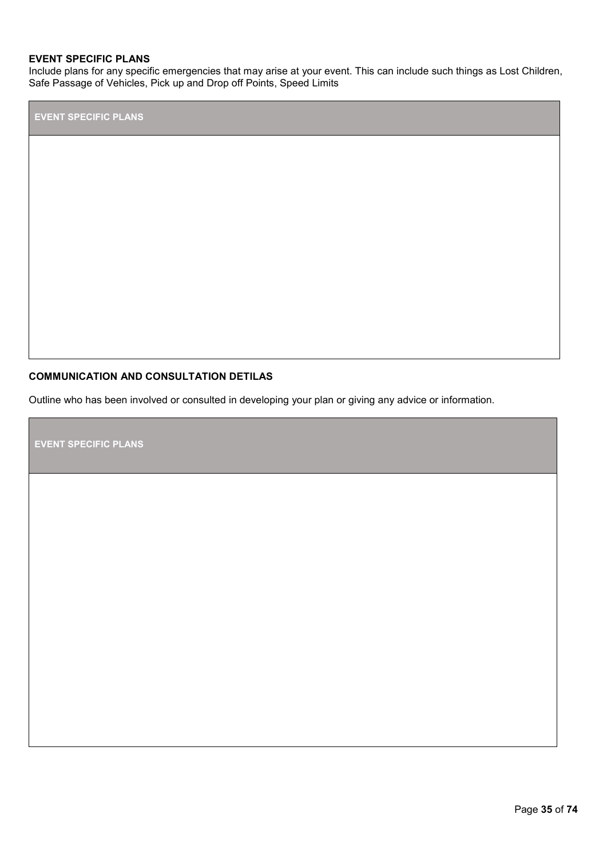#### **EVENT SPECIFIC PLANS**

Include plans for any specific emergencies that may arise at your event. This can include such things as Lost Children, Safe Passage of Vehicles, Pick up and Drop off Points, Speed Limits

**EVENT SPECIFIC PLANS** 

#### **COMMUNICATION AND CONSULTATION DETILAS**

Outline who has been involved or consulted in developing your plan or giving any advice or information.

**EVENT SPECIFIC PLANS**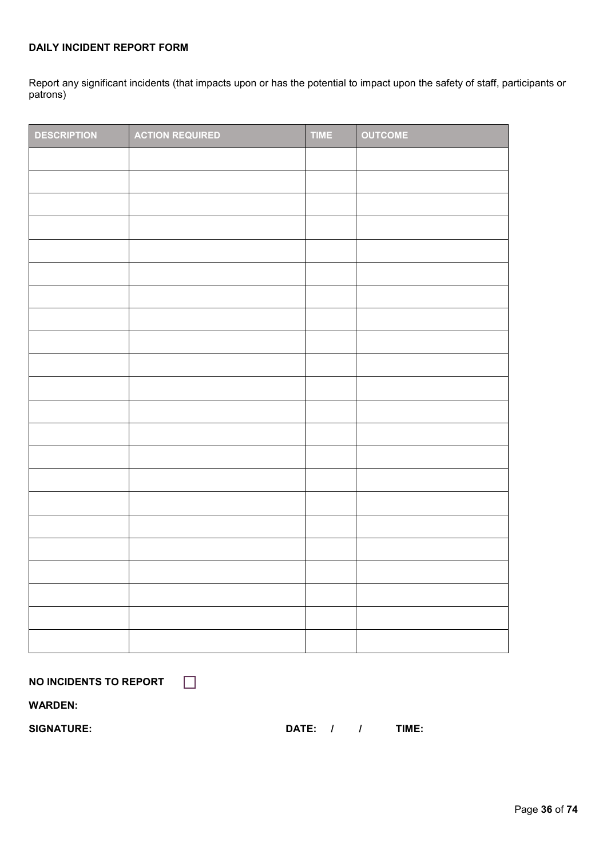#### **DAILY INCIDENT REPORT FORM**

Report any significant incidents (that impacts upon or has the potential to impact upon the safety of staff, participants or patrons)

| <b>DESCRIPTION</b> | <b>ACTION REQUIRED</b> | <b>TIME</b> | <b>OUTCOME</b> |
|--------------------|------------------------|-------------|----------------|
|                    |                        |             |                |
|                    |                        |             |                |
|                    |                        |             |                |
|                    |                        |             |                |
|                    |                        |             |                |
|                    |                        |             |                |
|                    |                        |             |                |
|                    |                        |             |                |
|                    |                        |             |                |
|                    |                        |             |                |
|                    |                        |             |                |
|                    |                        |             |                |
|                    |                        |             |                |
|                    |                        |             |                |
|                    |                        |             |                |
|                    |                        |             |                |
|                    |                        |             |                |
|                    |                        |             |                |
|                    |                        |             |                |
|                    |                        |             |                |
|                    |                        |             |                |
|                    |                        |             |                |

**NO INCIDENTS TO REPORT** 

 $\Box$ 

**WARDEN:** 

SIGNATURE: SIGNATURE: DATE: / / TIME: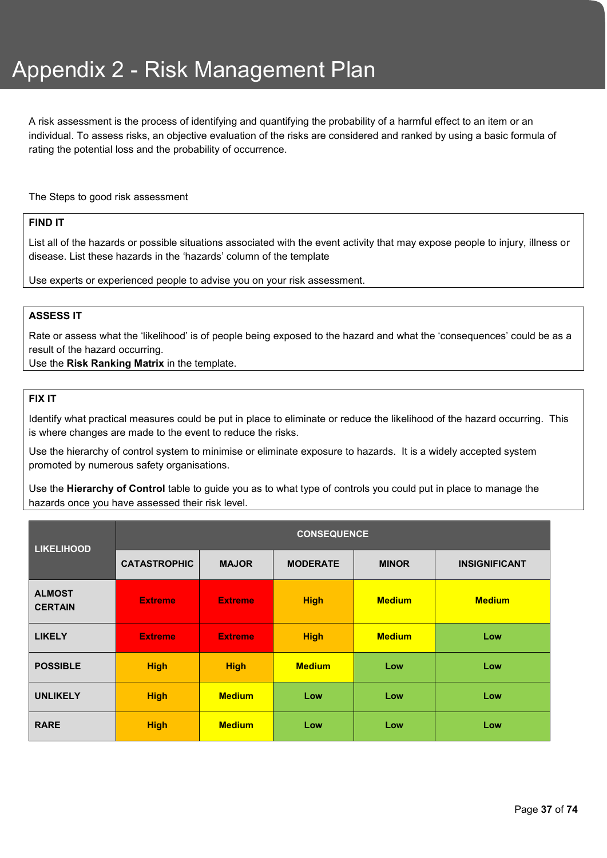A risk assessment is the process of identifying and quantifying the probability of a harmful effect to an item or an individual. To assess risks, an objective evaluation of the risks are considered and ranked by using a basic formula of rating the potential loss and the probability of occurrence.

The Steps to good risk assessment

#### **FIND IT**

List all of the hazards or possible situations associated with the event activity that may expose people to injury, illness or disease. List these hazards in the 'hazards' column of the template

Use experts or experienced people to advise you on your risk assessment.

#### **ASSESS IT**

Rate or assess what the 'likelihood' is of people being exposed to the hazard and what the 'consequences' could be as a result of the hazard occurring.

Use the **Risk Ranking Matrix** in the template.

### **FIX IT**

Identify what practical measures could be put in place to eliminate or reduce the likelihood of the hazard occurring. This is where changes are made to the event to reduce the risks.

Use the hierarchy of control system to minimise or eliminate exposure to hazards. It is a widely accepted system promoted by numerous safety organisations.

Use the **Hierarchy of Control** table to guide you as to what type of controls you could put in place to manage the hazards once you have assessed their risk level.

| <b>LIKELIHOOD</b>               | <b>CONSEQUENCE</b>  |                |                 |               |                      |
|---------------------------------|---------------------|----------------|-----------------|---------------|----------------------|
|                                 | <b>CATASTROPHIC</b> | <b>MAJOR</b>   | <b>MODERATE</b> | <b>MINOR</b>  | <b>INSIGNIFICANT</b> |
| <b>ALMOST</b><br><b>CERTAIN</b> | <b>Extreme</b>      | <b>Extreme</b> | <b>High</b>     | <b>Medium</b> | <b>Medium</b>        |
| <b>LIKELY</b>                   | <b>Extreme</b>      | <b>Extreme</b> | <b>High</b>     | <b>Medium</b> | Low                  |
| <b>POSSIBLE</b>                 | <b>High</b>         | <b>High</b>    | <b>Medium</b>   | Low           | Low                  |
| <b>UNLIKELY</b>                 | <b>High</b>         | <b>Medium</b>  | Low             | Low           | Low                  |
| <b>RARE</b>                     | <b>High</b>         | <b>Medium</b>  | Low             | Low           | Low                  |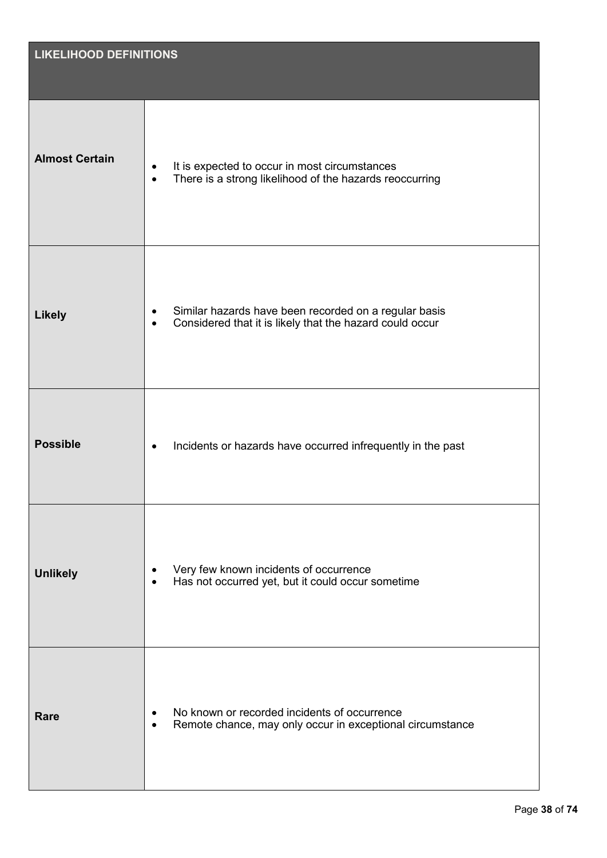| <b>LIKELIHOOD DEFINITIONS</b> |                                                                                                                                             |  |
|-------------------------------|---------------------------------------------------------------------------------------------------------------------------------------------|--|
|                               |                                                                                                                                             |  |
| <b>Almost Certain</b>         | It is expected to occur in most circumstances<br>$\bullet$<br>There is a strong likelihood of the hazards reoccurring<br>$\bullet$          |  |
| <b>Likely</b>                 | Similar hazards have been recorded on a regular basis<br>$\bullet$<br>Considered that it is likely that the hazard could occur<br>$\bullet$ |  |
| <b>Possible</b>               | Incidents or hazards have occurred infrequently in the past<br>$\bullet$                                                                    |  |
| <b>Unlikely</b>               | Very few known incidents of occurrence<br>$\bullet$<br>Has not occurred yet, but it could occur sometime<br>$\bullet$                       |  |
| Rare                          | No known or recorded incidents of occurrence<br>٠<br>Remote chance, may only occur in exceptional circumstance<br>$\bullet$                 |  |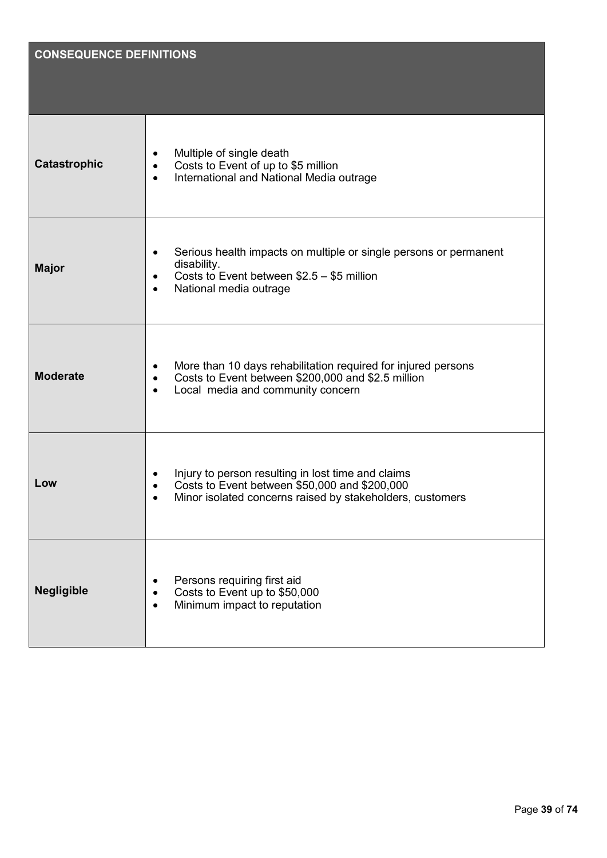| <b>CONSEQUENCE DEFINITIONS</b> |                                                                                                                                                                                                 |
|--------------------------------|-------------------------------------------------------------------------------------------------------------------------------------------------------------------------------------------------|
| <b>Catastrophic</b>            | Multiple of single death<br>$\bullet$<br>Costs to Event of up to \$5 million<br>$\bullet$<br>International and National Media outrage<br>$\bullet$                                              |
| <b>Major</b>                   | Serious health impacts on multiple or single persons or permanent<br>$\bullet$<br>disability.<br>Costs to Event between $$2.5 - $5$ million<br>$\bullet$<br>National media outrage<br>$\bullet$ |
| <b>Moderate</b>                | More than 10 days rehabilitation required for injured persons<br>$\bullet$<br>Costs to Event between \$200,000 and \$2.5 million<br>$\bullet$<br>Local media and community concern<br>$\bullet$ |
| Low                            | Injury to person resulting in lost time and claims<br>Costs to Event between \$50,000 and \$200,000<br>Minor isolated concerns raised by stakeholders, customers                                |
| <b>Negligible</b>              | Persons requiring first aid<br>$\bullet$<br>Costs to Event up to \$50,000<br>$\bullet$<br>Minimum impact to reputation<br>$\bullet$                                                             |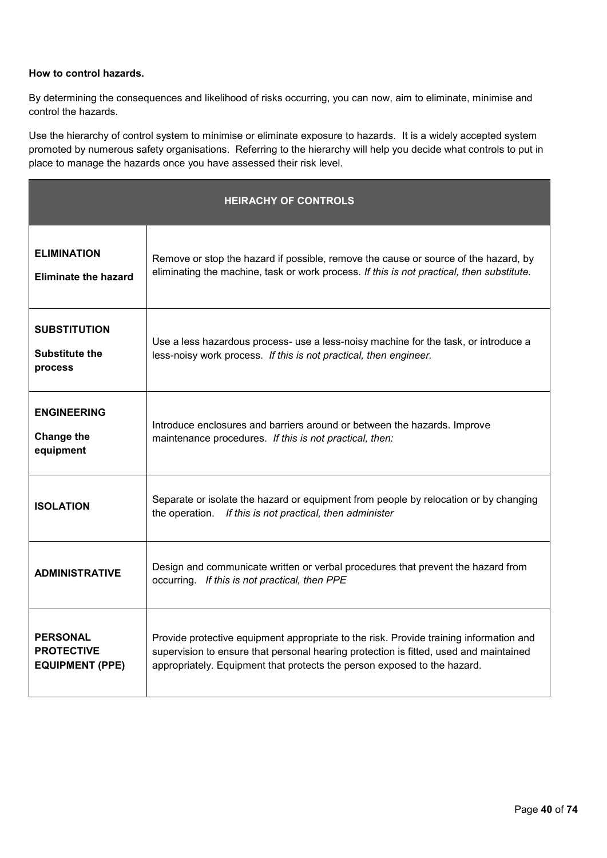#### **How to control hazards.**

By determining the consequences and likelihood of risks occurring, you can now, aim to eliminate, minimise and control the hazards.

Use the hierarchy of control system to minimise or eliminate exposure to hazards.It is a widely accepted system promoted by numerous safety organisations. Referring to the hierarchy will help you decide what controls to put in place to manage the hazards once you have assessed their risk level.

| <b>HEIRACHY OF CONTROLS</b>                                    |                                                                                                                                                                                                                                                             |  |
|----------------------------------------------------------------|-------------------------------------------------------------------------------------------------------------------------------------------------------------------------------------------------------------------------------------------------------------|--|
| <b>ELIMINATION</b><br><b>Eliminate the hazard</b>              | Remove or stop the hazard if possible, remove the cause or source of the hazard, by<br>eliminating the machine, task or work process. If this is not practical, then substitute.                                                                            |  |
| <b>SUBSTITUTION</b><br><b>Substitute the</b><br>process        | Use a less hazardous process- use a less-noisy machine for the task, or introduce a<br>less-noisy work process. If this is not practical, then engineer.                                                                                                    |  |
| <b>ENGINEERING</b><br><b>Change the</b><br>equipment           | Introduce enclosures and barriers around or between the hazards. Improve<br>maintenance procedures. If this is not practical, then:                                                                                                                         |  |
| <b>ISOLATION</b>                                               | Separate or isolate the hazard or equipment from people by relocation or by changing<br>the operation. If this is not practical, then administer                                                                                                            |  |
| <b>ADMINISTRATIVE</b>                                          | Design and communicate written or verbal procedures that prevent the hazard from<br>occurring. If this is not practical, then PPE                                                                                                                           |  |
| <b>PERSONAL</b><br><b>PROTECTIVE</b><br><b>EQUIPMENT (PPE)</b> | Provide protective equipment appropriate to the risk. Provide training information and<br>supervision to ensure that personal hearing protection is fitted, used and maintained<br>appropriately. Equipment that protects the person exposed to the hazard. |  |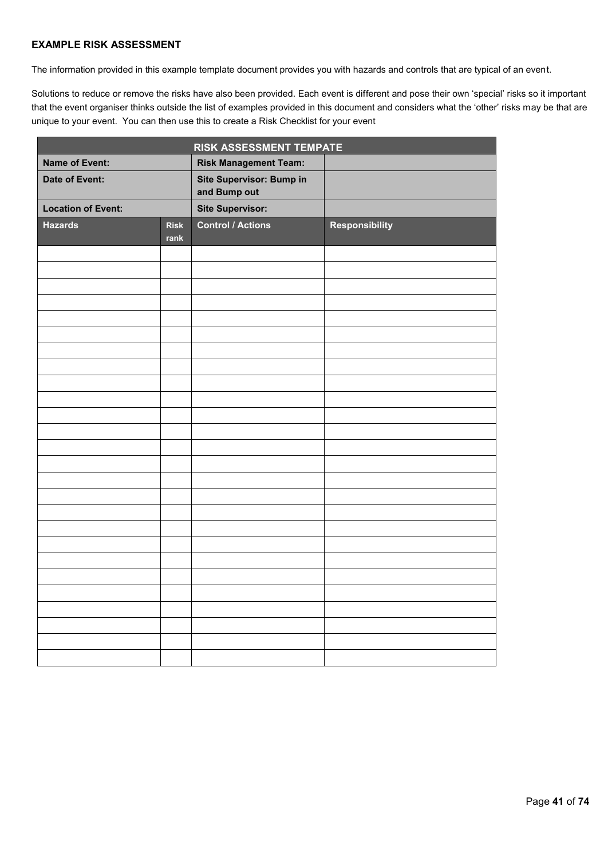#### **EXAMPLE RISK ASSESSMENT**

The information provided in this example template document provides you with hazards and controls that are typical of an event.

Solutions to reduce or remove the risks have also been provided. Each event is different and pose their own 'special' risks so it important that the event organiser thinks outside the list of examples provided in this document and considers what the 'other' risks may be that are unique to your event. You can then use this to create a Risk Checklist for your event

|                           |                     | RISK ASSESSMENT TEMPATE                         |                       |
|---------------------------|---------------------|-------------------------------------------------|-----------------------|
| <b>Name of Event:</b>     |                     | <b>Risk Management Team:</b>                    |                       |
| <b>Date of Event:</b>     |                     | <b>Site Supervisor: Bump in</b><br>and Bump out |                       |
| <b>Location of Event:</b> |                     | <b>Site Supervisor:</b>                         |                       |
| <b>Hazards</b>            | <b>Risk</b><br>rank | <b>Control / Actions</b>                        | <b>Responsibility</b> |
|                           |                     |                                                 |                       |
|                           |                     |                                                 |                       |
|                           |                     |                                                 |                       |
|                           |                     |                                                 |                       |
|                           |                     |                                                 |                       |
|                           |                     |                                                 |                       |
|                           |                     |                                                 |                       |
|                           |                     |                                                 |                       |
|                           |                     |                                                 |                       |
|                           |                     |                                                 |                       |
|                           |                     |                                                 |                       |
|                           |                     |                                                 |                       |
|                           |                     |                                                 |                       |
|                           |                     |                                                 |                       |
|                           |                     |                                                 |                       |
|                           |                     |                                                 |                       |
|                           |                     |                                                 |                       |
|                           |                     |                                                 |                       |
|                           |                     |                                                 |                       |
|                           |                     |                                                 |                       |
|                           |                     |                                                 |                       |
|                           |                     |                                                 |                       |
|                           |                     |                                                 |                       |
|                           |                     |                                                 |                       |
|                           |                     |                                                 |                       |
|                           |                     |                                                 |                       |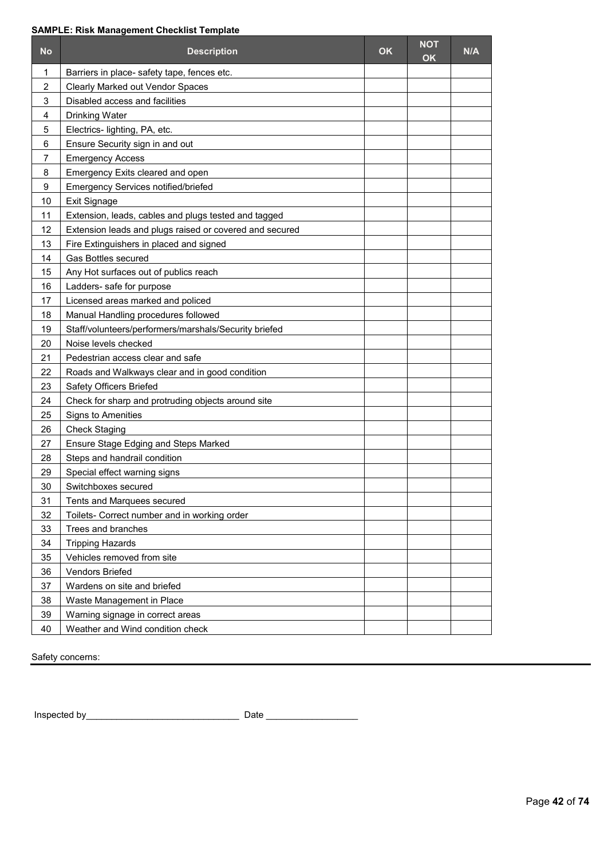#### **SAMPLE: Risk Management Checklist Template**

| <b>No</b>      | <b>Description</b>                                      | OK | <b>NOT</b><br><b>OK</b> | N/A |
|----------------|---------------------------------------------------------|----|-------------------------|-----|
| 1              | Barriers in place- safety tape, fences etc.             |    |                         |     |
| $\overline{c}$ | Clearly Marked out Vendor Spaces                        |    |                         |     |
| 3              | Disabled access and facilities                          |    |                         |     |
| 4              | <b>Drinking Water</b>                                   |    |                         |     |
| 5              | Electrics- lighting, PA, etc.                           |    |                         |     |
| 6              | Ensure Security sign in and out                         |    |                         |     |
| 7              | <b>Emergency Access</b>                                 |    |                         |     |
| 8              | Emergency Exits cleared and open                        |    |                         |     |
| 9              | Emergency Services notified/briefed                     |    |                         |     |
| 10             | Exit Signage                                            |    |                         |     |
| 11             | Extension, leads, cables and plugs tested and tagged    |    |                         |     |
| 12             | Extension leads and plugs raised or covered and secured |    |                         |     |
| 13             | Fire Extinguishers in placed and signed                 |    |                         |     |
| 14             | <b>Gas Bottles secured</b>                              |    |                         |     |
| 15             | Any Hot surfaces out of publics reach                   |    |                         |     |
| 16             | Ladders- safe for purpose                               |    |                         |     |
| 17             | Licensed areas marked and policed                       |    |                         |     |
| 18             | Manual Handling procedures followed                     |    |                         |     |
| 19             | Staff/volunteers/performers/marshals/Security briefed   |    |                         |     |
| 20             | Noise levels checked                                    |    |                         |     |
| 21             | Pedestrian access clear and safe                        |    |                         |     |
| 22             | Roads and Walkways clear and in good condition          |    |                         |     |
| 23             | Safety Officers Briefed                                 |    |                         |     |
| 24             | Check for sharp and protruding objects around site      |    |                         |     |
| 25             | Signs to Amenities                                      |    |                         |     |
| 26             | <b>Check Staging</b>                                    |    |                         |     |
| 27             | Ensure Stage Edging and Steps Marked                    |    |                         |     |
| 28             | Steps and handrail condition                            |    |                         |     |
| 29             | Special effect warning signs                            |    |                         |     |
| 30             | Switchboxes secured                                     |    |                         |     |
| 31             | Tents and Marquees secured                              |    |                         |     |
| 32             | Toilets- Correct number and in working order            |    |                         |     |
| 33             | Trees and branches                                      |    |                         |     |
| 34             | <b>Tripping Hazards</b>                                 |    |                         |     |
| 35             | Vehicles removed from site                              |    |                         |     |
| 36             | Vendors Briefed                                         |    |                         |     |
| 37             | Wardens on site and briefed                             |    |                         |     |
| 38             | Waste Management in Place                               |    |                         |     |
| 39             | Warning signage in correct areas                        |    |                         |     |
| 40             | Weather and Wind condition check                        |    |                         |     |

Safety concerns:

Inspected by\_\_\_\_\_\_\_\_\_\_\_\_\_\_\_\_\_\_\_\_\_\_\_\_\_\_\_\_\_\_ Date \_\_\_\_\_\_\_\_\_\_\_\_\_\_\_\_\_\_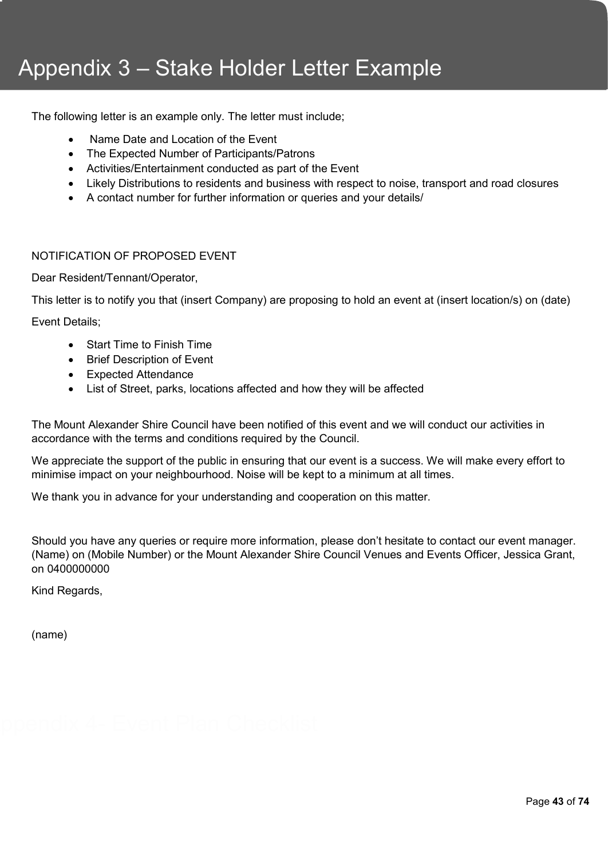# Appendix 3 – Stake Holder Letter Example

The following letter is an example only. The letter must include;

- Name Date and Location of the Event
- The Expected Number of Participants/Patrons
- Activities/Entertainment conducted as part of the Event
- Likely Distributions to residents and business with respect to noise, transport and road closures
- A contact number for further information or queries and your details/

#### NOTIFICATION OF PROPOSED EVENT

Dear Resident/Tennant/Operator,

This letter is to notify you that (insert Company) are proposing to hold an event at (insert location/s) on (date)

Event Details;

- Start Time to Finish Time
- Brief Description of Event
- Expected Attendance
- List of Street, parks, locations affected and how they will be affected

The Mount Alexander Shire Council have been notified of this event and we will conduct our activities in accordance with the terms and conditions required by the Council.

We appreciate the support of the public in ensuring that our event is a success. We will make every effort to minimise impact on your neighbourhood. Noise will be kept to a minimum at all times.

We thank you in advance for your understanding and cooperation on this matter.

Should you have any queries or require more information, please don't hesitate to contact our event manager. (Name) on (Mobile Number) or the Mount Alexander Shire Council Venues and Events Officer, Jessica Grant, on 0400000000

Kind Regards,

(name)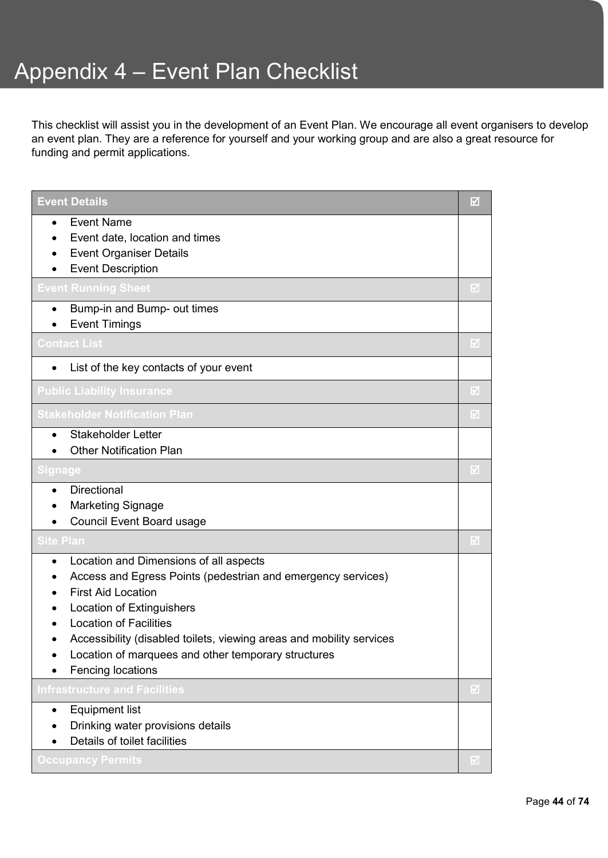This checklist will assist you in the development of an Event Plan. We encourage all event organisers to develop an event plan. They are a reference for yourself and your working group and are also a great resource for funding and permit applications.

| <b>Event Details</b>                                                                                                                                                                                                                                                                                                                                                                         | ⊡                       |
|----------------------------------------------------------------------------------------------------------------------------------------------------------------------------------------------------------------------------------------------------------------------------------------------------------------------------------------------------------------------------------------------|-------------------------|
| <b>Event Name</b><br>$\bullet$<br>Event date, location and times<br>$\bullet$<br><b>Event Organiser Details</b><br>$\bullet$<br><b>Event Description</b>                                                                                                                                                                                                                                     |                         |
| <b>Event Running Sheet</b>                                                                                                                                                                                                                                                                                                                                                                   | ☑                       |
| Bump-in and Bump- out times<br>$\bullet$<br><b>Event Timings</b>                                                                                                                                                                                                                                                                                                                             |                         |
| <b>Contact List</b>                                                                                                                                                                                                                                                                                                                                                                          | $\overline{\mathbb{M}}$ |
| List of the key contacts of your event<br>$\bullet$                                                                                                                                                                                                                                                                                                                                          |                         |
| <b>Public Liability Insurance</b>                                                                                                                                                                                                                                                                                                                                                            | V                       |
| Stakeholder Notification Plan                                                                                                                                                                                                                                                                                                                                                                | M                       |
| <b>Stakeholder Letter</b><br>$\bullet$<br><b>Other Notification Plan</b>                                                                                                                                                                                                                                                                                                                     |                         |
| Signage                                                                                                                                                                                                                                                                                                                                                                                      | ☑                       |
| <b>Directional</b><br>$\bullet$<br><b>Marketing Signage</b><br><b>Council Event Board usage</b>                                                                                                                                                                                                                                                                                              |                         |
| Site Plan                                                                                                                                                                                                                                                                                                                                                                                    | $\overline{\mathbf{v}}$ |
| Location and Dimensions of all aspects<br>$\bullet$<br>Access and Egress Points (pedestrian and emergency services)<br>$\bullet$<br><b>First Aid Location</b><br>Location of Extinguishers<br><b>Location of Facilities</b><br>Accessibility (disabled toilets, viewing areas and mobility services<br>Location of marquees and other temporary structures<br>$\bullet$<br>Fencing locations |                         |
| <b>Infrastructure and Facilities</b>                                                                                                                                                                                                                                                                                                                                                         | ☑                       |
| <b>Equipment list</b><br>$\bullet$<br>Drinking water provisions details<br>Details of toilet facilities                                                                                                                                                                                                                                                                                      |                         |
| <b>Occupancy Permits</b>                                                                                                                                                                                                                                                                                                                                                                     | ☑                       |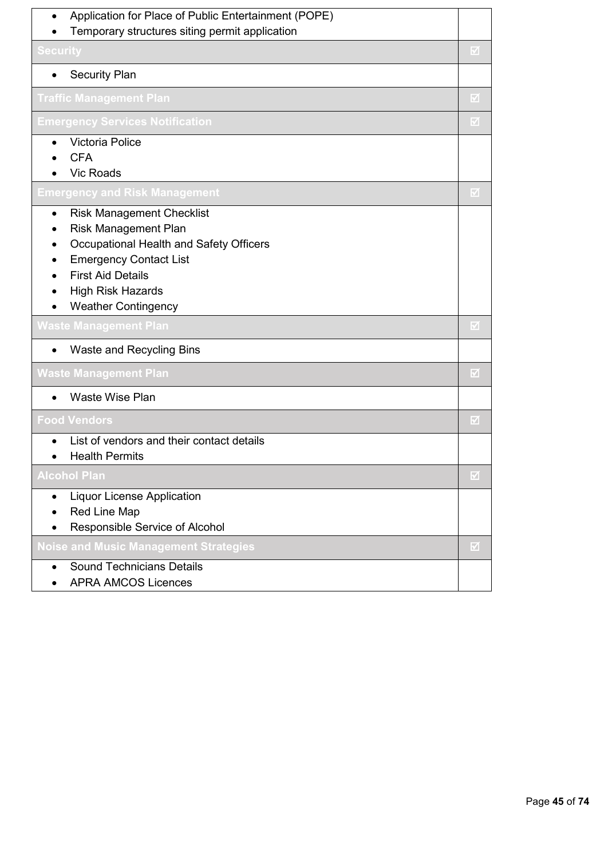| Application for Place of Public Entertainment (POPE)<br>$\bullet$ |                         |
|-------------------------------------------------------------------|-------------------------|
| Temporary structures siting permit application                    |                         |
| <b>Security</b>                                                   | M                       |
| <b>Security Plan</b>                                              |                         |
| <b>Traffic Management Plan</b>                                    | $\overline{\mathbf{y}}$ |
| <b>Emergency Services Notification</b>                            | M                       |
| <b>Victoria Police</b>                                            |                         |
| <b>CFA</b>                                                        |                         |
| <b>Vic Roads</b>                                                  |                         |
| Emergency and Risk Management                                     | ☑                       |
| <b>Risk Management Checklist</b><br>$\bullet$                     |                         |
| <b>Risk Management Plan</b>                                       |                         |
| Occupational Health and Safety Officers                           |                         |
| <b>Emergency Contact List</b>                                     |                         |
| <b>First Aid Details</b>                                          |                         |
| <b>High Risk Hazards</b>                                          |                         |
| <b>Weather Contingency</b>                                        |                         |
| Waste Management Plan                                             | M                       |
| Waste and Recycling Bins                                          |                         |
| <b>Waste Management Plan</b>                                      | $\overline{\mathbf{z}}$ |
| <b>Waste Wise Plan</b>                                            |                         |
| <b>Food Vendors</b>                                               | ☑                       |
| List of vendors and their contact details                         |                         |
| <b>Health Permits</b>                                             |                         |
| <b>Alcohol Plan</b>                                               | $\overline{\mathbf{v}}$ |
| <b>Liquor License Application</b>                                 |                         |
| Red Line Map                                                      |                         |
| Responsible Service of Alcohol                                    |                         |
| <b>Noise and Music Management Strategies</b>                      | M                       |
| <b>Sound Technicians Details</b>                                  |                         |
| <b>APRA AMCOS Licences</b>                                        |                         |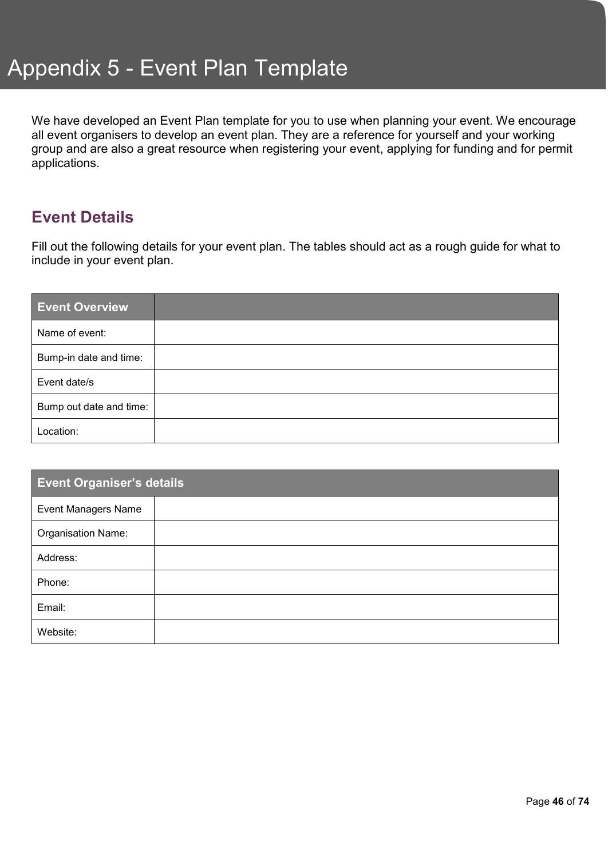We have developed an Event Plan template for you to use when planning your event. We encourage all event organisers to develop an event plan. They are a reference for yourself and your working group and are also a great resource when registering your event, applying for funding and for permit applications.

### **Event Details**

Fill out the following details for your event plan. The tables should act as a rough guide for what to include in your event plan.

| <b>Event Overview</b>   |  |
|-------------------------|--|
| Name of event:          |  |
| Bump-in date and time:  |  |
| Event date/s            |  |
| Bump out date and time: |  |
| Location:               |  |

| <b>Event Organiser's details</b> |  |  |
|----------------------------------|--|--|
| <b>Event Managers Name</b>       |  |  |
| Organisation Name:               |  |  |
| Address:                         |  |  |
| Phone:                           |  |  |
| Email:                           |  |  |
| Website:                         |  |  |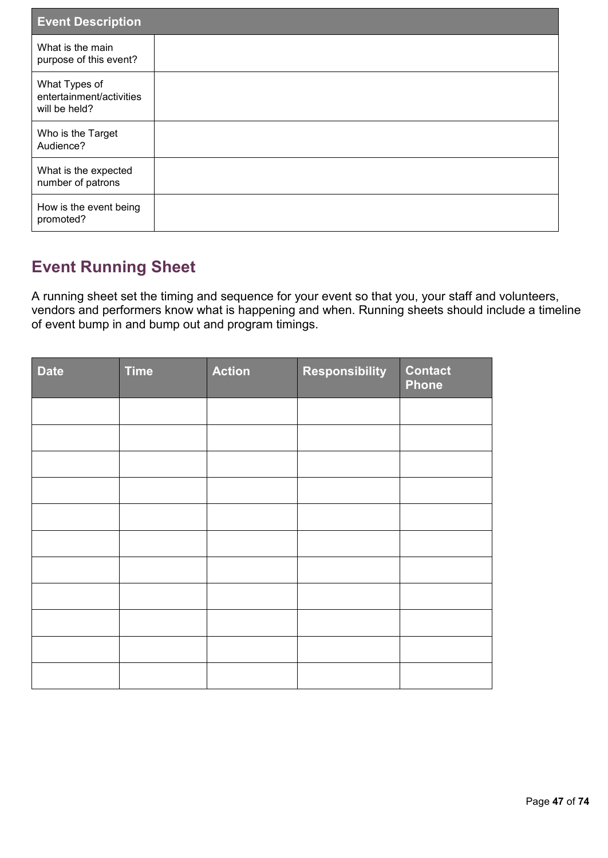| <b>Event Description</b>                                   |  |
|------------------------------------------------------------|--|
| What is the main<br>purpose of this event?                 |  |
| What Types of<br>entertainment/activities<br>will be held? |  |
| Who is the Target<br>Audience?                             |  |
| What is the expected<br>number of patrons                  |  |
| How is the event being<br>promoted?                        |  |

# **Event Running Sheet**

A running sheet set the timing and sequence for your event so that you, your staff and volunteers, vendors and performers know what is happening and when. Running sheets should include a timeline of event bump in and bump out and program timings.

| <b>Date</b> | <b>Time</b> | <b>Action</b> | <b>Responsibility</b> | <b>Contact</b><br><b>Phone</b> |
|-------------|-------------|---------------|-----------------------|--------------------------------|
|             |             |               |                       |                                |
|             |             |               |                       |                                |
|             |             |               |                       |                                |
|             |             |               |                       |                                |
|             |             |               |                       |                                |
|             |             |               |                       |                                |
|             |             |               |                       |                                |
|             |             |               |                       |                                |
|             |             |               |                       |                                |
|             |             |               |                       |                                |
|             |             |               |                       |                                |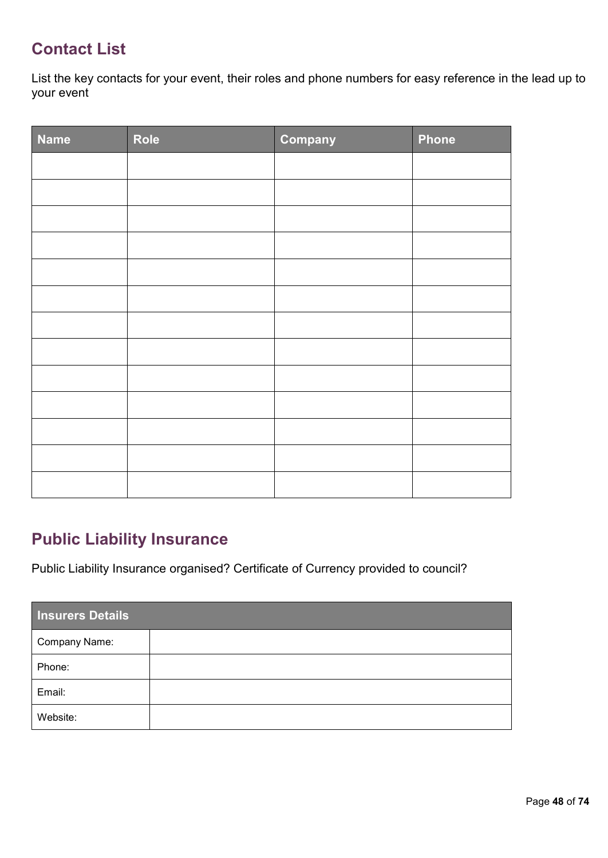### **Contact List**

List the key contacts for your event, their roles and phone numbers for easy reference in the lead up to your event

| Name | Role | Company | <b>Phone</b> |
|------|------|---------|--------------|
|      |      |         |              |
|      |      |         |              |
|      |      |         |              |
|      |      |         |              |
|      |      |         |              |
|      |      |         |              |
|      |      |         |              |
|      |      |         |              |
|      |      |         |              |
|      |      |         |              |
|      |      |         |              |
|      |      |         |              |
|      |      |         |              |

### **Public Liability Insurance**

Public Liability Insurance organised? Certificate of Currency provided to council?

| <b>Insurers Details</b> |  |  |
|-------------------------|--|--|
| Company Name:           |  |  |
| Phone:                  |  |  |
| Email:                  |  |  |
| Website:                |  |  |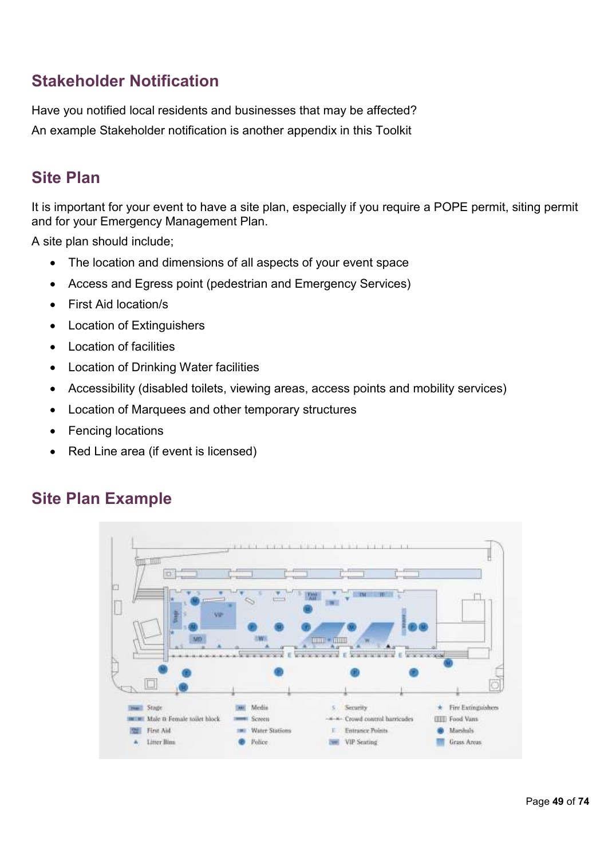### **Stakeholder Notification**

Have you notified local residents and businesses that may be affected? An example Stakeholder notification is another appendix in this Toolkit

### **Site Plan**

It is important for your event to have a site plan, especially if you require a POPE permit, siting permit and for your Emergency Management Plan.

A site plan should include;

- The location and dimensions of all aspects of your event space
- Access and Egress point (pedestrian and Emergency Services)
- First Aid location/s
- Location of Extinguishers
- Location of facilities
- Location of Drinking Water facilities
- Accessibility (disabled toilets, viewing areas, access points and mobility services)
- Location of Marquees and other temporary structures
- Fencing locations
- Red Line area (if event is licensed)

### **Site Plan Example**

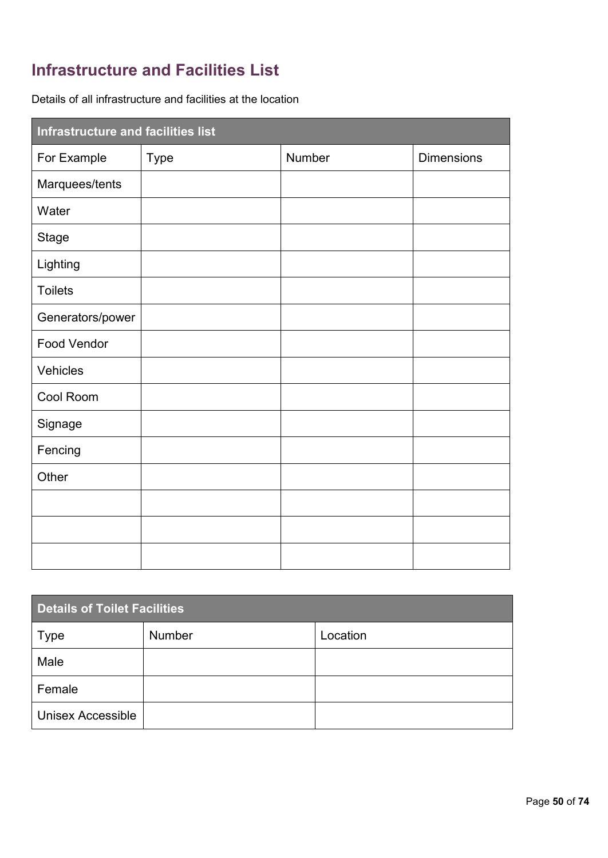# **Infrastructure and Facilities List**

Details of all infrastructure and facilities at the location

| Infrastructure and facilities list |             |        |                   |
|------------------------------------|-------------|--------|-------------------|
| For Example                        | <b>Type</b> | Number | <b>Dimensions</b> |
| Marquees/tents                     |             |        |                   |
| Water                              |             |        |                   |
| <b>Stage</b>                       |             |        |                   |
| Lighting                           |             |        |                   |
| <b>Toilets</b>                     |             |        |                   |
| Generators/power                   |             |        |                   |
| <b>Food Vendor</b>                 |             |        |                   |
| Vehicles                           |             |        |                   |
| Cool Room                          |             |        |                   |
| Signage                            |             |        |                   |
| Fencing                            |             |        |                   |
| Other                              |             |        |                   |
|                                    |             |        |                   |
|                                    |             |        |                   |
|                                    |             |        |                   |

| <b>Details of Toilet Facilities</b> |               |          |  |
|-------------------------------------|---------------|----------|--|
| <b>Type</b>                         | <b>Number</b> | Location |  |
| Male                                |               |          |  |
| Female                              |               |          |  |
| <b>Unisex Accessible</b>            |               |          |  |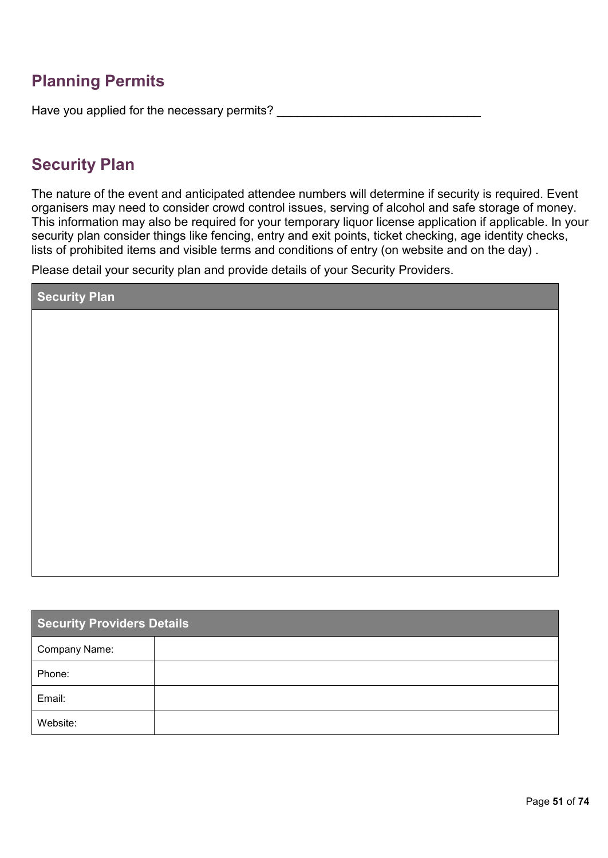### **Planning Permits**

Have you applied for the necessary permits?

### **Security Plan**

The nature of the event and anticipated attendee numbers will determine if security is required. Event organisers may need to consider crowd control issues, serving of alcohol and safe storage of money. This information may also be required for your temporary liquor license application if applicable. In your security plan consider things like fencing, entry and exit points, ticket checking, age identity checks, lists of prohibited items and visible terms and conditions of entry (on website and on the day) .

Please detail your security plan and provide details of your Security Providers.

| <b>Security Plan</b> |  |
|----------------------|--|
|                      |  |
|                      |  |
|                      |  |
|                      |  |
|                      |  |
|                      |  |
|                      |  |
|                      |  |
|                      |  |
|                      |  |
|                      |  |

| <b>Security Providers Details</b> |  |  |
|-----------------------------------|--|--|
| Company Name:                     |  |  |
| Phone:                            |  |  |
| Email:                            |  |  |
| Website:                          |  |  |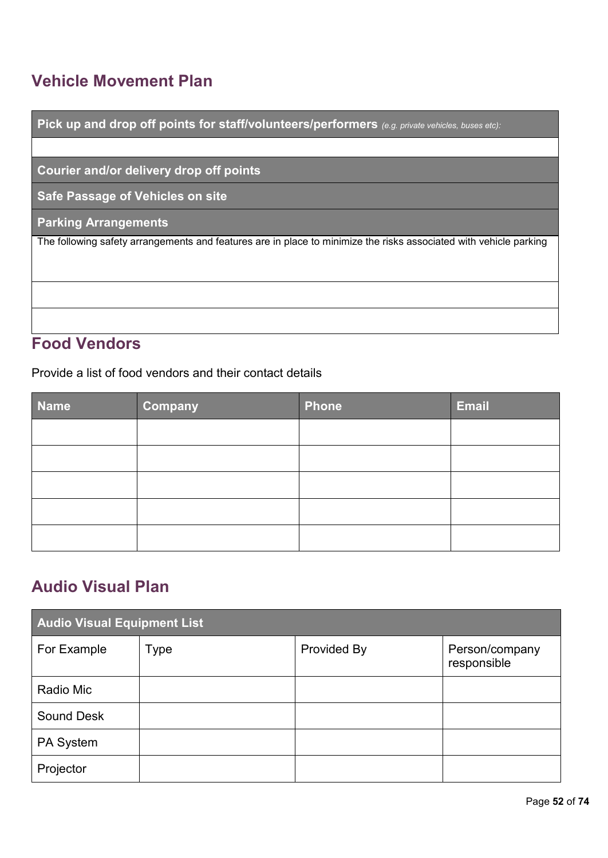# **Vehicle Movement Plan**

г

| Pick up and drop off points for staff/volunteers/performers (e.g. private vehicles, buses etc):                   |
|-------------------------------------------------------------------------------------------------------------------|
|                                                                                                                   |
| Courier and/or delivery drop off points                                                                           |
| Safe Passage of Vehicles on site                                                                                  |
| <b>Parking Arrangements</b>                                                                                       |
| The following safety arrangements and features are in place to minimize the risks associated with vehicle parking |
|                                                                                                                   |
|                                                                                                                   |
|                                                                                                                   |
|                                                                                                                   |

#### L **Food Vendors**

Provide a list of food vendors and their contact details

| <b>Name</b> | <b>Company</b> | <b>Phone</b> | <b>Email</b> |
|-------------|----------------|--------------|--------------|
|             |                |              |              |
|             |                |              |              |
|             |                |              |              |
|             |                |              |              |
|             |                |              |              |

# **Audio Visual Plan**

| <b>Audio Visual Equipment List</b> |      |                    |                               |
|------------------------------------|------|--------------------|-------------------------------|
| For Example                        | Type | <b>Provided By</b> | Person/company<br>responsible |
| Radio Mic                          |      |                    |                               |
| <b>Sound Desk</b>                  |      |                    |                               |
| PA System                          |      |                    |                               |
| Projector                          |      |                    |                               |

П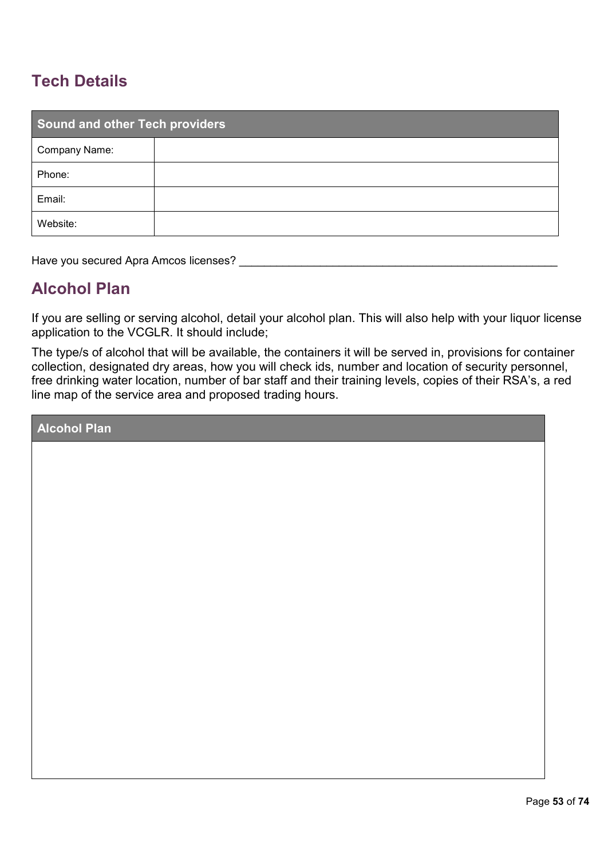# **Tech Details**

| <b>Sound and other Tech providers</b> |  |  |  |
|---------------------------------------|--|--|--|
| Company Name:                         |  |  |  |
| Phone:                                |  |  |  |
| Email:                                |  |  |  |
| Website:                              |  |  |  |

Have you secured Apra Amcos licenses? \_\_\_\_\_\_\_\_\_\_\_\_\_\_\_\_\_\_\_\_\_\_\_\_\_\_\_\_\_\_\_\_\_\_\_\_\_\_\_\_\_\_\_\_\_\_\_\_\_\_\_

### **Alcohol Plan**

If you are selling or serving alcohol, detail your alcohol plan. This will also help with your liquor license application to the VCGLR. It should include;

The type/s of alcohol that will be available, the containers it will be served in, provisions for container collection, designated dry areas, how you will check ids, number and location of security personnel, free drinking water location, number of bar staff and their training levels, copies of their RSA's, a red line map of the service area and proposed trading hours.

**Alcohol Plan**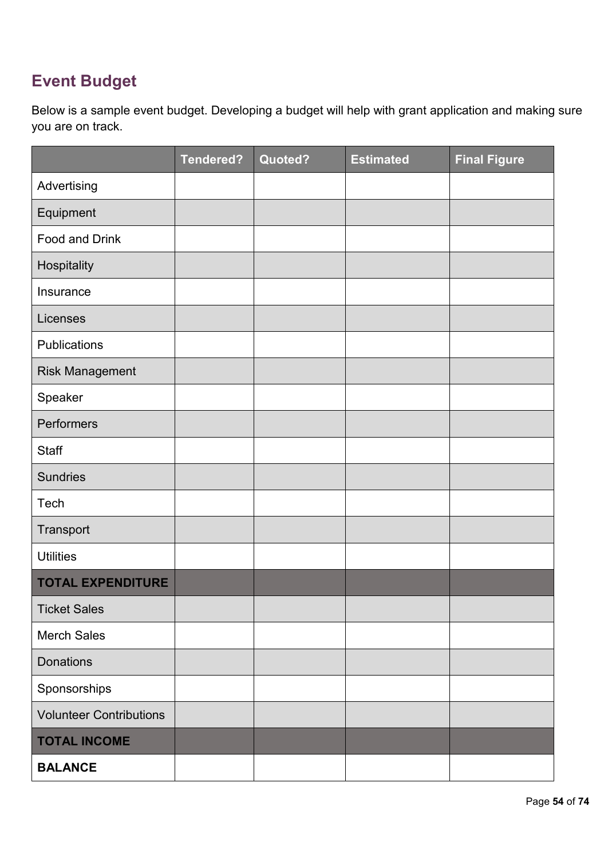# **Event Budget**

Below is a sample event budget. Developing a budget will help with grant application and making sure you are on track.

|                                | <b>Tendered?</b> | Quoted? | <b>Estimated</b> | <b>Final Figure</b> |
|--------------------------------|------------------|---------|------------------|---------------------|
| Advertising                    |                  |         |                  |                     |
| Equipment                      |                  |         |                  |                     |
| <b>Food and Drink</b>          |                  |         |                  |                     |
| Hospitality                    |                  |         |                  |                     |
| Insurance                      |                  |         |                  |                     |
| Licenses                       |                  |         |                  |                     |
| Publications                   |                  |         |                  |                     |
| <b>Risk Management</b>         |                  |         |                  |                     |
| Speaker                        |                  |         |                  |                     |
| Performers                     |                  |         |                  |                     |
| <b>Staff</b>                   |                  |         |                  |                     |
| <b>Sundries</b>                |                  |         |                  |                     |
| Tech                           |                  |         |                  |                     |
| Transport                      |                  |         |                  |                     |
| <b>Utilities</b>               |                  |         |                  |                     |
| <b>TOTAL EXPENDITURE</b>       |                  |         |                  |                     |
| <b>Ticket Sales</b>            |                  |         |                  |                     |
| <b>Merch Sales</b>             |                  |         |                  |                     |
| <b>Donations</b>               |                  |         |                  |                     |
| Sponsorships                   |                  |         |                  |                     |
| <b>Volunteer Contributions</b> |                  |         |                  |                     |
| <b>TOTAL INCOME</b>            |                  |         |                  |                     |
| <b>BALANCE</b>                 |                  |         |                  |                     |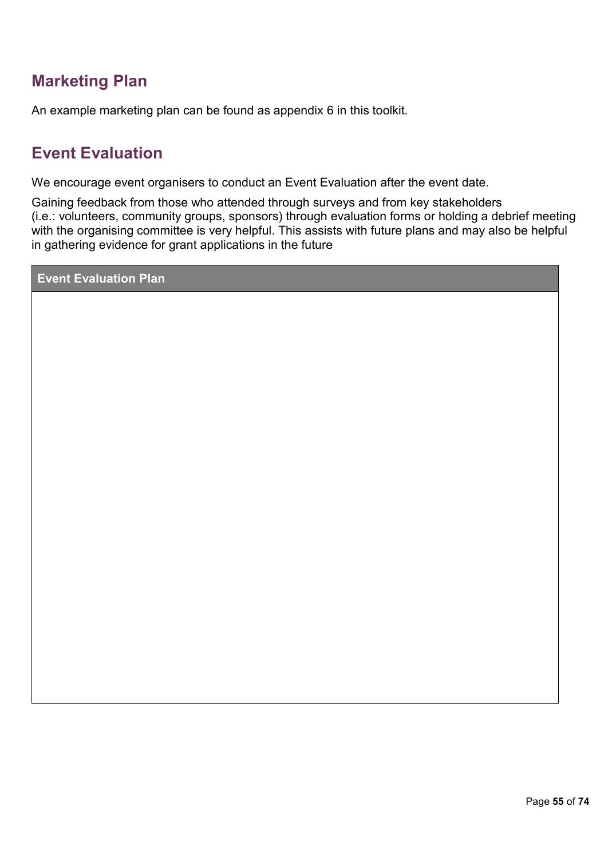### **Marketing Plan**

An example marketing plan can be found as appendix 6 in this toolkit.

# **Event Evaluation**

We encourage event organisers to conduct an Event Evaluation after the event date.

Gaining feedback from those who attended through surveys and from key stakeholders (i.e.: volunteers, community groups, sponsors) through evaluation forms or holding a debrief meeting with the organising committee is very helpful. This assists with future plans and may also be helpful in gathering evidence for grant applications in the future

**Event Evaluation Plan**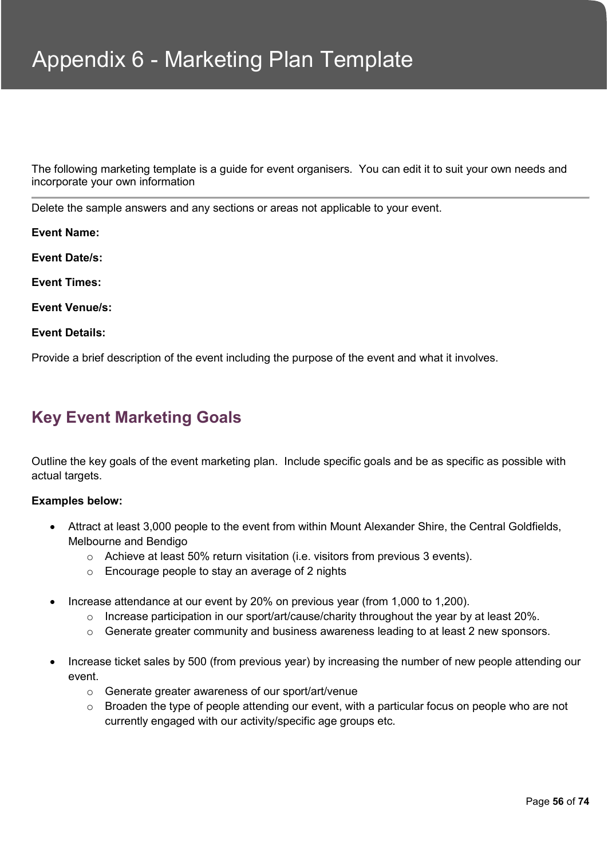The following marketing template is a guide for event organisers. You can edit it to suit your own needs and incorporate your own information

Delete the sample answers and any sections or areas not applicable to your event.

**Event Name: Event Date/s: Event Times:** 

**Event Venue/s:** 

#### **Event Details:**

Provide a brief description of the event including the purpose of the event and what it involves.

### **Key Event Marketing Goals**

Outline the key goals of the event marketing plan. Include specific goals and be as specific as possible with actual targets.

#### **Examples below:**

- Attract at least 3,000 people to the event from within Mount Alexander Shire, the Central Goldfields, Melbourne and Bendigo
	- o Achieve at least 50% return visitation (i.e. visitors from previous 3 events).
	- o Encourage people to stay an average of 2 nights
- Increase attendance at our event by 20% on previous year (from 1,000 to 1,200).
	- o Increase participation in our sport/art/cause/charity throughout the year by at least 20%.
	- $\circ$  Generate greater community and business awareness leading to at least 2 new sponsors.
- Increase ticket sales by 500 (from previous year) by increasing the number of new people attending our event.
	- o Generate greater awareness of our sport/art/venue
	- $\circ$  Broaden the type of people attending our event, with a particular focus on people who are not currently engaged with our activity/specific age groups etc.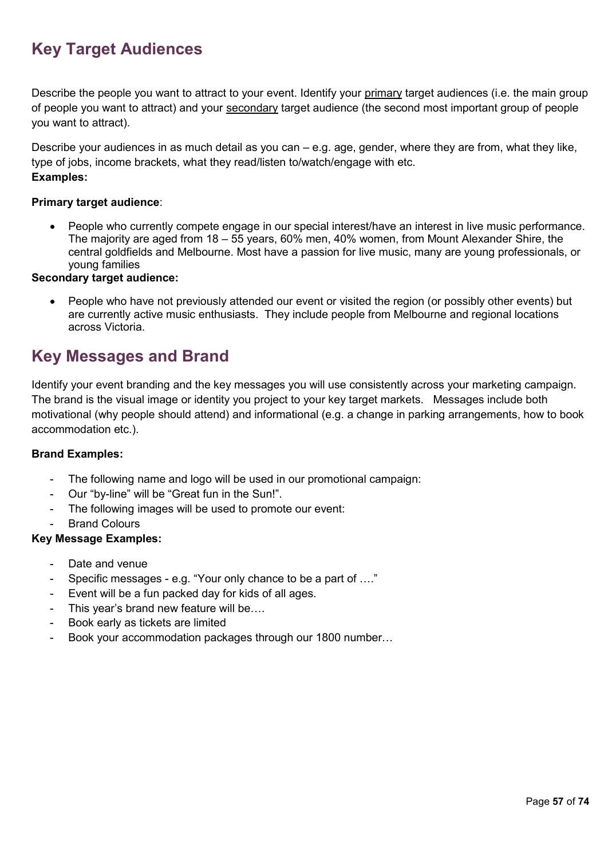# **Key Target Audiences**

Describe the people you want to attract to your event. Identify your primary target audiences (i.e. the main group of people you want to attract) and your secondary target audience (the second most important group of people you want to attract).

Describe your audiences in as much detail as you can – e.g. age, gender, where they are from, what they like, type of jobs, income brackets, what they read/listen to/watch/engage with etc. **Examples:**

#### **Primary target audience**:

People who currently compete engage in our special interest/have an interest in live music performance. The majority are aged from 18 – 55 years, 60% men, 40% women, from Mount Alexander Shire, the central goldfields and Melbourne. Most have a passion for live music, many are young professionals, or young families

#### **Secondary target audience:**

 People who have not previously attended our event or visited the region (or possibly other events) but are currently active music enthusiasts. They include people from Melbourne and regional locations across Victoria.

### **Key Messages and Brand**

Identify your event branding and the key messages you will use consistently across your marketing campaign. The brand is the visual image or identity you project to your key target markets. Messages include both motivational (why people should attend) and informational (e.g. a change in parking arrangements, how to book accommodation etc.).

#### **Brand Examples:**

- The following name and logo will be used in our promotional campaign:
- Our "by-line" will be "Great fun in the Sun!".
- The following images will be used to promote our event:
- **Brand Colours**

#### **Key Message Examples:**

- Date and venue
- Specific messages e.g. "Your only chance to be a part of …."
- Event will be a fun packed day for kids of all ages.
- This year's brand new feature will be….
- Book early as tickets are limited
- Book your accommodation packages through our 1800 number...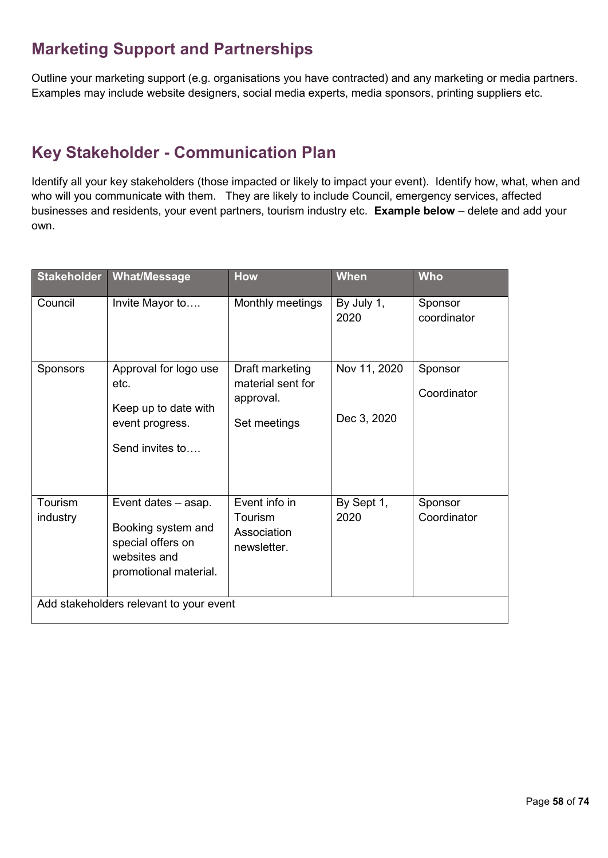# **Marketing Support and Partnerships**

Outline your marketing support (e.g. organisations you have contracted) and any marketing or media partners. Examples may include website designers, social media experts, media sponsors, printing suppliers etc.

### **Key Stakeholder - Communication Plan**

Identify all your key stakeholders (those impacted or likely to impact your event). Identify how, what, when and who will you communicate with them. They are likely to include Council, emergency services, affected businesses and residents, your event partners, tourism industry etc. **Example below** – delete and add your own.

| <b>Stakeholder</b>                      | <b>What/Message</b>                                                                                     | <b>How</b>                                                        | <b>When</b>                 | <b>Who</b>             |  |
|-----------------------------------------|---------------------------------------------------------------------------------------------------------|-------------------------------------------------------------------|-----------------------------|------------------------|--|
| Council                                 | Invite Mayor to                                                                                         | Monthly meetings                                                  | By July 1,<br>2020          | Sponsor<br>coordinator |  |
| <b>Sponsors</b>                         | Approval for logo use<br>etc.<br>Keep up to date with<br>event progress.<br>Send invites to             | Draft marketing<br>material sent for<br>approval.<br>Set meetings | Nov 11, 2020<br>Dec 3, 2020 | Sponsor<br>Coordinator |  |
| Tourism<br>industry                     | Event dates - asap.<br>Booking system and<br>special offers on<br>websites and<br>promotional material. | Event info in<br>Tourism<br>Association<br>newsletter.            | By Sept 1,<br>2020          | Sponsor<br>Coordinator |  |
| Add stakeholders relevant to your event |                                                                                                         |                                                                   |                             |                        |  |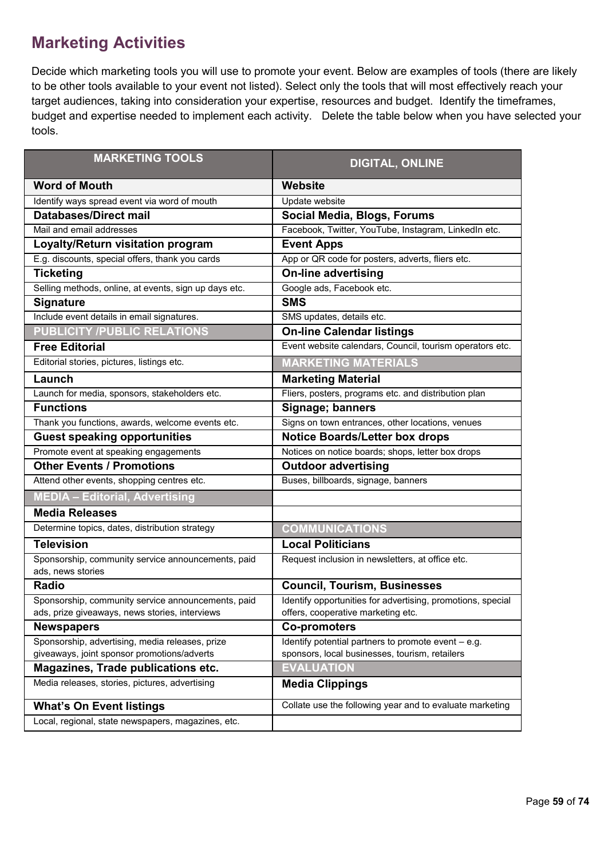### **Marketing Activities**

Decide which marketing tools you will use to promote your event. Below are examples of tools (there are likely to be other tools available to your event not listed). Select only the tools that will most effectively reach your target audiences, taking into consideration your expertise, resources and budget. Identify the timeframes, budget and expertise needed to implement each activity. Delete the table below when you have selected your tools.

| <b>MARKETING TOOLS</b>                                                                               | <b>DIGITAL, ONLINE</b>                                                                            |
|------------------------------------------------------------------------------------------------------|---------------------------------------------------------------------------------------------------|
| <b>Word of Mouth</b>                                                                                 | <b>Website</b>                                                                                    |
| Identify ways spread event via word of mouth                                                         | Update website                                                                                    |
| <b>Databases/Direct mail</b>                                                                         | Social Media, Blogs, Forums                                                                       |
| Mail and email addresses                                                                             | Facebook, Twitter, YouTube, Instagram, LinkedIn etc.                                              |
| Loyalty/Return visitation program                                                                    | <b>Event Apps</b>                                                                                 |
| E.g. discounts, special offers, thank you cards                                                      | App or QR code for posters, adverts, fliers etc.                                                  |
| <b>Ticketing</b>                                                                                     | <b>On-line advertising</b>                                                                        |
| Selling methods, online, at events, sign up days etc.                                                | Google ads, Facebook etc.                                                                         |
| <b>Signature</b>                                                                                     | <b>SMS</b>                                                                                        |
| Include event details in email signatures.                                                           | SMS updates, details etc.                                                                         |
| <b>PUBLICITY /PUBLIC RELATIONS</b>                                                                   | <b>On-line Calendar listings</b>                                                                  |
| <b>Free Editorial</b>                                                                                | Event website calendars, Council, tourism operators etc.                                          |
| Editorial stories, pictures, listings etc.                                                           | <b>MARKETING MATERIALS</b>                                                                        |
| Launch                                                                                               | <b>Marketing Material</b>                                                                         |
| Launch for media, sponsors, stakeholders etc.                                                        | Fliers, posters, programs etc. and distribution plan                                              |
| <b>Functions</b>                                                                                     | Signage; banners                                                                                  |
| Thank you functions, awards, welcome events etc.                                                     | Signs on town entrances, other locations, venues                                                  |
| <b>Guest speaking opportunities</b>                                                                  | <b>Notice Boards/Letter box drops</b>                                                             |
| Promote event at speaking engagements                                                                | Notices on notice boards; shops, letter box drops                                                 |
| <b>Other Events / Promotions</b>                                                                     | <b>Outdoor advertising</b>                                                                        |
| Attend other events, shopping centres etc.                                                           | Buses, billboards, signage, banners                                                               |
| <b>MEDIA - Editorial, Advertising</b>                                                                |                                                                                                   |
| <b>Media Releases</b>                                                                                |                                                                                                   |
| Determine topics, dates, distribution strategy                                                       | <b>COMMUNICATIONS</b>                                                                             |
| <b>Television</b>                                                                                    | <b>Local Politicians</b>                                                                          |
| Sponsorship, community service announcements, paid<br>ads, news stories                              | Request inclusion in newsletters, at office etc.                                                  |
| <b>Radio</b>                                                                                         | <b>Council, Tourism, Businesses</b>                                                               |
| Sponsorship, community service announcements, paid<br>ads, prize giveaways, news stories, interviews | Identify opportunities for advertising, promotions, special<br>offers, cooperative marketing etc. |
| <b>Newspapers</b>                                                                                    | <b>Co-promoters</b>                                                                               |
| Sponsorship, advertising, media releases, prize                                                      | Identify potential partners to promote event - e.g.                                               |
| giveaways, joint sponsor promotions/adverts                                                          | sponsors, local businesses, tourism, retailers                                                    |
| Magazines, Trade publications etc.                                                                   | <b>EVALUATION</b>                                                                                 |
| Media releases, stories, pictures, advertising                                                       | <b>Media Clippings</b>                                                                            |
| <b>What's On Event listings</b>                                                                      | Collate use the following year and to evaluate marketing                                          |
| Local, regional, state newspapers, magazines, etc.                                                   |                                                                                                   |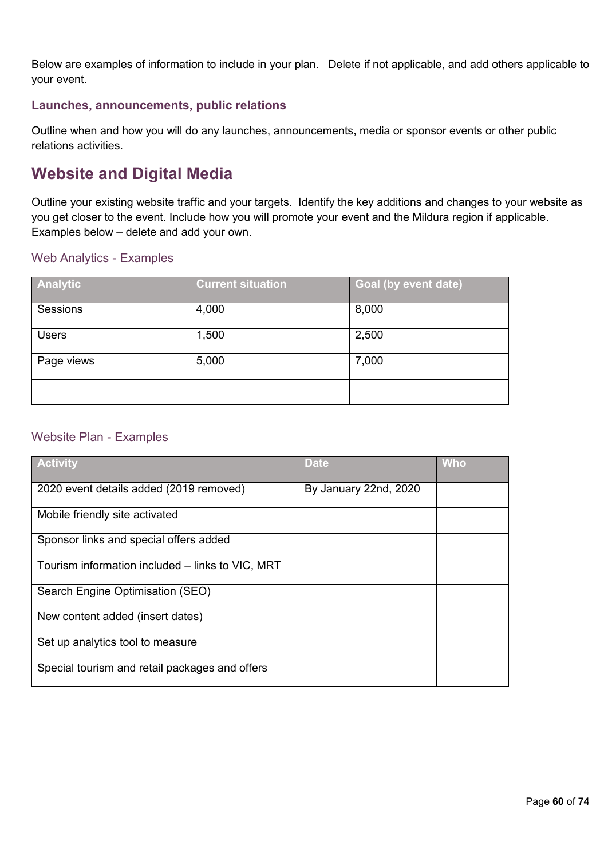Below are examples of information to include in your plan. Delete if not applicable, and add others applicable to your event.

### **Launches, announcements, public relations**

Outline when and how you will do any launches, announcements, media or sponsor events or other public relations activities.

### **Website and Digital Media**

Outline your existing website traffic and your targets. Identify the key additions and changes to your website as you get closer to the event. Include how you will promote your event and the Mildura region if applicable. Examples below – delete and add your own.

### Web Analytics - Examples

| Analytic     | <b>Current situation</b> | Goal (by event date) |
|--------------|--------------------------|----------------------|
| Sessions     | 4,000                    | 8,000                |
| <b>Users</b> | 1,500                    | 2,500                |
| Page views   | 5,000                    | 7,000                |
|              |                          |                      |

### Website Plan - Examples

| <b>Activity</b>                                  | <b>Date</b>           | <b>Who</b> |
|--------------------------------------------------|-----------------------|------------|
| 2020 event details added (2019 removed)          | By January 22nd, 2020 |            |
| Mobile friendly site activated                   |                       |            |
| Sponsor links and special offers added           |                       |            |
| Tourism information included – links to VIC, MRT |                       |            |
| Search Engine Optimisation (SEO)                 |                       |            |
| New content added (insert dates)                 |                       |            |
| Set up analytics tool to measure                 |                       |            |
| Special tourism and retail packages and offers   |                       |            |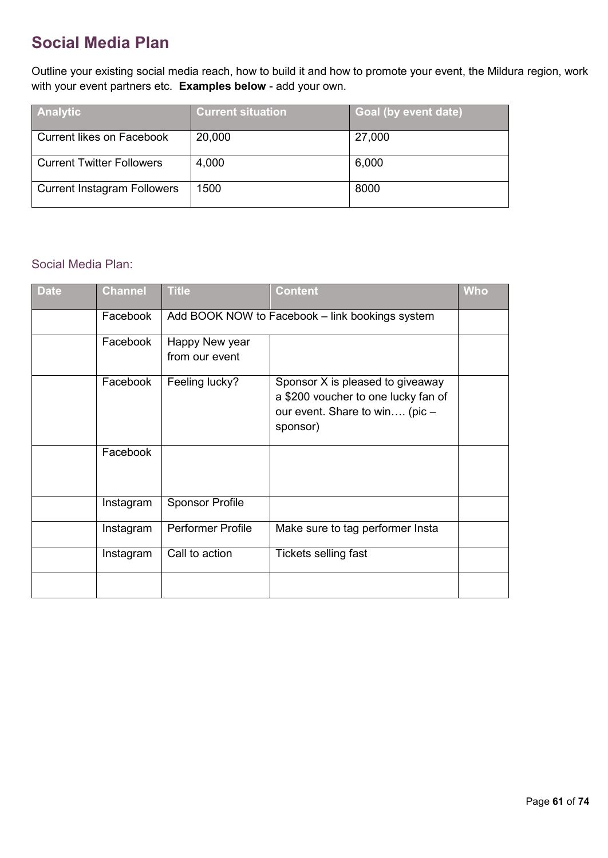# **Social Media Plan**

Outline your existing social media reach, how to build it and how to promote your event, the Mildura region, work with your event partners etc. **Examples below** - add your own.

| <b>Analytic</b>                    | <b>Current situation</b> | Goal (by event date) |
|------------------------------------|--------------------------|----------------------|
| <b>Current likes on Facebook</b>   | 20,000                   | 27,000               |
| <b>Current Twitter Followers</b>   | 4,000                    | 6,000                |
| <b>Current Instagram Followers</b> | 1500                     | 8000                 |

### Social Media Plan:

| <b>Date</b> | <b>Channel</b> | <b>Title</b>                     | <b>Content</b>                                                                                                        | <b>Who</b> |  |
|-------------|----------------|----------------------------------|-----------------------------------------------------------------------------------------------------------------------|------------|--|
|             | Facebook       |                                  | Add BOOK NOW to Facebook - link bookings system                                                                       |            |  |
|             | Facebook       | Happy New year<br>from our event |                                                                                                                       |            |  |
|             | Facebook       | Feeling lucky?                   | Sponsor X is pleased to giveaway<br>a \$200 voucher to one lucky fan of<br>our event. Share to win (pic -<br>sponsor) |            |  |
|             | Facebook       |                                  |                                                                                                                       |            |  |
|             | Instagram      | <b>Sponsor Profile</b>           |                                                                                                                       |            |  |
|             | Instagram      | <b>Performer Profile</b>         | Make sure to tag performer Insta                                                                                      |            |  |
|             | Instagram      | Call to action                   | Tickets selling fast                                                                                                  |            |  |
|             |                |                                  |                                                                                                                       |            |  |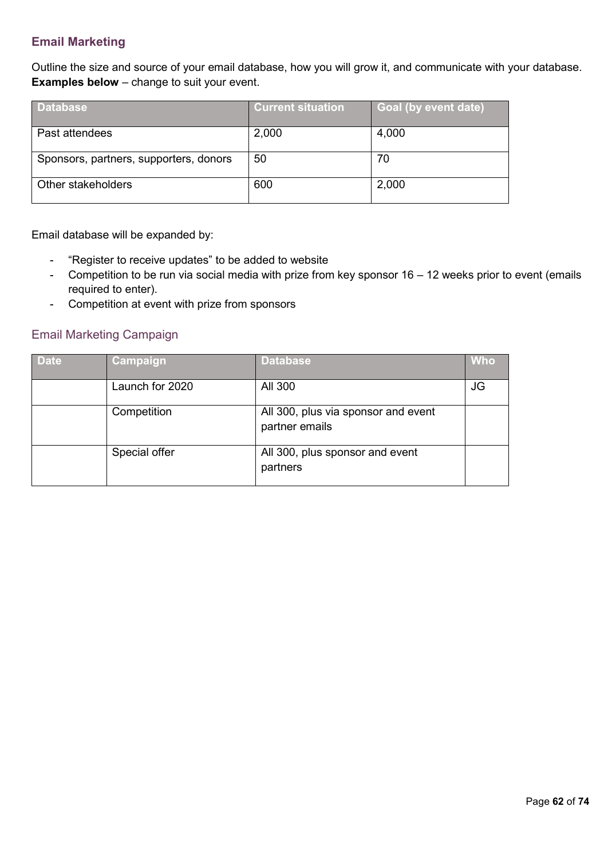### **Email Marketing**

Outline the size and source of your email database, how you will grow it, and communicate with your database. **Examples below** – change to suit your event.

| <b>Database</b>                        | <b>Current situation</b> | <b>Goal (by event date)</b> |
|----------------------------------------|--------------------------|-----------------------------|
| Past attendees                         | 2,000                    | 4,000                       |
| Sponsors, partners, supporters, donors | 50                       | 70                          |
| Other stakeholders                     | 600                      | 2,000                       |

Email database will be expanded by:

- "Register to receive updates" to be added to website
- Competition to be run via social media with prize from key sponsor 16 12 weeks prior to event (emails required to enter).
- Competition at event with prize from sponsors

### Email Marketing Campaign

| <b>Date</b> | Campaign        | Database,                                             | Who |
|-------------|-----------------|-------------------------------------------------------|-----|
|             | Launch for 2020 | All 300                                               | JG  |
|             | Competition     | All 300, plus via sponsor and event<br>partner emails |     |
|             | Special offer   | All 300, plus sponsor and event<br>partners           |     |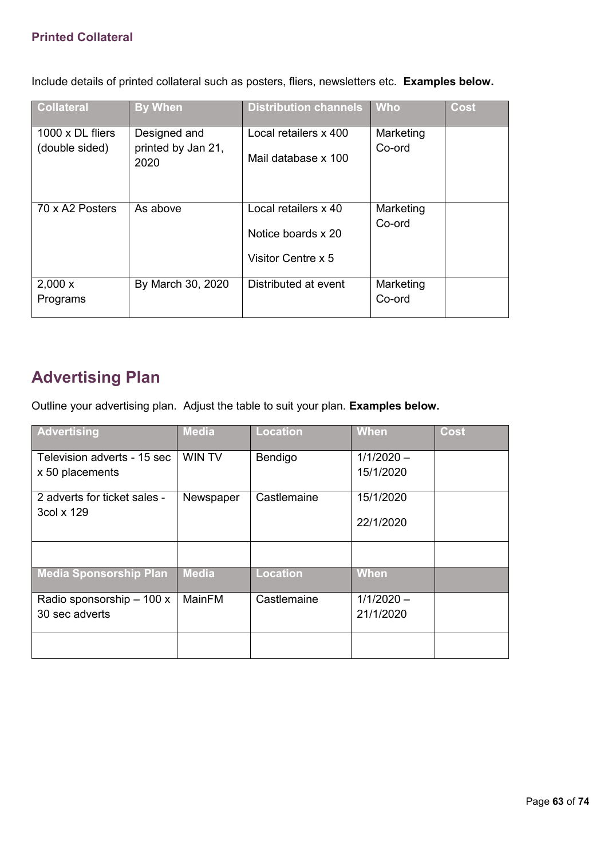### **Printed Collateral**

Include details of printed collateral such as posters, fliers, newsletters etc. **Examples below.** 

| <b>Collateral</b>                         | <b>By When</b>                             | <b>Distribution channels</b>                                     | <b>Who</b>          | Cost |
|-------------------------------------------|--------------------------------------------|------------------------------------------------------------------|---------------------|------|
| $1000 \times DL$ fliers<br>(double sided) | Designed and<br>printed by Jan 21,<br>2020 | Local retailers x 400<br>Mail database x 100                     | Marketing<br>Co-ord |      |
| 70 x A2 Posters                           | As above                                   | Local retailers x 40<br>Notice boards x 20<br>Visitor Centre x 5 | Marketing<br>Co-ord |      |
| 2,000x<br>Programs                        | By March 30, 2020                          | Distributed at event                                             | Marketing<br>Co-ord |      |

### **Advertising Plan**

Outline your advertising plan. Adjust the table to suit your plan. **Examples below.**

| Advertising                   | <b>Media</b>  | <b>Location</b> | <b>When</b>  | Cost |
|-------------------------------|---------------|-----------------|--------------|------|
| Television adverts - 15 sec   | <b>WIN TV</b> | Bendigo         | $1/1/2020 -$ |      |
| x 50 placements               |               |                 | 15/1/2020    |      |
| 2 adverts for ticket sales -  | Newspaper     | Castlemaine     | 15/1/2020    |      |
| 3col x 129                    |               |                 | 22/1/2020    |      |
|                               |               |                 |              |      |
| <b>Media Sponsorship Plan</b> | <b>Media</b>  | <b>Location</b> | <b>When</b>  |      |
| Radio sponsorship - 100 x     | MainFM        | Castlemaine     | $1/1/2020 -$ |      |
| 30 sec adverts                |               |                 | 21/1/2020    |      |
|                               |               |                 |              |      |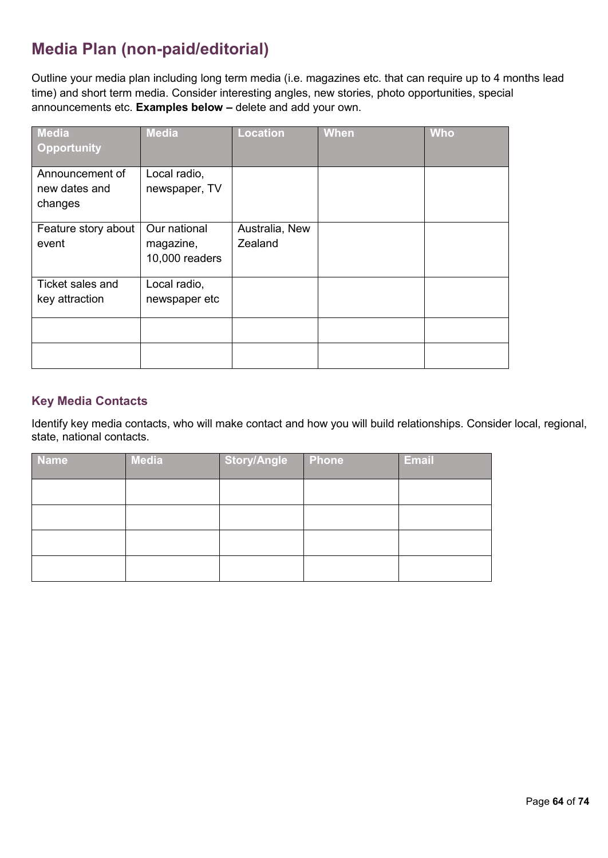# **Media Plan (non-paid/editorial)**

Outline your media plan including long term media (i.e. magazines etc. that can require up to 4 months lead time) and short term media. Consider interesting angles, new stories, photo opportunities, special announcements etc. **Examples below –** delete and add your own.

| <b>Media</b><br><b>Opportunity</b> | <b>Media</b>                                | <b>Location</b>           | <b>When</b> | <b>Who</b> |
|------------------------------------|---------------------------------------------|---------------------------|-------------|------------|
| Announcement of<br>new dates and   | Local radio,<br>newspaper, TV               |                           |             |            |
| changes                            |                                             |                           |             |            |
| Feature story about<br>event       | Our national<br>magazine,<br>10,000 readers | Australia, New<br>Zealand |             |            |
| Ticket sales and<br>key attraction | Local radio,<br>newspaper etc               |                           |             |            |
|                                    |                                             |                           |             |            |
|                                    |                                             |                           |             |            |

### **Key Media Contacts**

Identify key media contacts, who will make contact and how you will build relationships. Consider local, regional, state, national contacts.

| <b>Name</b> | <b>Media</b> | Story/Angle | <b>Phone</b> | <b>Email</b> |
|-------------|--------------|-------------|--------------|--------------|
|             |              |             |              |              |
|             |              |             |              |              |
|             |              |             |              |              |
|             |              |             |              |              |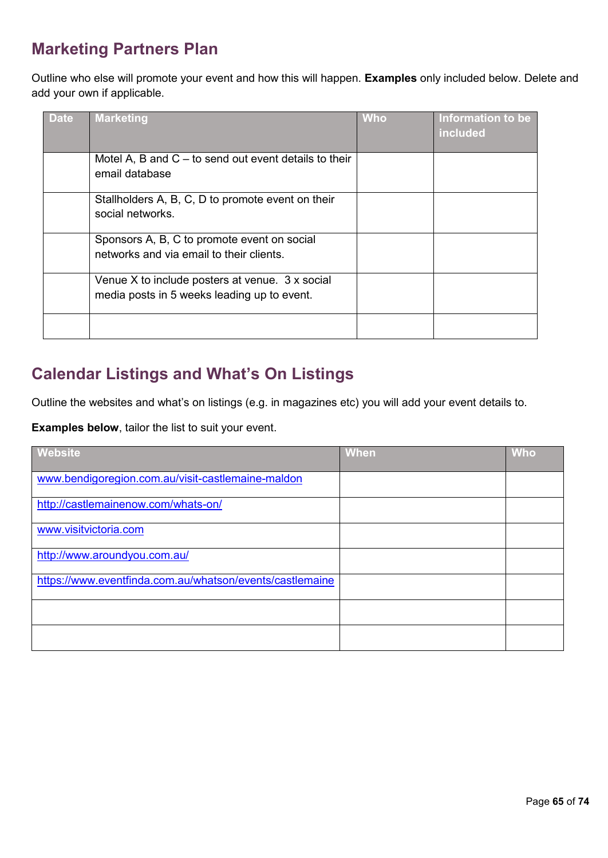# **Marketing Partners Plan**

Outline who else will promote your event and how this will happen. **Examples** only included below. Delete and add your own if applicable.

| <b>Date</b> | <b>Marketing</b>                                                                               | <b>Who</b> | Information to be<br>included |
|-------------|------------------------------------------------------------------------------------------------|------------|-------------------------------|
|             | Motel A, B and $C -$ to send out event details to their<br>email database                      |            |                               |
|             | Stallholders A, B, C, D to promote event on their<br>social networks.                          |            |                               |
|             | Sponsors A, B, C to promote event on social<br>networks and via email to their clients.        |            |                               |
|             | Venue X to include posters at venue. 3 x social<br>media posts in 5 weeks leading up to event. |            |                               |
|             |                                                                                                |            |                               |

### **Calendar Listings and What's On Listings**

Outline the websites and what's on listings (e.g. in magazines etc) you will add your event details to.

**Examples below**, tailor the list to suit your event.

| <b>Website</b>                                           | <b>When</b> | <b>Who</b> |
|----------------------------------------------------------|-------------|------------|
| www.bendigoregion.com.au/visit-castlemaine-maldon        |             |            |
| http://castlemainenow.com/whats-on/                      |             |            |
| www.visitvictoria.com                                    |             |            |
| http://www.aroundyou.com.au/                             |             |            |
| https://www.eventfinda.com.au/whatson/events/castlemaine |             |            |
|                                                          |             |            |
|                                                          |             |            |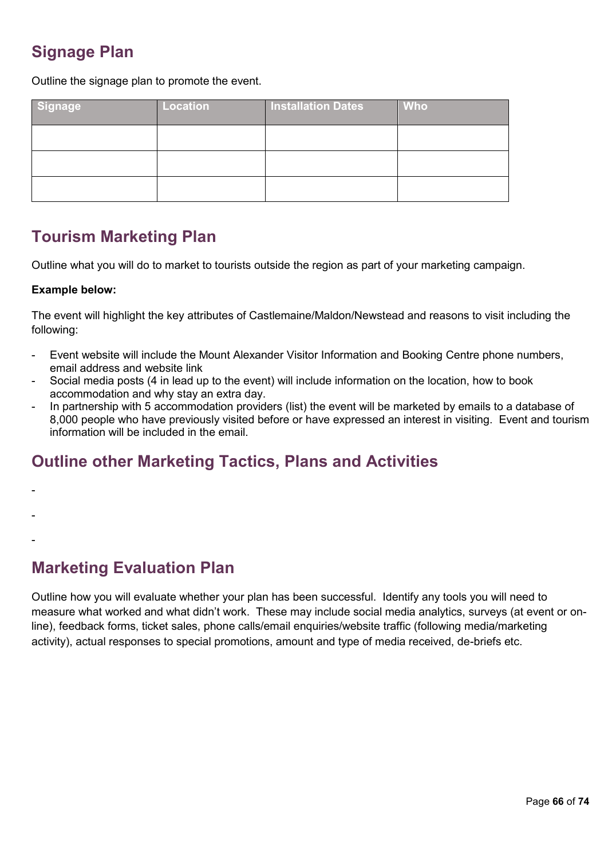### **Signage Plan**

Outline the signage plan to promote the event.

| Signage | <b>Location</b> | <b>Installation Dates</b> | <b>Who</b> |
|---------|-----------------|---------------------------|------------|
|         |                 |                           |            |
|         |                 |                           |            |
|         |                 |                           |            |

### **Tourism Marketing Plan**

Outline what you will do to market to tourists outside the region as part of your marketing campaign.

#### **Example below:**

The event will highlight the key attributes of Castlemaine/Maldon/Newstead and reasons to visit including the following:

- Event website will include the Mount Alexander Visitor Information and Booking Centre phone numbers, email address and website link
- Social media posts (4 in lead up to the event) will include information on the location, how to book accommodation and why stay an extra day.
- In partnership with 5 accommodation providers (list) the event will be marketed by emails to a database of 8,000 people who have previously visited before or have expressed an interest in visiting. Event and tourism information will be included in the email.

### **Outline other Marketing Tactics, Plans and Activities**

- -
- -
- -

### **Marketing Evaluation Plan**

Outline how you will evaluate whether your plan has been successful. Identify any tools you will need to measure what worked and what didn't work. These may include social media analytics, surveys (at event or online), feedback forms, ticket sales, phone calls/email enquiries/website traffic (following media/marketing activity), actual responses to special promotions, amount and type of media received, de-briefs etc.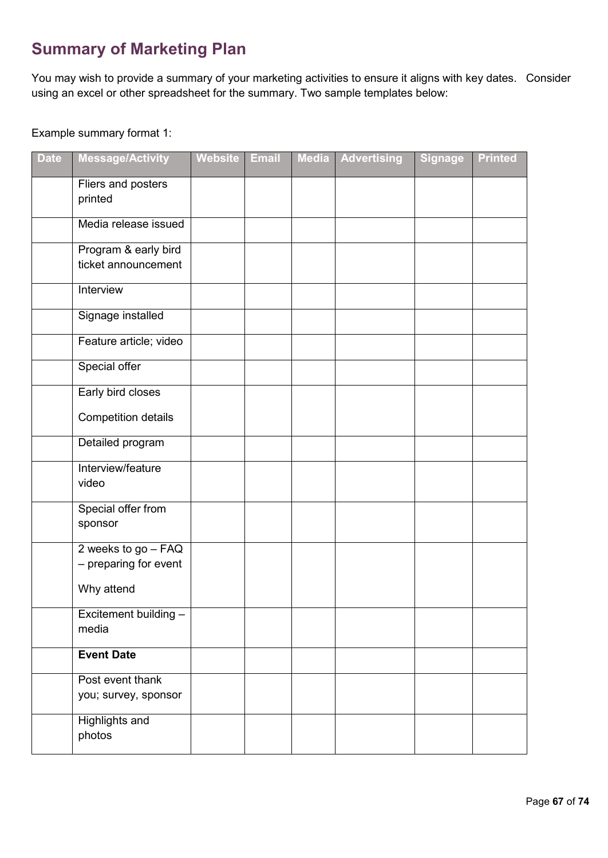# **Summary of Marketing Plan**

You may wish to provide a summary of your marketing activities to ensure it aligns with key dates. Consider using an excel or other spreadsheet for the summary. Two sample templates below:

### Example summary format 1:

| <b>Date</b> | <b>Message/Activity</b>                      | <b>Website</b> | <b>Email</b> | <b>Media</b> | <b>Advertising</b> | <b>Signage</b> | <b>Printed</b> |
|-------------|----------------------------------------------|----------------|--------------|--------------|--------------------|----------------|----------------|
|             | Fliers and posters<br>printed                |                |              |              |                    |                |                |
|             | Media release issued                         |                |              |              |                    |                |                |
|             | Program & early bird<br>ticket announcement  |                |              |              |                    |                |                |
|             | Interview                                    |                |              |              |                    |                |                |
|             | Signage installed                            |                |              |              |                    |                |                |
|             | Feature article; video                       |                |              |              |                    |                |                |
|             | Special offer                                |                |              |              |                    |                |                |
|             | Early bird closes                            |                |              |              |                    |                |                |
|             | <b>Competition details</b>                   |                |              |              |                    |                |                |
|             | Detailed program                             |                |              |              |                    |                |                |
|             | Interview/feature<br>video                   |                |              |              |                    |                |                |
|             | Special offer from<br>sponsor                |                |              |              |                    |                |                |
|             | 2 weeks to go - FAQ<br>- preparing for event |                |              |              |                    |                |                |
|             | Why attend                                   |                |              |              |                    |                |                |
|             | Excitement building -<br>media               |                |              |              |                    |                |                |
|             | <b>Event Date</b>                            |                |              |              |                    |                |                |
|             | Post event thank<br>you; survey, sponsor     |                |              |              |                    |                |                |
|             | <b>Highlights and</b><br>photos              |                |              |              |                    |                |                |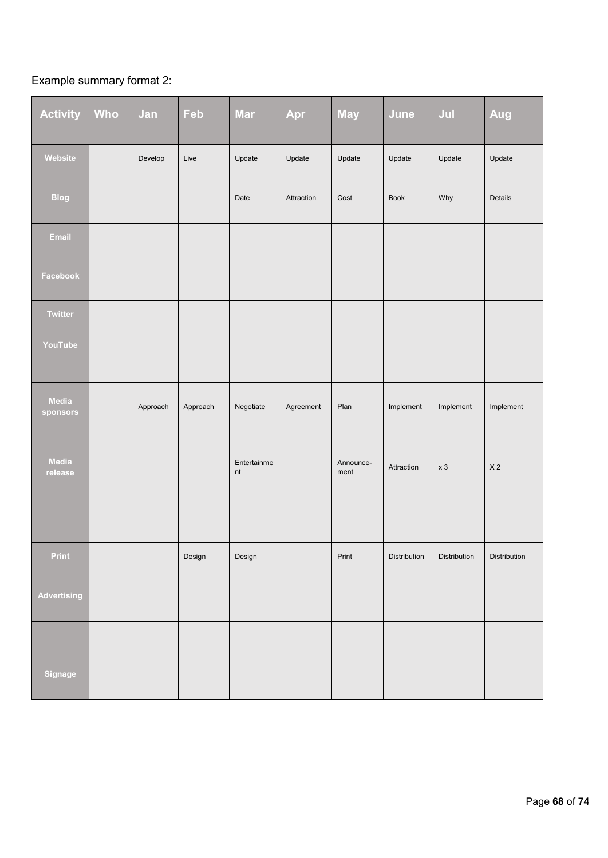## Example summary format 2:

| <b>Activity</b>          | Who | Jan      | Feb      | <b>Mar</b>        | Apr        | <b>May</b>        | June         | Jul            | Aug            |
|--------------------------|-----|----------|----------|-------------------|------------|-------------------|--------------|----------------|----------------|
| Website                  |     | Develop  | Live     | Update            | Update     | Update            | Update       | Update         | Update         |
| <b>Blog</b>              |     |          |          | Date              | Attraction | Cost              | <b>Book</b>  | Why            | Details        |
| Email                    |     |          |          |                   |            |                   |              |                |                |
| Facebook                 |     |          |          |                   |            |                   |              |                |                |
| <b>Twitter</b>           |     |          |          |                   |            |                   |              |                |                |
| YouTube                  |     |          |          |                   |            |                   |              |                |                |
| <b>Media</b><br>sponsors |     | Approach | Approach | Negotiate         | Agreement  | Plan              | Implement    | Implement      | Implement      |
| Media<br>release         |     |          |          | Entertainme<br>nt |            | Announce-<br>ment | Attraction   | x <sub>3</sub> | X <sub>2</sub> |
|                          |     |          |          |                   |            |                   |              |                |                |
| Print                    |     |          | Design   | Design            |            | Print             | Distribution | Distribution   | Distribution   |
| <b>Advertising</b>       |     |          |          |                   |            |                   |              |                |                |
|                          |     |          |          |                   |            |                   |              |                |                |
| Signage                  |     |          |          |                   |            |                   |              |                |                |